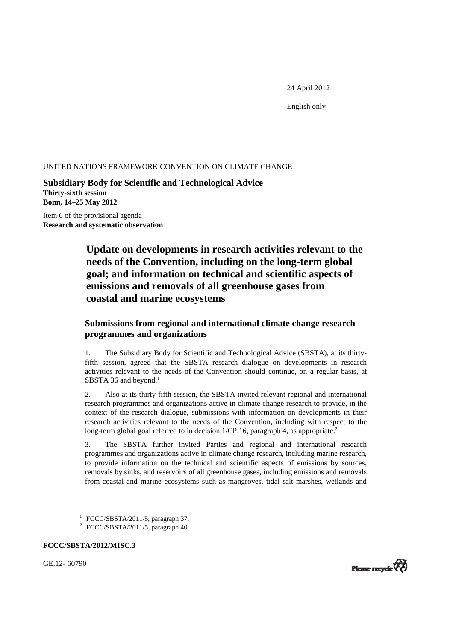24 April 2012

English only

#### UNITED NATIONS FRAMEWORK CONVENTION ON CLIMATE CHANGE

**Subsidiary Body for Scientific and Technological Advice Thirty-sixth session Bonn, 14–25 May 2012** 

Item 6 of the provisional agenda **Research and systematic observation** 

# **Update on developments in research activities relevant to the needs of the Convention, including on the long-term global goal; and information on technical and scientific aspects of emissions and removals of all greenhouse gases from coastal and marine ecosystems**

## **Submissions from regional and international climate change research programmes and organizations**

1. The Subsidiary Body for Scientific and Technological Advice (SBSTA), at its thirtyfifth session, agreed that the SBSTA research dialogue on developments in research activities relevant to the needs of the Convention should continue, on a regular basis, at SBSTA 36 and beyond.<sup>1</sup>

2. Also at its thirty-fifth session, the SBSTA invited relevant regional and international research programmes and organizations active in climate change research to provide, in the context of the research dialogue, submissions with information on developments in their research activities relevant to the needs of the Convention, including with respect to the long-term global goal referred to in decision 1/CP.16, paragraph 4, as appropriate.<sup>2</sup>

3. The SBSTA further invited Parties and regional and international research programmes and organizations active in climate change research, including marine research, to provide information on the technical and scientific aspects of emissions by sources, removals by sinks, and reservoirs of all greenhouse gases, including emissions and removals from coastal and marine ecosystems such as mangroves, tidal salt marshes, wetlands and

**FCCC/SBSTA/2012/MISC.3** 

GE.12- 60790



<sup>&</sup>lt;u>1</u>  $\frac{1}{1}$  FCCC/SBSTA/2011/5, paragraph 37.

<sup>&</sup>lt;sup>2</sup> FCCC/SBSTA/2011/5, paragraph 40.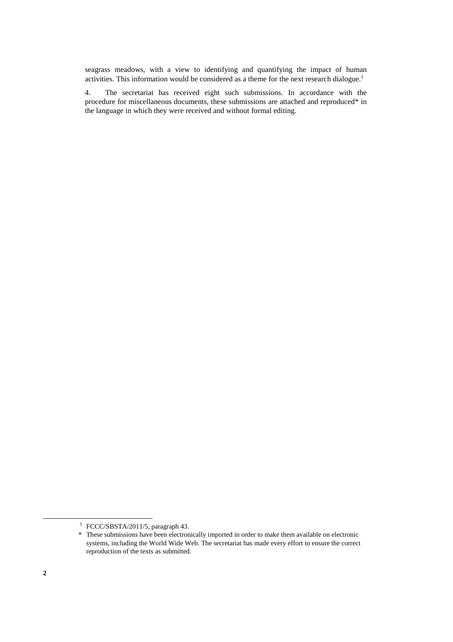seagrass meadows, with a view to identifying and quantifying the impact of human activities. This information would be considered as a theme for the next research dialogue.<sup>3</sup>

4. The secretariat has received eight such submissions. In accordance with the procedure for miscellaneous documents, these submissions are attached and reproduced\* in the language in which they were received and without formal editing.

 <sup>3</sup> <sup>3</sup> FCCC/SBSTA/2011/5, paragraph 43.

 <sup>\*</sup> These submissions have been electronically imported in order to make them available on electronic systems, including the World Wide Web. The secretariat has made every effort to ensure the correct reproduction of the texts as submitted.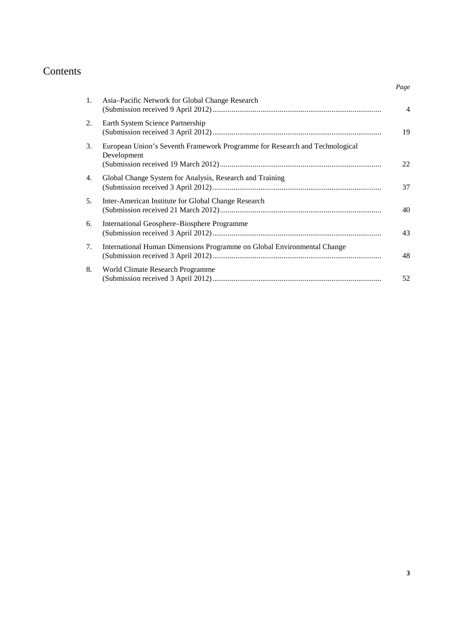# Contents

| 1. | Asia-Pacific Network for Global Change Research                                            | $\overline{4}$ |
|----|--------------------------------------------------------------------------------------------|----------------|
| 2. | Earth System Science Partnership                                                           | 19             |
| 3. | European Union's Seventh Framework Programme for Research and Technological<br>Development | 22             |
| 4. | Global Change System for Analysis, Research and Training                                   | 37             |
| 5. | Inter-American Institute for Global Change Research                                        | 40             |
| 6. | International Geosphere–Biosphere Programme                                                | 43             |
| 7. | International Human Dimensions Programme on Global Environmental Change                    | 48             |
| 8. | World Climate Research Programme                                                           | 52             |
|    |                                                                                            |                |

*Page*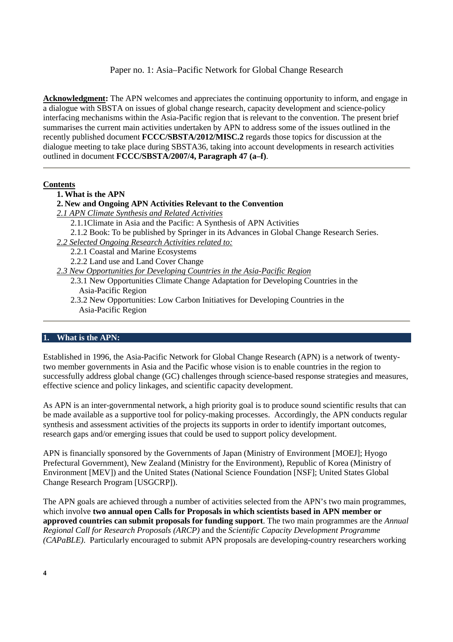Paper no. 1: Asia–Pacific Network for Global Change Research

**Acknowledgment:** The APN welcomes and appreciates the continuing opportunity to inform, and engage in a dialogue with SBSTA on issues of global change research, capacity development and science-policy interfacing mechanisms within the Asia-Pacific region that is relevant to the convention. The present brief summarises the current main activities undertaken by APN to address some of the issues outlined in the recently published document **FCCC/SBSTA/2012/MISC.2** regards those topics for discussion at the dialogue meeting to take place during SBSTA36, taking into account developments in research activities outlined in document **FCCC/SBSTA/2007/4, Paragraph 47 (a–f)**.

### **Contents**

- **1. What is the APN**
- **2. New and Ongoing APN Activities Relevant to the Convention**
- *2.1 APN Climate Synthesis and Related Activities* 
	- 2.1.1Climate in Asia and the Pacific: A Synthesis of APN Activities
	- 2.1.2 Book: To be published by Springer in its Advances in Global Change Research Series.
- *2.2 Selected Ongoing Research Activities related to:*
	- 2.2.1 Coastal and Marine Ecosystems
	- 2.2.2 Land use and Land Cover Change
- *2.3 New Opportunities for Developing Countries in the Asia-Pacific Region* 
	- 2.3.1 New Opportunities Climate Change Adaptation for Developing Countries in the Asia-Pacific Region
	- 2.3.2 New Opportunities: Low Carbon Initiatives for Developing Countries in the Asia-Pacific Region

### **1. What is the APN:**

Established in 1996, the Asia-Pacific Network for Global Change Research (APN) is a network of twentytwo member governments in Asia and the Pacific whose vision is to enable countries in the region to successfully address global change (GC) challenges through science-based response strategies and measures, effective science and policy linkages, and scientific capacity development.

As APN is an inter-governmental network, a high priority goal is to produce sound scientific results that can be made available as a supportive tool for policy-making processes. Accordingly, the APN conducts regular synthesis and assessment activities of the projects its supports in order to identify important outcomes, research gaps and/or emerging issues that could be used to support policy development.

APN is financially sponsored by the Governments of Japan (Ministry of Environment [MOEJ]; Hyogo Prefectural Government), New Zealand (Ministry for the Environment), Republic of Korea (Ministry of Environment [MEV]) and the United States (National Science Foundation [NSF]; United States Global Change Research Program [USGCRP]).

The APN goals are achieved through a number of activities selected from the APN's two main programmes, which involve **two annual open Calls for Proposals in which scientists based in APN member or approved countries can submit proposals for funding support**. The two main programmes are the *Annual Regional Call for Research Proposals (ARCP)* and the *Scientific Capacity Development Programme (CAPaBLE)*. Particularly encouraged to submit APN proposals are developing-country researchers working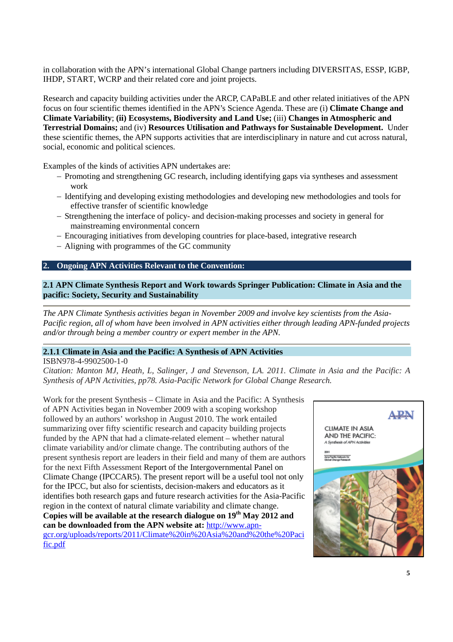in collaboration with the APN's international Global Change partners including DIVERSITAS, ESSP, IGBP, IHDP, START, WCRP and their related core and joint projects.

Research and capacity building activities under the ARCP, CAPaBLE and other related initiatives of the APN focus on four scientific themes identified in the APN's Science Agenda. These are (i) **Climate Change and Climate Variability**; **(ii) Ecosystems, Biodiversity and Land Use;** (iii) **Changes in Atmospheric and Terrestrial Domains;** and (iv) **Resources Utilisation and Pathways for Sustainable Development.** Under these scientific themes, the APN supports activities that are interdisciplinary in nature and cut across natural, social, economic and political sciences.

Examples of the kinds of activities APN undertakes are:

- − Promoting and strengthening GC research, including identifying gaps via syntheses and assessment work
- − Identifying and developing existing methodologies and developing new methodologies and tools for effective transfer of scientific knowledge
- − Strengthening the interface of policy- and decision-making processes and society in general for mainstreaming environmental concern
- − Encouraging initiatives from developing countries for place-based, integrative research
- − Aligning with programmes of the GC community

#### **2. Ongoing APN Activities Relevant to the Convention:**

### **2.1 APN Climate Synthesis Report and Work towards Springer Publication: Climate in Asia and the pacific: Society, Security and Sustainability**

*The APN Climate Synthesis activities began in November 2009 and involve key scientists from the Asia-Pacific region, all of whom have been involved in APN activities either through leading APN-funded projects and/or through being a member country or expert member in the APN.* 

#### **2.1.1 Climate in Asia and the Pacific: A Synthesis of APN Activities**

ISBN978-4-9902500-1-0 *Citation: Manton MJ, Heath, L, Salinger, J and Stevenson, LA. 2011. Climate in Asia and the Pacific: A Synthesis of APN Activities, pp78. Asia-Pacific Network for Global Change Research.* 

Work for the present Synthesis – Climate in Asia and the Pacific: A Synthesis of APN Activities began in November 2009 with a scoping workshop followed by an authors' workshop in August 2010. The work entailed summarizing over fifty scientific research and capacity building projects funded by the APN that had a climate-related element – whether natural climate variability and/or climate change. The contributing authors of the present synthesis report are leaders in their field and many of them are authors for the next Fifth Assessment Report of the Intergovernmental Panel on Climate Change (IPCCAR5). The present report will be a useful tool not only for the IPCC, but also for scientists, decision-makers and educators as it identifies both research gaps and future research activities for the Asia-Pacific region in the context of natural climate variability and climate change. **Copies will be available at the research dialogue on 19th May 2012 and can be downloaded from the APN website at:** http://www.apngcr.org/uploads/reports/2011/Climate%20in%20Asia%20and%20the%20Paci fic.pdf

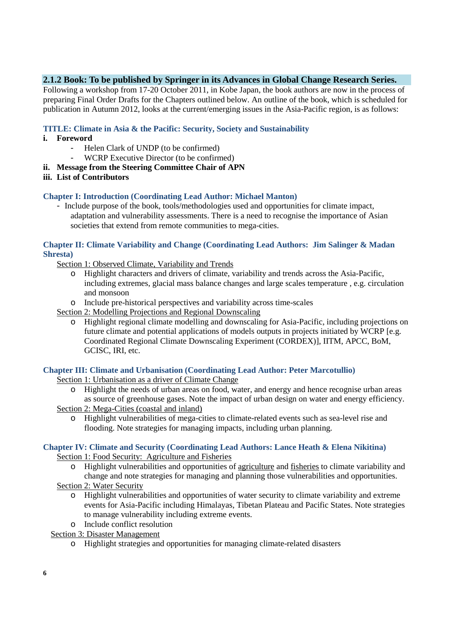## **2.1.2 Book: To be published by Springer in its Advances in Global Change Research Series.**

Following a workshop from 17-20 October 2011, in Kobe Japan, the book authors are now in the process of preparing Final Order Drafts for the Chapters outlined below. An outline of the book, which is scheduled for publication in Autumn 2012, looks at the current/emerging issues in the Asia-Pacific region, is as follows:

### **TITLE: Climate in Asia & the Pacific: Security, Society and Sustainability**

- **i. Foreword** 
	- Helen Clark of UNDP (to be confirmed)
	- WCRP Executive Director (to be confirmed)
- **ii. Message from the Steering Committee Chair of APN**
- **iii. List of Contributors**

#### **Chapter I: Introduction (Coordinating Lead Author: Michael Manton)**

- Include purpose of the book, tools/methodologies used and opportunities for climate impact, adaptation and vulnerability assessments. There is a need to recognise the importance of Asian societies that extend from remote communities to mega-cities.

#### **Chapter II: Climate Variability and Change (Coordinating Lead Authors: Jim Salinger & Madan Shresta)**

- Section 1: Observed Climate, Variability and Trends
	- o Highlight characters and drivers of climate, variability and trends across the Asia-Pacific, including extremes, glacial mass balance changes and large scales temperature , e.g. circulation and monsoon
	- o Include pre-historical perspectives and variability across time-scales
- Section 2: Modelling Projections and Regional Downscaling
	- o Highlight regional climate modelling and downscaling for Asia-Pacific, including projections on future climate and potential applications of models outputs in projects initiated by WCRP [e.g. Coordinated Regional Climate Downscaling Experiment (CORDEX)], IITM, APCC, BoM, GCISC, IRI, etc.

#### **Chapter III: Climate and Urbanisation (Coordinating Lead Author: Peter Marcotullio)**

Section 1: Urbanisation as a driver of Climate Change

- o Highlight the needs of urban areas on food, water, and energy and hence recognise urban areas as source of greenhouse gases. Note the impact of urban design on water and energy efficiency.
- Section 2: Mega-Cities (coastal and inland)
	- o Highlight vulnerabilities of mega-cities to climate-related events such as sea-level rise and flooding. Note strategies for managing impacts, including urban planning.

# **Chapter IV: Climate and Security (Coordinating Lead Authors: Lance Heath & Elena Nikitina)**

Section 1: Food Security: Agriculture and Fisheries

- o Highlight vulnerabilities and opportunities of agriculture and fisheries to climate variability and change and note strategies for managing and planning those vulnerabilities and opportunities. Section 2: Water Security
- - o Highlight vulnerabilities and opportunities of water security to climate variability and extreme events for Asia-Pacific including Himalayas, Tibetan Plateau and Pacific States. Note strategies to manage vulnerability including extreme events.
	- o Include conflict resolution
- Section 3: Disaster Management
	- o Highlight strategies and opportunities for managing climate-related disasters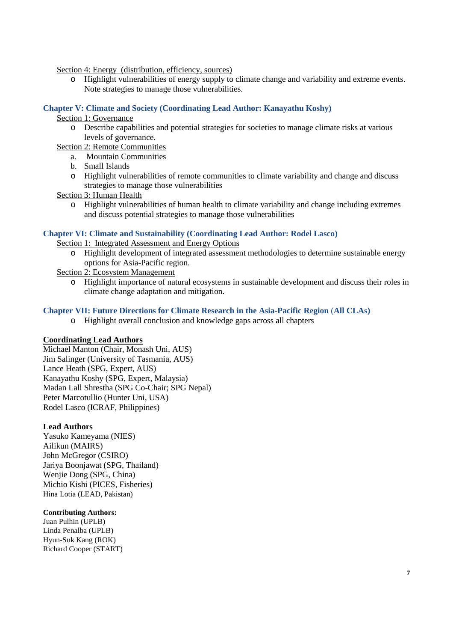Section 4: Energy (distribution, efficiency, sources)

o Highlight vulnerabilities of energy supply to climate change and variability and extreme events. Note strategies to manage those vulnerabilities.

### **Chapter V: Climate and Society (Coordinating Lead Author: Kanayathu Koshy)**

#### Section 1: Governance

o Describe capabilities and potential strategies for societies to manage climate risks at various levels of governance.

Section 2: Remote Communities

- a. Mountain Communities
- b. Small Islands
- o Highlight vulnerabilities of remote communities to climate variability and change and discuss strategies to manage those vulnerabilities

Section 3: Human Health

o Highlight vulnerabilities of human health to climate variability and change including extremes and discuss potential strategies to manage those vulnerabilities

#### **Chapter VI: Climate and Sustainability (Coordinating Lead Author: Rodel Lasco)**

Section 1: Integrated Assessment and Energy Options

o Highlight development of integrated assessment methodologies to determine sustainable energy options for Asia-Pacific region.

Section 2: Ecosystem Management

o Highlight importance of natural ecosystems in sustainable development and discuss their roles in climate change adaptation and mitigation.

#### **Chapter VII: Future Directions for Climate Research in the Asia-Pacific Region** (**All CLAs)**

o Highlight overall conclusion and knowledge gaps across all chapters

#### **Coordinating Lead Authors**

Michael Manton (Chair, Monash Uni, AUS) Jim Salinger (University of Tasmania, AUS) Lance Heath (SPG, Expert, AUS) Kanayathu Koshy (SPG, Expert, Malaysia) Madan Lall Shrestha (SPG Co-Chair; SPG Nepal) Peter Marcotullio (Hunter Uni, USA) Rodel Lasco (ICRAF, Philippines)

#### **Lead Authors**

Yasuko Kameyama (NIES) Ailikun (MAIRS) John McGregor (CSIRO) Jariya Boonjawat (SPG, Thailand) Wenjie Dong (SPG, China) Michio Kishi (PICES, Fisheries) Hina Lotia (LEAD, Pakistan)

#### **Contributing Authors:**

Juan Pulhin (UPLB) Linda Penalba (UPLB) Hyun-Suk Kang (ROK) Richard Cooper (START)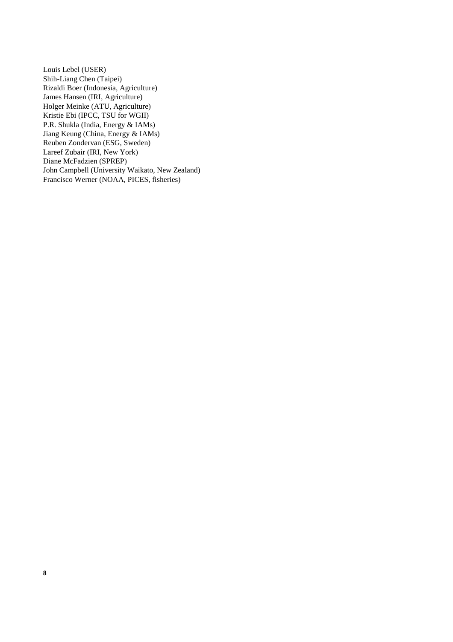Louis Lebel (USER) Shih-Liang Chen (Taipei) Rizaldi Boer (Indonesia, Agriculture) James Hansen (IRI, Agriculture) Holger Meinke (ATU, Agriculture) Kristie Ebi (IPCC, TSU for WGII) P.R. Shukla (India, Energy & IAMs) Jiang Keung (China, Energy & IAMs) Reuben Zondervan (ESG, Sweden) Lareef Zubair (IRI, New York) Diane McFadzien (SPREP) John Campbell (University Waikato, New Zealand) Francisco Werner (NOAA, PICES, fisheries)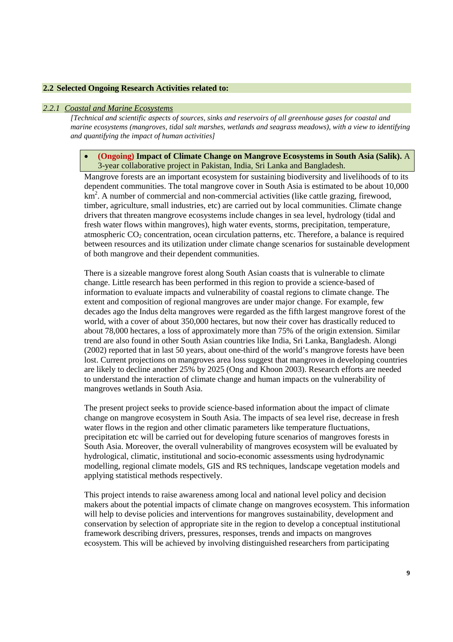#### **2.2 Selected Ongoing Research Activities related to:**

#### *2.2.1 Coastal and Marine Ecosystems*

*[Technical and scientific aspects of sources, sinks and reservoirs of all greenhouse gases for coastal and marine ecosystems (mangroves, tidal salt marshes, wetlands and seagrass meadows), with a view to identifying and quantifying the impact of human activities]* 

#### • **(Ongoing) Impact of Climate Change on Mangrove Ecosystems in South Asia (Salik).** A 3-year collaborative project in Pakistan, India, Sri Lanka and Bangladesh.

Mangrove forests are an important ecosystem for sustaining biodiversity and livelihoods of to its dependent communities. The total mangrove cover in South Asia is estimated to be about 10,000 km<sup>2</sup>. A number of commercial and non-commercial activities (like cattle grazing, firewood, timber, agriculture, small industries, etc) are carried out by local communities. Climate change drivers that threaten mangrove ecosystems include changes in sea level, hydrology (tidal and fresh water flows within mangroves), high water events, storms, precipitation, temperature, atmospheric  $CO<sub>2</sub>$  concentration, ocean circulation patterns, etc. Therefore, a balance is required between resources and its utilization under climate change scenarios for sustainable development of both mangrove and their dependent communities.

There is a sizeable mangrove forest along South Asian coasts that is vulnerable to climate change. Little research has been performed in this region to provide a science-based of information to evaluate impacts and vulnerability of coastal regions to climate change. The extent and composition of regional mangroves are under major change. For example, few decades ago the Indus delta mangroves were regarded as the fifth largest mangrove forest of the world, with a cover of about 350,000 hectares, but now their cover has drastically reduced to about 78,000 hectares, a loss of approximately more than 75% of the origin extension. Similar trend are also found in other South Asian countries like India, Sri Lanka, Bangladesh. Alongi (2002) reported that in last 50 years, about one-third of the world's mangrove forests have been lost. Current projections on mangroves area loss suggest that mangroves in developing countries are likely to decline another 25% by 2025 (Ong and Khoon 2003). Research efforts are needed to understand the interaction of climate change and human impacts on the vulnerability of mangroves wetlands in South Asia.

The present project seeks to provide science-based information about the impact of climate change on mangrove ecosystem in South Asia. The impacts of sea level rise, decrease in fresh water flows in the region and other climatic parameters like temperature fluctuations, precipitation etc will be carried out for developing future scenarios of mangroves forests in South Asia. Moreover, the overall vulnerability of mangroves ecosystem will be evaluated by hydrological, climatic, institutional and socio-economic assessments using hydrodynamic modelling, regional climate models, GIS and RS techniques, landscape vegetation models and applying statistical methods respectively.

This project intends to raise awareness among local and national level policy and decision makers about the potential impacts of climate change on mangroves ecosystem. This information will help to devise policies and interventions for mangroves sustainability, development and conservation by selection of appropriate site in the region to develop a conceptual institutional framework describing drivers, pressures, responses, trends and impacts on mangroves ecosystem. This will be achieved by involving distinguished researchers from participating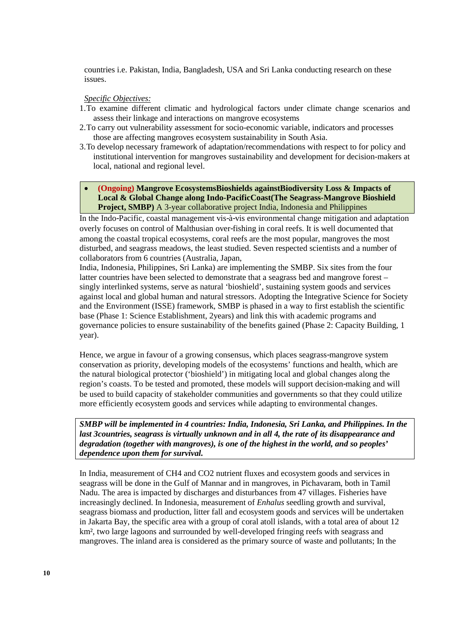countries i.e. Pakistan, India, Bangladesh, USA and Sri Lanka conducting research on these issues.

#### *Specific Objectives:*

- 1.To examine different climatic and hydrological factors under climate change scenarios and assess their linkage and interactions on mangrove ecosystems
- 2.To carry out vulnerability assessment for socio-economic variable, indicators and processes those are affecting mangroves ecosystem sustainability in South Asia.
- 3.To develop necessary framework of adaptation/recommendations with respect to for policy and institutional intervention for mangroves sustainability and development for decision-makers at local, national and regional level.

### • **(Ongoing) Mangrove EcosystemsBioshields againstBiodiversity Loss & Impacts of Local & Global Change along Indo-PacificCoast(The Seagrass-Mangrove Bioshield Project, SMBP**) A 3-year collaborative project India, Indonesia and Philippines

In the Indo-Pacific, coastal management vis-à-vis environmental change mitigation and adaptation overly focuses on control of Malthusian over-fishing in coral reefs. It is well documented that among the coastal tropical ecosystems, coral reefs are the most popular, mangroves the most disturbed, and seagrass meadows, the least studied. Seven respected scientists and a number of collaborators from 6 countries (Australia, Japan,

India, Indonesia, Philippines, Sri Lanka) are implementing the SMBP. Six sites from the four latter countries have been selected to demonstrate that a seagrass bed and mangrove forest – singly interlinked systems, serve as natural 'bioshield', sustaining system goods and services against local and global human and natural stressors. Adopting the Integrative Science for Society and the Environment (ISSE) framework, SMBP is phased in a way to first establish the scientific base (Phase 1: Science Establishment, 2years) and link this with academic programs and governance policies to ensure sustainability of the benefits gained (Phase 2: Capacity Building, 1 year).

Hence, we argue in favour of a growing consensus, which places seagrass-mangrove system conservation as priority, developing models of the ecosystems' functions and health, which are the natural biological protector ('bioshield') in mitigating local and global changes along the region's coasts. To be tested and promoted, these models will support decision-making and will be used to build capacity of stakeholder communities and governments so that they could utilize more efficiently ecosystem goods and services while adapting to environmental changes.

*SMBP will be implemented in 4 countries: India, Indonesia, Sri Lanka, and Philippines. In the last 3countries, seagrass is virtually unknown and in all 4, the rate of its disappearance and degradation (together with mangroves), is one of the highest in the world, and so peoples' dependence upon them for survival.* 

In India, measurement of CH4 and CO2 nutrient fluxes and ecosystem goods and services in seagrass will be done in the Gulf of Mannar and in mangroves, in Pichavaram, both in Tamil Nadu. The area is impacted by discharges and disturbances from 47 villages. Fisheries have increasingly declined. In Indonesia, measurement of *Enhalus* seedling growth and survival, seagrass biomass and production, litter fall and ecosystem goods and services will be undertaken in Jakarta Bay, the specific area with a group of coral atoll islands, with a total area of about 12 km², two large lagoons and surrounded by well-developed fringing reefs with seagrass and mangroves. The inland area is considered as the primary source of waste and pollutants; In the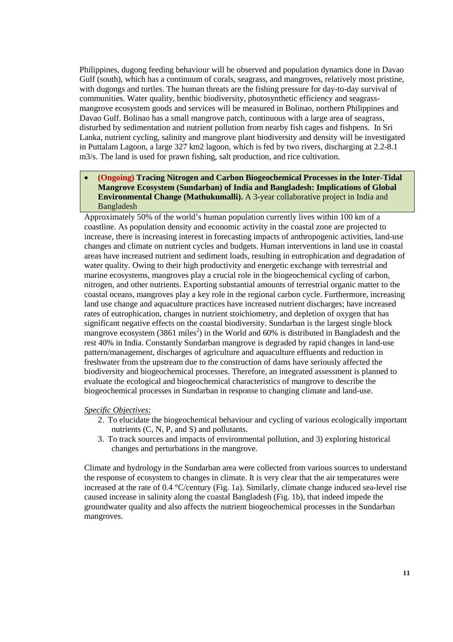Philippines, dugong feeding behaviour will be observed and population dynamics done in Davao Gulf (south), which has a continuum of corals, seagrass, and mangroves, relatively most pristine, with dugongs and turtles. The human threats are the fishing pressure for day-to-day survival of communities. Water quality, benthic biodiversity, photosynthetic efficiency and seagrassmangrove ecosystem goods and services will be measured in Bolinao, northern Philippines and Davao Gulf. Bolinao has a small mangrove patch, continuous with a large area of seagrass, disturbed by sedimentation and nutrient pollution from nearby fish cages and fishpens. In Sri Lanka, nutrient cycling, salinity and mangrove plant biodiversity and density will be investigated in Puttalam Lagoon, a large 327 km2 lagoon, which is fed by two rivers, discharging at 2.2-8.1 m3/s. The land is used for prawn fishing, salt production, and rice cultivation.

• **(Ongoing) Tracing Nitrogen and Carbon Biogeochemical Processes in the Inter-Tidal Mangrove Ecosystem (Sundarban) of India and Bangladesh: Implications of Global Environmental Change (Mathukumalli).** A 3-year collaborative project in India and Bangladesh

Approximately 50% of the world's human population currently lives within 100 km of a coastline. As population density and economic activity in the coastal zone are projected to increase, there is increasing interest in forecasting impacts of anthropogenic activities, land-use changes and climate on nutrient cycles and budgets. Human interventions in land use in coastal areas have increased nutrient and sediment loads, resulting in eutrophication and degradation of water quality. Owing to their high productivity and energetic exchange with terrestrial and marine ecosystems, mangroves play a crucial role in the biogeochemical cycling of carbon, nitrogen, and other nutrients. Exporting substantial amounts of terrestrial organic matter to the coastal oceans, mangroves play a key role in the regional carbon cycle. Furthermore, increasing land use change and aquaculture practices have increased nutrient discharges; have increased rates of eutrophication, changes in nutrient stoichiometry, and depletion of oxygen that has significant negative effects on the coastal biodiversity. Sundarban is the largest single block mangrove ecosystem  $(3861 \text{ miles}^2)$  in the World and 60% is distributed in Bangladesh and the rest 40% in India. Constantly Sundarban mangrove is degraded by rapid changes in land-use pattern/management, discharges of agriculture and aquaculture effluents and reduction in freshwater from the upstream due to the construction of dams have seriously affected the biodiversity and biogeochemical processes. Therefore, an integrated assessment is planned to evaluate the ecological and biogeochemical characteristics of mangrove to describe the biogeochemical processes in Sundarban in response to changing climate and land-use.

#### *Specific Objectives:*

- 2. To elucidate the biogeochemical behaviour and cycling of various ecologically important nutrients (C, N, P, and S) and pollutants.
- 3. To track sources and impacts of environmental pollution, and 3) exploring historical changes and perturbations in the mangrove.

Climate and hydrology in the Sundarban area were collected from various sources to understand the response of ecosystem to changes in climate. It is very clear that the air temperatures were increased at the rate of 0.4 °C/century (Fig. 1a). Similarly, climate change induced sea-level rise caused increase in salinity along the coastal Bangladesh (Fig. 1b), that indeed impede the groundwater quality and also affects the nutrient biogeochemical processes in the Sundarban mangroves.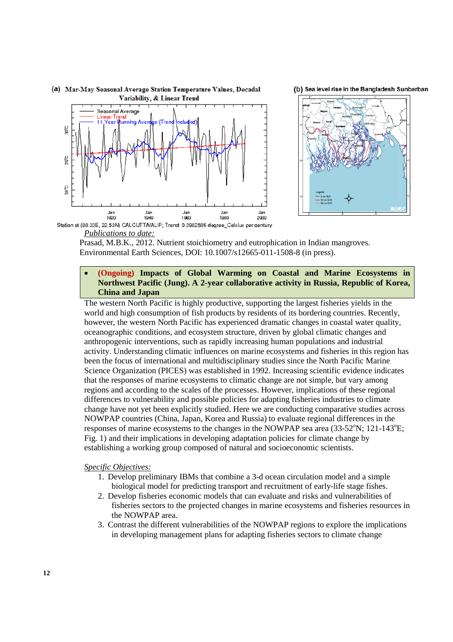





*Publications to date:*

Prasad, M.B.K., 2012. Nutrient stoichiometry and eutrophication in Indian mangroves. Environmental Earth Sciences, DOI: 10.1007/s12665-011-1508-8 (in press).

### • **(Ongoing) Impacts of Global Warming on Coastal and Marine Ecosystems in Northwest Pacific (Jung). A 2-year collaborative activity in Russia, Republic of Korea, China and Japan**

The western North Pacific is highly productive, supporting the largest fisheries yields in the world and high consumption of fish products by residents of its bordering countries. Recently, however, the western North Pacific has experienced dramatic changes in coastal water quality, oceanographic conditions, and ecosystem structure, driven by global climatic changes and anthropogenic interventions, such as rapidly increasing human populations and industrial activity. Understanding climatic influences on marine ecosystems and fisheries in this region has been the focus of international and multidisciplinary studies since the North Pacific Marine Science Organization (PICES) was established in 1992. Increasing scientific evidence indicates that the responses of marine ecosystems to climatic change are not simple, but vary among regions and according to the scales of the processes. However, implications of these regional differences to vulnerability and possible policies for adapting fisheries industries to climate change have not yet been explicitly studied. Here we are conducting comparative studies across NOWPAP countries (China, Japan, Korea and Russia) to evaluate regional differences in the responses of marine ecosystems to the changes in the NOWPAP sea area  $(33-52^{\circ}N; 121-143^{\circ}E;$ Fig. 1) and their implications in developing adaptation policies for climate change by establishing a working group composed of natural and socioeconomic scientists.

#### *Specific Objectives:*

- 1. Develop preliminary IBMs that combine a 3-d ocean circulation model and a simple biological model for predicting transport and recruitment of early-life stage fishes.
- 2. Develop fisheries economic models that can evaluate and risks and vulnerabilities of fisheries sectors to the projected changes in marine ecosystems and fisheries resources in the NOWPAP area.
- 3. Contrast the different vulnerabilities of the NOWPAP regions to explore the implications in developing management plans for adapting fisheries sectors to climate change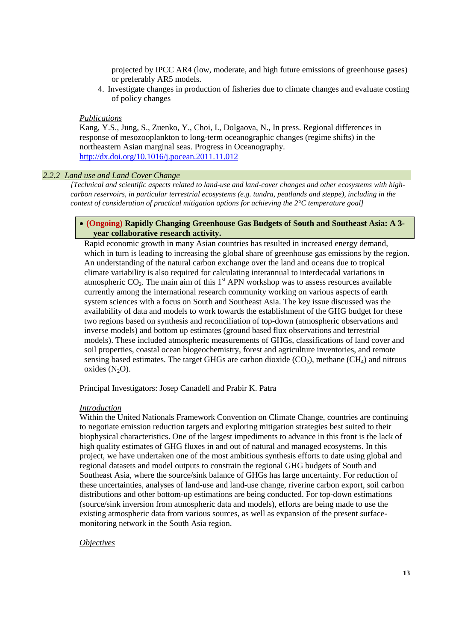projected by IPCC AR4 (low, moderate, and high future emissions of greenhouse gases) or preferably AR5 models.

4. Investigate changes in production of fisheries due to climate changes and evaluate costing of policy changes

#### *Publications*

Kang, Y.S., Jung, S., Zuenko, Y., Choi, I., Dolgaova, N., In press. Regional differences in response of mesozooplankton to long-term oceanographic changes (regime shifts) in the northeastern Asian marginal seas. Progress in Oceanography. http://dx.doi.org/10.1016/j.pocean.2011.11.012

#### *2.2.2 Land use and Land Cover Change*

*[Technical and scientific aspects related to land-use and land-cover changes and other ecosystems with highcarbon reservoirs, in particular terrestrial ecosystems (e.g. tundra, peatlands and steppe), including in the context of consideration of practical mitigation options for achieving the 2°C temperature goal]* 

#### • **(Ongoing) Rapidly Changing Greenhouse Gas Budgets of South and Southeast Asia: A 3 year collaborative research activity.**

Rapid economic growth in many Asian countries has resulted in increased energy demand, which in turn is leading to increasing the global share of greenhouse gas emissions by the region. An understanding of the natural carbon exchange over the land and oceans due to tropical climate variability is also required for calculating interannual to interdecadal variations in atmospheric  $CO<sub>2</sub>$ . The main aim of this  $1<sup>st</sup>$  APN workshop was to assess resources available currently among the international research community working on various aspects of earth system sciences with a focus on South and Southeast Asia. The key issue discussed was the availability of data and models to work towards the establishment of the GHG budget for these two regions based on synthesis and reconciliation of top-down (atmospheric observations and inverse models) and bottom up estimates (ground based flux observations and terrestrial models). These included atmospheric measurements of GHGs, classifications of land cover and soil properties, coastal ocean biogeochemistry, forest and agriculture inventories, and remote sensing based estimates. The target GHGs are carbon dioxide  $(CO<sub>2</sub>)$ , methane  $(CH<sub>4</sub>)$  and nitrous oxides  $(N_2O)$ .

Principal Investigators: Josep Canadell and Prabir K. Patra

#### *Introduction*

Within the United Nationals Framework Convention on Climate Change, countries are continuing to negotiate emission reduction targets and exploring mitigation strategies best suited to their biophysical characteristics. One of the largest impediments to advance in this front is the lack of high quality estimates of GHG fluxes in and out of natural and managed ecosystems. In this project, we have undertaken one of the most ambitious synthesis efforts to date using global and regional datasets and model outputs to constrain the regional GHG budgets of South and Southeast Asia, where the source/sink balance of GHGs has large uncertainty. For reduction of these uncertainties, analyses of land-use and land-use change, riverine carbon export, soil carbon distributions and other bottom-up estimations are being conducted. For top-down estimations (source/sink inversion from atmospheric data and models), efforts are being made to use the existing atmospheric data from various sources, as well as expansion of the present surfacemonitoring network in the South Asia region.

#### *Objectives*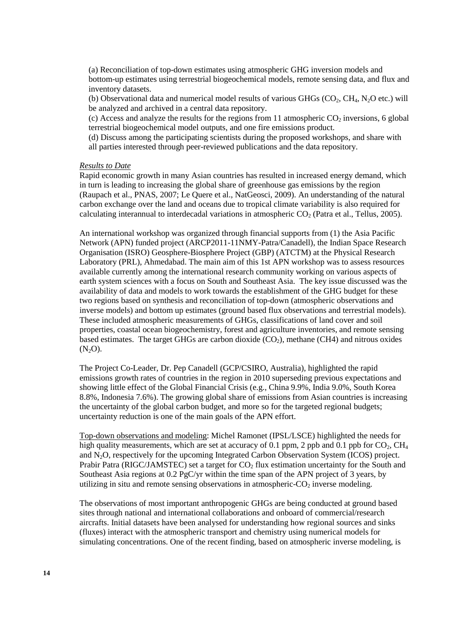(a) Reconciliation of top-down estimates using atmospheric GHG inversion models and bottom-up estimates using terrestrial biogeochemical models, remote sensing data, and flux and inventory datasets.

(b) Observational data and numerical model results of various GHGs  $(CO_2, CH_4, N_2O$  etc.) will be analyzed and archived in a central data repository.

(c) Access and analyze the results for the regions from 11 atmospheric  $CO<sub>2</sub>$  inversions, 6 global terrestrial biogeochemical model outputs, and one fire emissions product.

(d) Discuss among the participating scientists during the proposed workshops, and share with all parties interested through peer-reviewed publications and the data repository.

#### *Results to Date*

Rapid economic growth in many Asian countries has resulted in increased energy demand, which in turn is leading to increasing the global share of greenhouse gas emissions by the region (Raupach et al., PNAS, 2007; Le Quere et al., NatGeosci, 2009). An understanding of the natural carbon exchange over the land and oceans due to tropical climate variability is also required for calculating interannual to interdecadal variations in atmospheric  $CO<sub>2</sub>$  (Patra et al., Tellus, 2005).

An international workshop was organized through financial supports from (1) the Asia Pacific Network (APN) funded project (ARCP2011-11NMY-Patra/Canadell), the Indian Space Research Organisation (ISRO) Geosphere-Biosphere Project (GBP) (ATCTM) at the Physical Research Laboratory (PRL), Ahmedabad. The main aim of this 1st APN workshop was to assess resources available currently among the international research community working on various aspects of earth system sciences with a focus on South and Southeast Asia. The key issue discussed was the availability of data and models to work towards the establishment of the GHG budget for these two regions based on synthesis and reconciliation of top-down (atmospheric observations and inverse models) and bottom up estimates (ground based flux observations and terrestrial models). These included atmospheric measurements of GHGs, classifications of land cover and soil properties, coastal ocean biogeochemistry, forest and agriculture inventories, and remote sensing based estimates. The target GHGs are carbon dioxide  $(CO<sub>2</sub>)$ , methane  $(CH4)$  and nitrous oxides  $(N<sub>2</sub>O)$ .

The Project Co-Leader, Dr. Pep Canadell (GCP/CSIRO, Australia), highlighted the rapid emissions growth rates of countries in the region in 2010 superseding previous expectations and showing little effect of the Global Financial Crisis (e.g., China 9.9%, India 9.0%, South Korea 8.8%, Indonesia 7.6%). The growing global share of emissions from Asian countries is increasing the uncertainty of the global carbon budget, and more so for the targeted regional budgets; uncertainty reduction is one of the main goals of the APN effort.

Top-down observations and modeling: Michel Ramonet (IPSL/LSCE) highlighted the needs for high quality measurements, which are set at accuracy of 0.1 ppm, 2 ppb and 0.1 ppb for  $CO<sub>2</sub>$ ,  $CH<sub>4</sub>$ and N2O, respectively for the upcoming Integrated Carbon Observation System (ICOS) project. Prabir Patra (RIGC/JAMSTEC) set a target for  $CO<sub>2</sub>$  flux estimation uncertainty for the South and Southeast Asia regions at 0.2 PgC/yr within the time span of the APN project of 3 years, by utilizing in situ and remote sensing observations in atmospheric- $CO<sub>2</sub>$  inverse modeling.

The observations of most important anthropogenic GHGs are being conducted at ground based sites through national and international collaborations and onboard of commercial/research aircrafts. Initial datasets have been analysed for understanding how regional sources and sinks (fluxes) interact with the atmospheric transport and chemistry using numerical models for simulating concentrations. One of the recent finding, based on atmospheric inverse modeling, is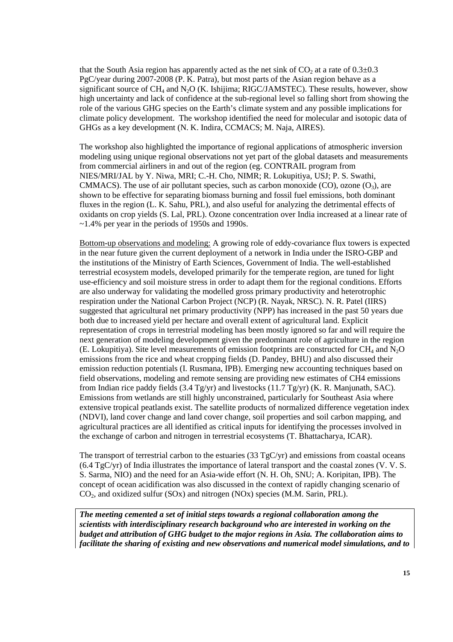that the South Asia region has apparently acted as the net sink of  $CO<sub>2</sub>$  at a rate of  $0.3\pm0.3$ PgC/year during 2007-2008 (P. K. Patra), but most parts of the Asian region behave as a significant source of  $CH_4$  and  $N_2O$  (K. Ishijima; RIGC/JAMSTEC). These results, however, show high uncertainty and lack of confidence at the sub-regional level so falling short from showing the role of the various GHG species on the Earth's climate system and any possible implications for climate policy development. The workshop identified the need for molecular and isotopic data of GHGs as a key development (N. K. Indira, CCMACS; M. Naja, AIRES).

The workshop also highlighted the importance of regional applications of atmospheric inversion modeling using unique regional observations not yet part of the global datasets and measurements from commercial airliners in and out of the region (eg. CONTRAIL program from NIES/MRI/JAL by Y. Niwa, MRI; C.-H. Cho, NIMR; R. Lokupitiya, USJ; P. S. Swathi, CMMACS). The use of air pollutant species, such as carbon monoxide (CO), ozone  $(O_3)$ , are shown to be effective for separating biomass burning and fossil fuel emissions, both dominant fluxes in the region (L. K. Sahu, PRL), and also useful for analyzing the detrimental effects of oxidants on crop yields (S. Lal, PRL). Ozone concentration over India increased at a linear rate of ~1.4% per year in the periods of 1950s and 1990s.

Bottom-up observations and modeling: A growing role of eddy-covariance flux towers is expected in the near future given the current deployment of a network in India under the ISRO-GBP and the institutions of the Ministry of Earth Sciences, Government of India. The well-established terrestrial ecosystem models, developed primarily for the temperate region, are tuned for light use-efficiency and soil moisture stress in order to adapt them for the regional conditions. Efforts are also underway for validating the modelled gross primary productivity and heterotrophic respiration under the National Carbon Project (NCP) (R. Nayak, NRSC). N. R. Patel (IIRS) suggested that agricultural net primary productivity (NPP) has increased in the past 50 years due both due to increased yield per hectare and overall extent of agricultural land. Explicit representation of crops in terrestrial modeling has been mostly ignored so far and will require the next generation of modeling development given the predominant role of agriculture in the region (E. Lokupitiya). Site level measurements of emission footprints are constructed for  $CH_4$  and  $N_2O$ emissions from the rice and wheat cropping fields (D. Pandey, BHU) and also discussed their emission reduction potentials (I. Rusmana, IPB). Emerging new accounting techniques based on field observations, modeling and remote sensing are providing new estimates of CH4 emissions from Indian rice paddy fields (3.4 Tg/yr) and livestocks (11.7 Tg/yr) (K. R. Manjunath, SAC). Emissions from wetlands are still highly unconstrained, particularly for Southeast Asia where extensive tropical peatlands exist. The satellite products of normalized difference vegetation index (NDVI), land cover change and land cover change, soil properties and soil carbon mapping, and agricultural practices are all identified as critical inputs for identifying the processes involved in the exchange of carbon and nitrogen in terrestrial ecosystems (T. Bhattacharya, ICAR).

The transport of terrestrial carbon to the estuaries  $(33 \text{ TeC/yr})$  and emissions from coastal oceans (6.4 TgC/yr) of India illustrates the importance of lateral transport and the coastal zones (V. V. S. S. Sarma, NIO) and the need for an Asia-wide effort (N. H. Oh, SNU; A. Koripitan, IPB). The concept of ocean acidification was also discussed in the context of rapidly changing scenario of  $CO<sub>2</sub>$ , and oxidized sulfur  $(SOx)$  and nitrogen  $(NOx)$  species  $(M.M. Sarin, PRL)$ .

*The meeting cemented a set of initial steps towards a regional collaboration among the scientists with interdisciplinary research background who are interested in working on the budget and attribution of GHG budget to the major regions in Asia. The collaboration aims to facilitate the sharing of existing and new observations and numerical model simulations, and to*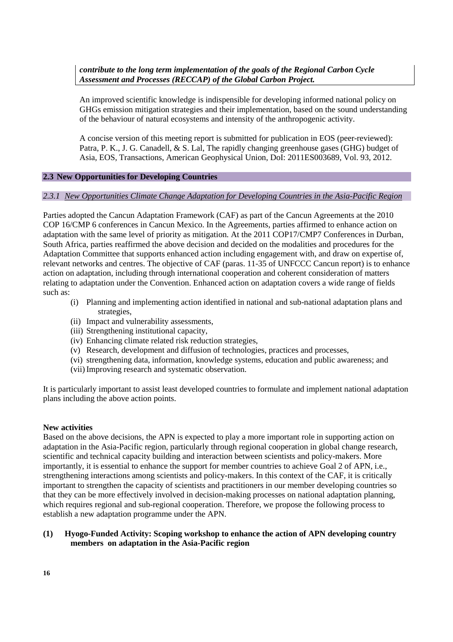*contribute to the long term implementation of the goals of the Regional Carbon Cycle Assessment and Processes (RECCAP) of the Global Carbon Project.* 

An improved scientific knowledge is indispensible for developing informed national policy on GHGs emission mitigation strategies and their implementation, based on the sound understanding of the behaviour of natural ecosystems and intensity of the anthropogenic activity.

A concise version of this meeting report is submitted for publication in EOS (peer-reviewed): Patra, P. K., J. G. Canadell, & S. Lal, The rapidly changing greenhouse gases (GHG) budget of Asia, EOS, Transactions, American Geophysical Union, DoI: 2011ES003689, Vol. 93, 2012.

#### **2.3 New Opportunities for Developing Countries**

### *2.3.1 New Opportunities Climate Change Adaptation for Developing Countries in the Asia-Pacific Region*

Parties adopted the Cancun Adaptation Framework (CAF) as part of the Cancun Agreements at the 2010 COP 16/CMP 6 conferences in Cancun Mexico. In the Agreements, parties affirmed to enhance action on adaptation with the same level of priority as mitigation. At the 2011 COP17/CMP7 Conferences in Durban, South Africa, parties reaffirmed the above decision and decided on the modalities and procedures for the Adaptation Committee that supports enhanced action including engagement with, and draw on expertise of, relevant networks and centres. The objective of CAF (paras. 11-35 of UNFCCC Cancun report) is to enhance action on adaptation, including through international cooperation and coherent consideration of matters relating to adaptation under the Convention. Enhanced action on adaptation covers a wide range of fields such as:

- (i) Planning and implementing action identified in national and sub-national adaptation plans and strategies,
- (ii) Impact and vulnerability assessments,
- (iii) Strengthening institutional capacity,
- (iv) Enhancing climate related risk reduction strategies,
- (v) Research, development and diffusion of technologies, practices and processes,
- (vi) strengthening data, information, knowledge systems, education and public awareness; and
- (vii)Improving research and systematic observation.

It is particularly important to assist least developed countries to formulate and implement national adaptation plans including the above action points.

#### **New activities**

Based on the above decisions, the APN is expected to play a more important role in supporting action on adaptation in the Asia-Pacific region, particularly through regional cooperation in global change research, scientific and technical capacity building and interaction between scientists and policy-makers. More importantly, it is essential to enhance the support for member countries to achieve Goal 2 of APN, i.e., strengthening interactions among scientists and policy-makers. In this context of the CAF, it is critically important to strengthen the capacity of scientists and practitioners in our member developing countries so that they can be more effectively involved in decision-making processes on national adaptation planning, which requires regional and sub-regional cooperation. Therefore, we propose the following process to establish a new adaptation programme under the APN.

### **(1) Hyogo-Funded Activity: Scoping workshop to enhance the action of APN developing country members on adaptation in the Asia-Pacific region**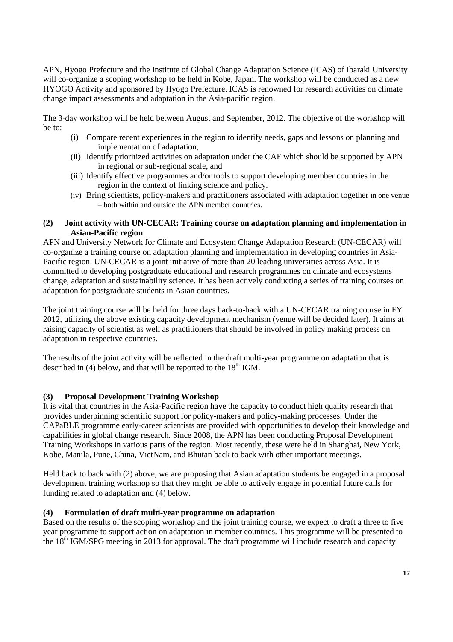APN, Hyogo Prefecture and the Institute of Global Change Adaptation Science (ICAS) of Ibaraki University will co-organize a scoping workshop to be held in Kobe, Japan. The workshop will be conducted as a new HYOGO Activity and sponsored by Hyogo Prefecture. ICAS is renowned for research activities on climate change impact assessments and adaptation in the Asia-pacific region.

The 3-day workshop will be held between August and September, 2012. The objective of the workshop will be to:

- (i) Compare recent experiences in the region to identify needs, gaps and lessons on planning and implementation of adaptation,
- (ii) Identify prioritized activities on adaptation under the CAF which should be supported by APN in regional or sub-regional scale, and
- (iii) Identify effective programmes and/or tools to support developing member countries in the region in the context of linking science and policy.
- (iv) Bring scientists, policy-makers and practitioners associated with adaptation together in one venue – both within and outside the APN member countries.

### **(2) Joint activity with UN-CECAR: Training course on adaptation planning and implementation in Asian-Pacific region**

APN and University Network for Climate and Ecosystem Change Adaptation Research (UN-CECAR) will co-organize a training course on adaptation planning and implementation in developing countries in Asia-Pacific region. UN-CECAR is a joint initiative of more than 20 leading universities across Asia. It is committed to developing postgraduate educational and research programmes on climate and ecosystems change, adaptation and sustainability science. It has been actively conducting a series of training courses on adaptation for postgraduate students in Asian countries.

The joint training course will be held for three days back-to-back with a UN-CECAR training course in FY 2012, utilizing the above existing capacity development mechanism (venue will be decided later). It aims at raising capacity of scientist as well as practitioners that should be involved in policy making process on adaptation in respective countries.

The results of the joint activity will be reflected in the draft multi-year programme on adaptation that is described in  $(4)$  below, and that will be reported to the  $18<sup>th</sup>$  IGM.

## **(3) Proposal Development Training Workshop**

It is vital that countries in the Asia-Pacific region have the capacity to conduct high quality research that provides underpinning scientific support for policy-makers and policy-making processes. Under the CAPaBLE programme early-career scientists are provided with opportunities to develop their knowledge and capabilities in global change research. Since 2008, the APN has been conducting Proposal Development Training Workshops in various parts of the region. Most recently, these were held in Shanghai, New York, Kobe, Manila, Pune, China, VietNam, and Bhutan back to back with other important meetings.

Held back to back with (2) above, we are proposing that Asian adaptation students be engaged in a proposal development training workshop so that they might be able to actively engage in potential future calls for funding related to adaptation and (4) below.

## **(4) Formulation of draft multi-year programme on adaptation**

Based on the results of the scoping workshop and the joint training course, we expect to draft a three to five year programme to support action on adaptation in member countries. This programme will be presented to the 18<sup>th</sup> IGM/SPG meeting in 2013 for approval. The draft programme will include research and capacity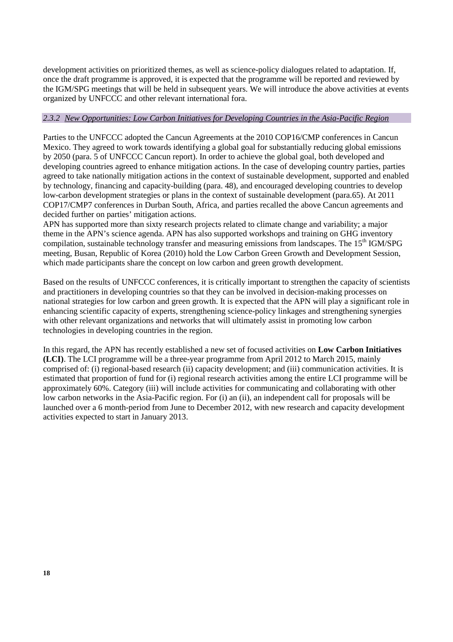development activities on prioritized themes, as well as science-policy dialogues related to adaptation. If, once the draft programme is approved, it is expected that the programme will be reported and reviewed by the IGM/SPG meetings that will be held in subsequent years. We will introduce the above activities at events organized by UNFCCC and other relevant international fora.

#### *2.3.2 New Opportunities: Low Carbon Initiatives for Developing Countries in the Asia-Pacific Region*

Parties to the UNFCCC adopted the Cancun Agreements at the 2010 COP16/CMP conferences in Cancun Mexico. They agreed to work towards identifying a global goal for substantially reducing global emissions by 2050 (para. 5 of UNFCCC Cancun report). In order to achieve the global goal, both developed and developing countries agreed to enhance mitigation actions. In the case of developing country parties, parties agreed to take nationally mitigation actions in the context of sustainable development, supported and enabled by technology, financing and capacity-building (para. 48), and encouraged developing countries to develop low-carbon development strategies or plans in the context of sustainable development (para.65). At 2011 COP17/CMP7 conferences in Durban South, Africa, and parties recalled the above Cancun agreements and decided further on parties' mitigation actions.

APN has supported more than sixty research projects related to climate change and variability; a major theme in the APN's science agenda. APN has also supported workshops and training on GHG inventory compilation, sustainable technology transfer and measuring emissions from landscapes. The 15<sup>th</sup> IGM/SPG meeting, Busan, Republic of Korea (2010) hold the Low Carbon Green Growth and Development Session, which made participants share the concept on low carbon and green growth development.

Based on the results of UNFCCC conferences, it is critically important to strengthen the capacity of scientists and practitioners in developing countries so that they can be involved in decision-making processes on national strategies for low carbon and green growth. It is expected that the APN will play a significant role in enhancing scientific capacity of experts, strengthening science-policy linkages and strengthening synergies with other relevant organizations and networks that will ultimately assist in promoting low carbon technologies in developing countries in the region.

In this regard, the APN has recently established a new set of focused activities on **Low Carbon Initiatives (LCI)**. The LCI programme will be a three-year programme from April 2012 to March 2015, mainly comprised of: (i) regional-based research (ii) capacity development; and (iii) communication activities. It is estimated that proportion of fund for (i) regional research activities among the entire LCI programme will be approximately 60%. Category (iii) will include activities for communicating and collaborating with other low carbon networks in the Asia-Pacific region. For (i) an (ii), an independent call for proposals will be launched over a 6 month-period from June to December 2012, with new research and capacity development activities expected to start in January 2013.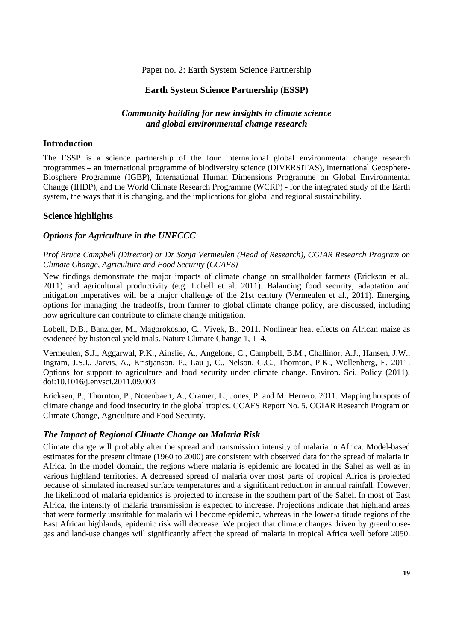### Paper no. 2: Earth System Science Partnership

## **Earth System Science Partnership (ESSP)**

## *Community building for new insights in climate science and global environmental change research*

#### **Introduction**

The ESSP is a science partnership of the four international global environmental change research programmes – an international programme of biodiversity science (DIVERSITAS), International Geosphere-Biosphere Programme (IGBP), International Human Dimensions Programme on Global Environmental Change (IHDP), and the World Climate Research Programme (WCRP) - for the integrated study of the Earth system, the ways that it is changing, and the implications for global and regional sustainability.

### **Science highlights**

### *Options for Agriculture in the UNFCCC*

*Prof Bruce Campbell (Director) or Dr Sonja Vermeulen (Head of Research), CGIAR Research Program on Climate Change, Agriculture and Food Security (CCAFS)* 

New findings demonstrate the major impacts of climate change on smallholder farmers (Erickson et al., 2011) and agricultural productivity (e.g. Lobell et al. 2011). Balancing food security, adaptation and mitigation imperatives will be a major challenge of the 21st century (Vermeulen et al., 2011). Emerging options for managing the tradeoffs, from farmer to global climate change policy, are discussed, including how agriculture can contribute to climate change mitigation.

Lobell, D.B., Banziger, M., Magorokosho, C., Vivek, B., 2011. Nonlinear heat effects on African maize as evidenced by historical yield trials. Nature Climate Change 1, 1–4.

Vermeulen, S.J., Aggarwal, P.K., Ainslie, A., Angelone, C., Campbell, B.M., Challinor, A.J., Hansen, J.W., Ingram, J.S.I., Jarvis, A., Kristjanson, P., Lau j, C., Nelson, G.C., Thornton, P.K., Wollenberg, E. 2011. Options for support to agriculture and food security under climate change. Environ. Sci. Policy (2011), doi:10.1016/j.envsci.2011.09.003

Ericksen, P., Thornton, P., Notenbaert, A., Cramer, L., Jones, P. and M. Herrero. 2011. Mapping hotspots of climate change and food insecurity in the global tropics. CCAFS Report No. 5. CGIAR Research Program on Climate Change, Agriculture and Food Security.

## *The Impact of Regional Climate Change on Malaria Risk*

Climate change will probably alter the spread and transmission intensity of malaria in Africa. Model-based estimates for the present climate (1960 to 2000) are consistent with observed data for the spread of malaria in Africa. In the model domain, the regions where malaria is epidemic are located in the Sahel as well as in various highland territories. A decreased spread of malaria over most parts of tropical Africa is projected because of simulated increased surface temperatures and a significant reduction in annual rainfall. However, the likelihood of malaria epidemics is projected to increase in the southern part of the Sahel. In most of East Africa, the intensity of malaria transmission is expected to increase. Projections indicate that highland areas that were formerly unsuitable for malaria will become epidemic, whereas in the lower-altitude regions of the East African highlands, epidemic risk will decrease. We project that climate changes driven by greenhousegas and land-use changes will significantly affect the spread of malaria in tropical Africa well before 2050.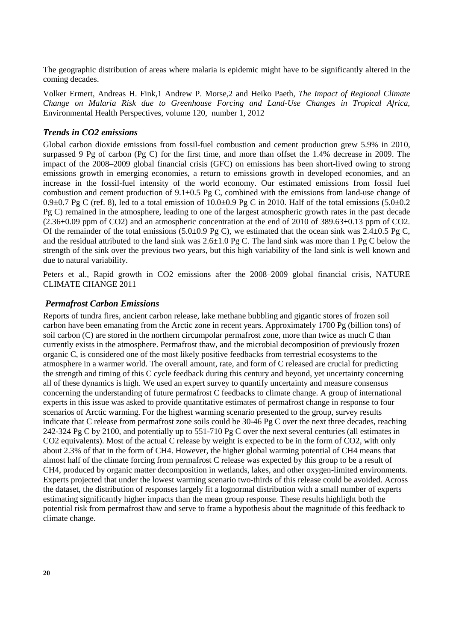The geographic distribution of areas where malaria is epidemic might have to be significantly altered in the coming decades.

Volker Ermert, Andreas H. Fink,1 Andrew P. Morse,2 and Heiko Paeth, *The Impact of Regional Climate Change on Malaria Risk due to Greenhouse Forcing and Land-Use Changes in Tropical Africa,*  Environmental Health Perspectives, volume 120, number 1, 2012

### *Trends in CO2 emissions*

Global carbon dioxide emissions from fossil-fuel combustion and cement production grew 5.9% in 2010, surpassed 9 Pg of carbon (Pg C) for the first time, and more than offset the 1.4% decrease in 2009. The impact of the 2008–2009 global financial crisis (GFC) on emissions has been short-lived owing to strong emissions growth in emerging economies, a return to emissions growth in developed economies, and an increase in the fossil-fuel intensity of the world economy. Our estimated emissions from fossil fuel combustion and cement production of 9.1±0.5 Pg C, combined with the emissions from land-use change of 0.9 $\pm$ 0.7 Pg C (ref. 8), led to a total emission of 10.0 $\pm$ 0.9 Pg C in 2010. Half of the total emissions (5.0 $\pm$ 0.2 Pg C) remained in the atmosphere, leading to one of the largest atmospheric growth rates in the past decade  $(2.36\pm0.09$  ppm of CO2) and an atmospheric concentration at the end of 2010 of 389.63 $\pm$ 0.13 ppm of CO2. Of the remainder of the total emissions (5.0 $\pm$ 0.9 Pg C), we estimated that the ocean sink was 2.4 $\pm$ 0.5 Pg C, and the residual attributed to the land sink was 2.6±1.0 Pg C. The land sink was more than 1 Pg C below the strength of the sink over the previous two years, but this high variability of the land sink is well known and due to natural variability.

Peters et al., Rapid growth in CO2 emissions after the 2008–2009 global financial crisis, NATURE CLIMATE CHANGE 2011

### *Permafrost Carbon Emissions*

Reports of tundra fires, ancient carbon release, lake methane bubbling and gigantic stores of frozen soil carbon have been emanating from the Arctic zone in recent years. Approximately 1700 Pg (billion tons) of soil carbon (C) are stored in the northern circumpolar permafrost zone, more than twice as much C than currently exists in the atmosphere. Permafrost thaw, and the microbial decomposition of previously frozen organic C, is considered one of the most likely positive feedbacks from terrestrial ecosystems to the atmosphere in a warmer world. The overall amount, rate, and form of C released are crucial for predicting the strength and timing of this C cycle feedback during this century and beyond, yet uncertainty concerning all of these dynamics is high. We used an expert survey to quantify uncertainty and measure consensus concerning the understanding of future permafrost C feedbacks to climate change. A group of international experts in this issue was asked to provide quantitative estimates of permafrost change in response to four scenarios of Arctic warming. For the highest warming scenario presented to the group, survey results indicate that C release from permafrost zone soils could be 30-46 Pg C over the next three decades, reaching 242-324 Pg C by 2100, and potentially up to 551-710 Pg C over the next several centuries (all estimates in CO2 equivalents). Most of the actual C release by weight is expected to be in the form of CO2, with only about 2.3% of that in the form of CH4. However, the higher global warming potential of CH4 means that almost half of the climate forcing from permafrost C release was expected by this group to be a result of CH4, produced by organic matter decomposition in wetlands, lakes, and other oxygen-limited environments. Experts projected that under the lowest warming scenario two-thirds of this release could be avoided. Across the dataset, the distribution of responses largely fit a lognormal distribution with a small number of experts estimating significantly higher impacts than the mean group response. These results highlight both the potential risk from permafrost thaw and serve to frame a hypothesis about the magnitude of this feedback to climate change.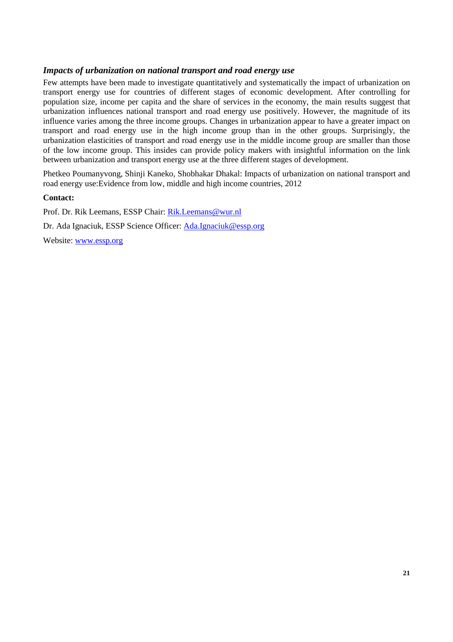### *Impacts of urbanization on national transport and road energy use*

Few attempts have been made to investigate quantitatively and systematically the impact of urbanization on transport energy use for countries of different stages of economic development. After controlling for population size, income per capita and the share of services in the economy, the main results suggest that urbanization influences national transport and road energy use positively. However, the magnitude of its influence varies among the three income groups. Changes in urbanization appear to have a greater impact on transport and road energy use in the high income group than in the other groups. Surprisingly, the urbanization elasticities of transport and road energy use in the middle income group are smaller than those of the low income group. This insides can provide policy makers with insightful information on the link between urbanization and transport energy use at the three different stages of development.

Phetkeo Poumanyvong, Shinji Kaneko, Shobhakar Dhakal: Impacts of urbanization on national transport and road energy use:Evidence from low, middle and high income countries, 2012

## **Contact:**

Prof. Dr. Rik Leemans, ESSP Chair: Rik.Leemans@wur.nl Dr. Ada Ignaciuk, ESSP Science Officer: Ada.Ignaciuk@essp.org

Website: www.essp.org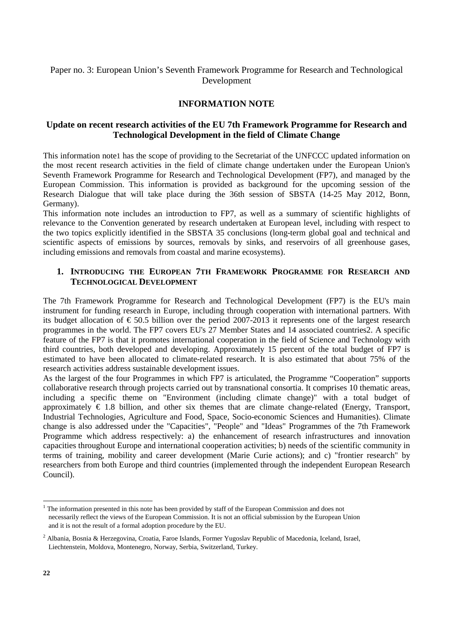## Paper no. 3: European Union's Seventh Framework Programme for Research and Technological Development

## **INFORMATION NOTE**

## **Update on recent research activities of the EU 7th Framework Programme for Research and Technological Development in the field of Climate Change**

This information note1 has the scope of providing to the Secretariat of the UNFCCC updated information on the most recent research activities in the field of climate change undertaken under the European Union's Seventh Framework Programme for Research and Technological Development (FP7), and managed by the European Commission. This information is provided as background for the upcoming session of the Research Dialogue that will take place during the 36th session of SBSTA (14-25 May 2012, Bonn, Germany).

This information note includes an introduction to FP7, as well as a summary of scientific highlights of relevance to the Convention generated by research undertaken at European level, including with respect to the two topics explicitly identified in the SBSTA 35 conclusions (long-term global goal and technical and scientific aspects of emissions by sources, removals by sinks, and reservoirs of all greenhouse gases, including emissions and removals from coastal and marine ecosystems).

### **1. INTRODUCING THE EUROPEAN 7TH FRAMEWORK PROGRAMME FOR RESEARCH AND TECHNOLOGICAL DEVELOPMENT**

The 7th Framework Programme for Research and Technological Development (FP7) is the EU's main instrument for funding research in Europe, including through cooperation with international partners. With its budget allocation of  $\epsilon$  50.5 billion over the period 2007-2013 it represents one of the largest research programmes in the world. The FP7 covers EU's 27 Member States and 14 associated countries2. A specific feature of the FP7 is that it promotes international cooperation in the field of Science and Technology with third countries, both developed and developing. Approximately 15 percent of the total budget of FP7 is estimated to have been allocated to climate-related research. It is also estimated that about 75% of the research activities address sustainable development issues.

As the largest of the four Programmes in which FP7 is articulated, the Programme "Cooperation" supports collaborative research through projects carried out by transnational consortia. It comprises 10 thematic areas, including a specific theme on "Environment (including climate change)" with a total budget of approximately  $\in$  1.8 billion, and other six themes that are climate change-related (Energy, Transport, Industrial Technologies, Agriculture and Food, Space, Socio-economic Sciences and Humanities). Climate change is also addressed under the "Capacities", "People" and "Ideas" Programmes of the 7th Framework Programme which address respectively: a) the enhancement of research infrastructures and innovation capacities throughout Europe and international cooperation activities; b) needs of the scientific community in terms of training, mobility and career development (Marie Curie actions); and c) "frontier research" by researchers from both Europe and third countries (implemented through the independent European Research Council).

<sup>&</sup>lt;sup>1</sup> The information presented in this note has been provided by staff of the European Commission and does not necessarily reflect the views of the European Commission. It is not an official submission by the European Union and it is not the result of a formal adoption procedure by the EU.

<sup>2</sup> Albania, Bosnia & Herzegovina, Croatia, Faroe Islands, Former Yugoslav Republic of Macedonia, Iceland, Israel, Liechtenstein, Moldova, Montenegro, Norway, Serbia, Switzerland, Turkey.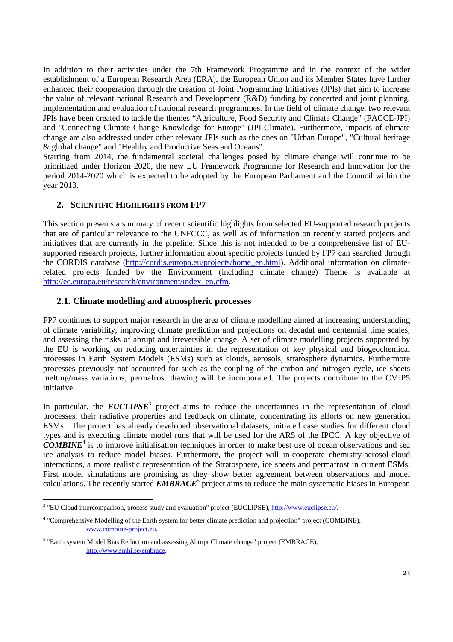In addition to their activities under the 7th Framework Programme and in the context of the wider establishment of a European Research Area (ERA), the European Union and its Member States have further enhanced their cooperation through the creation of Joint Programming Initiatives (JPIs) that aim to increase the value of relevant national Research and Development (R&D) funding by concerted and joint planning, implementation and evaluation of national research programmes. In the field of climate change, two relevant JPIs have been created to tackle the themes "Agriculture, Food Security and Climate Change" (FACCE-JPI) and "Connecting Climate Change Knowledge for Europe" (JPI-Climate). Furthermore, impacts of climate change are also addressed under other relevant JPIs such as the ones on "Urban Europe", "Cultural heritage & global change" and "Healthy and Productive Seas and Oceans".

Starting from 2014, the fundamental societal challenges posed by climate change will continue to be prioritized under Horizon 2020, the new EU Framework Programme for Research and Innovation for the period 2014-2020 which is expected to be adopted by the European Parliament and the Council within the year 2013.

## **2. SCIENTIFIC HIGHLIGHTS FROM FP7**

This section presents a summary of recent scientific highlights from selected EU-supported research projects that are of particular relevance to the UNFCCC, as well as of information on recently started projects and initiatives that are currently in the pipeline. Since this is not intended to be a comprehensive list of EUsupported research projects, further information about specific projects funded by FP7 can searched through the CORDIS database (http://cordis.europa.eu/projects/home\_en.html). Additional information on climaterelated projects funded by the Environment (including climate change) Theme is available at http://ec.europa.eu/research/environment/index\_en.cfm.

## **2.1. Climate modelling and atmospheric processes**

FP7 continues to support major research in the area of climate modelling aimed at increasing understanding of climate variability, improving climate prediction and projections on decadal and centennial time scales, and assessing the risks of abrupt and irreversible change. A set of climate modelling projects supported by the EU is working on reducing uncertainties in the representation of key physical and biogeochemical processes in Earth System Models (ESMs) such as clouds, aerosols, stratosphere dynamics. Furthermore processes previously not accounted for such as the coupling of the carbon and nitrogen cycle, ice sheets melting/mass variations, permafrost thawing will be incorporated. The projects contribute to the CMIP5 initiative.

In particular, the **EUCLIPSE**<sup>3</sup> project aims to reduce the uncertainties in the representation of cloud processes, their radiative properties and feedback on climate, concentrating its efforts on new generation ESMs. The project has already developed observational datasets, initiated case studies for different cloud types and is executing climate model runs that will be used for the AR5 of the IPCC. A key objective of *COMBINE*<sup>4</sup> is to improve initialisation techniques in order to make best use of ocean observations and sea ice analysis to reduce model biases. Furthermore, the project will in-cooperate chemistry-aerosol-cloud interactions, a more realistic representation of the Stratosphere, ice sheets and permafrost in current ESMs. First model simulations are promising as they show better agreement between observations and model calculations. The recently started **EMBRACE<sup>5</sup>** project aims to reduce the main systematic biases in European

<sup>&</sup>lt;sup>3</sup> "EU Cloud intercomparison, process study and evaluation" project (EUCLIPSE), http://www.euclipse.eu/.

<sup>4</sup> "Comprehensive Modelling of the Earth system for better climate prediction and projection" project (COMBINE), www.combine-project.eu.

<sup>&</sup>lt;sup>5</sup> "Earth system Model Bias Reduction and assessing Abrupt Climate change" project (EMBRACE), http://www.smhi.se/embrace.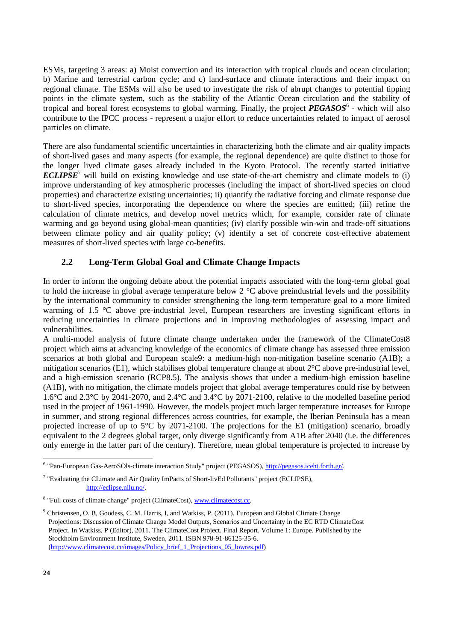ESMs, targeting 3 areas: a) Moist convection and its interaction with tropical clouds and ocean circulation; b) Marine and terrestrial carbon cycle; and c) land-surface and climate interactions and their impact on regional climate. The ESMs will also be used to investigate the risk of abrupt changes to potential tipping points in the climate system, such as the stability of the Atlantic Ocean circulation and the stability of tropical and boreal forest ecosystems to global warming. Finally, the project *PEGASOS*<sup>6</sup> - which will also contribute to the IPCC process - represent a major effort to reduce uncertainties related to impact of aerosol particles on climate.

There are also fundamental scientific uncertainties in characterizing both the climate and air quality impacts of short-lived gases and many aspects (for example, the regional dependence) are quite distinct to those for the longer lived climate gases already included in the Kyoto Protocol. The recently started initiative *ECLIPSE*<sup>7</sup> will build on existing knowledge and use state-of-the-art chemistry and climate models to (i) improve understanding of key atmospheric processes (including the impact of short-lived species on cloud properties) and characterize existing uncertainties; ii) quantify the radiative forcing and climate response due to short-lived species, incorporating the dependence on where the species are emitted; (iii) refine the calculation of climate metrics, and develop novel metrics which, for example, consider rate of climate warming and go beyond using global-mean quantities; (iv) clarify possible win-win and trade-off situations between climate policy and air quality policy; (v) identify a set of concrete cost-effective abatement measures of short-lived species with large co-benefits.

## **2.2 Long-Term Global Goal and Climate Change Impacts**

In order to inform the ongoing debate about the potential impacts associated with the long-term global goal to hold the increase in global average temperature below 2 °C above preindustrial levels and the possibility by the international community to consider strengthening the long-term temperature goal to a more limited warming of 1.5 °C above pre-industrial level, European researchers are investing significant efforts in reducing uncertainties in climate projections and in improving methodologies of assessing impact and vulnerabilities.

A multi-model analysis of future climate change undertaken under the framework of the ClimateCost8 project which aims at advancing knowledge of the economics of climate change has assessed three emission scenarios at both global and European scale9: a medium-high non-mitigation baseline scenario (A1B); a mitigation scenarios (E1), which stabilises global temperature change at about 2°C above pre-industrial level, and a high-emission scenario (RCP8.5). The analysis shows that under a medium-high emission baseline (A1B), with no mitigation, the climate models project that global average temperatures could rise by between 1.6°C and 2.3°C by 2041-2070, and 2.4°C and 3.4°C by 2071-2100, relative to the modelled baseline period used in the project of 1961-1990. However, the models project much larger temperature increases for Europe in summer, and strong regional differences across countries, for example, the Iberian Peninsula has a mean projected increase of up to 5°C by 2071-2100. The projections for the E1 (mitigation) scenario, broadly equivalent to the 2 degrees global target, only diverge significantly from A1B after 2040 (i.e. the differences only emerge in the latter part of the century). Therefore, mean global temperature is projected to increase by

<sup>&</sup>lt;sup>6</sup> "Pan-European Gas-AeroSOls-climate interaction Study" project (PEGASOS), http://pegasos.iceht.forth.gr/.

<sup>&</sup>lt;sup>7</sup> "Evaluating the CLimate and Air Quality ImPacts of Short-livEd Pollutants" project (ECLIPSE), http://eclipse.nilu.no/.

<sup>&</sup>lt;sup>8</sup> "Full costs of climate change" project (ClimateCost), www.climatecost.cc.

<sup>&</sup>lt;sup>9</sup> Christensen, O. B, Goodess, C. M. Harris, I, and Watkiss, P. (2011). European and Global Climate Change Projections: Discussion of Climate Change Model Outputs, Scenarios and Uncertainty in the EC RTD ClimateCost Project. In Watkiss, P (Editor), 2011. The ClimateCost Project. Final Report. Volume 1: Europe. Published by the Stockholm Environment Institute, Sweden, 2011. ISBN 978-91-86125-35-6. (http://www.climatecost.cc/images/Policy\_brief\_1\_Projections\_05\_lowres.pdf)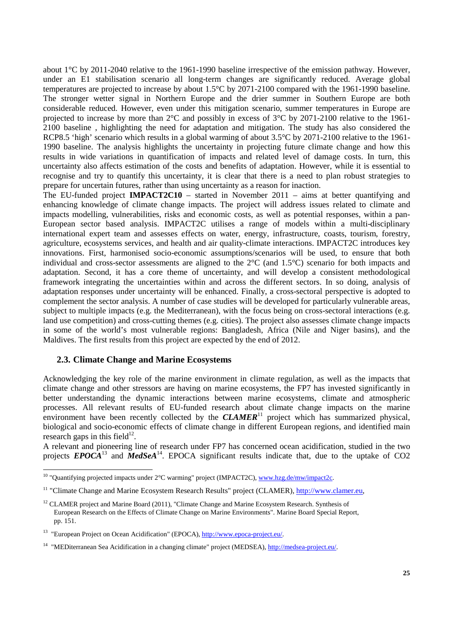about 1°C by 2011-2040 relative to the 1961-1990 baseline irrespective of the emission pathway. However, under an E1 stabilisation scenario all long-term changes are significantly reduced. Average global temperatures are projected to increase by about 1.5°C by 2071-2100 compared with the 1961-1990 baseline. The stronger wetter signal in Northern Europe and the drier summer in Southern Europe are both considerable reduced. However, even under this mitigation scenario, summer temperatures in Europe are projected to increase by more than 2°C and possibly in excess of 3°C by 2071-2100 relative to the 1961- 2100 baseline , highlighting the need for adaptation and mitigation. The study has also considered the RCP8.5 'high' scenario which results in a global warming of about 3.5°C by 2071-2100 relative to the 1961-1990 baseline. The analysis highlights the uncertainty in projecting future climate change and how this results in wide variations in quantification of impacts and related level of damage costs. In turn, this uncertainty also affects estimation of the costs and benefits of adaptation. However, while it is essential to recognise and try to quantify this uncertainty, it is clear that there is a need to plan robust strategies to prepare for uncertain futures, rather than using uncertainty as a reason for inaction.

The EU-funded project **IMPACT2C10** – started in November 2011 – aims at better quantifying and enhancing knowledge of climate change impacts. The project will address issues related to climate and impacts modelling, vulnerabilities, risks and economic costs, as well as potential responses, within a pan-European sector based analysis. IMPACT2C utilises a range of models within a multi-disciplinary international expert team and assesses effects on water, energy, infrastructure, coasts, tourism, forestry, agriculture, ecosystems services, and health and air quality-climate interactions. IMPACT2C introduces key innovations. First, harmonised socio-economic assumptions/scenarios will be used, to ensure that both individual and cross-sector assessments are aligned to the 2°C (and 1.5°C) scenario for both impacts and adaptation. Second, it has a core theme of uncertainty, and will develop a consistent methodological framework integrating the uncertainties within and across the different sectors. In so doing, analysis of adaptation responses under uncertainty will be enhanced. Finally, a cross-sectoral perspective is adopted to complement the sector analysis. A number of case studies will be developed for particularly vulnerable areas, subject to multiple impacts (e.g. the Mediterranean), with the focus being on cross-sectoral interactions (e.g. land use competition) and cross-cutting themes (e.g. cities). The project also assesses climate change impacts in some of the world's most vulnerable regions: Bangladesh, Africa (Nile and Niger basins), and the Maldives. The first results from this project are expected by the end of 2012.

#### **2.3. Climate Change and Marine Ecosystems**

 $\overline{a}$ 

Acknowledging the key role of the marine environment in climate regulation, as well as the impacts that climate change and other stressors are having on marine ecosystems, the FP7 has invested significantly in better understanding the dynamic interactions between marine ecosystems, climate and atmospheric processes. All relevant results of EU-funded research about climate change impacts on the marine environment have been recently collected by the **CLAMER**<sup>11</sup> project which has summarized physical, biological and socio-economic effects of climate change in different European regions, and identified main research gaps in this field<sup>12</sup>.

A relevant and pioneering line of research under FP7 has concerned ocean acidification, studied in the two projects  $EPOCA<sup>13</sup>$  and  $MedSeA<sup>14</sup>$ . EPOCA significant results indicate that, due to the uptake of CO2

<sup>&</sup>lt;sup>10</sup> "Quantifying projected impacts under  $2^{\circ}$ C warming" project (IMPACT2C), www.hzg.de/mw/impact2c.

<sup>11 &</sup>quot;Climate Change and Marine Ecosystem Research Results" project (CLAMER), http://www.clamer.eu,

<sup>&</sup>lt;sup>12</sup> CLAMER project and Marine Board (2011), "Climate Change and Marine Ecosystem Research. Synthesis of European Research on the Effects of Climate Change on Marine Environments". Marine Board Special Report, pp. 151.

<sup>13 &</sup>quot;European Project on Ocean Acidification" (EPOCA), http://www.epoca-project.eu/.

<sup>14 &</sup>quot;MEDiterranean Sea Acidification in a changing climate" project (MEDSEA), http://medsea-project.eu/.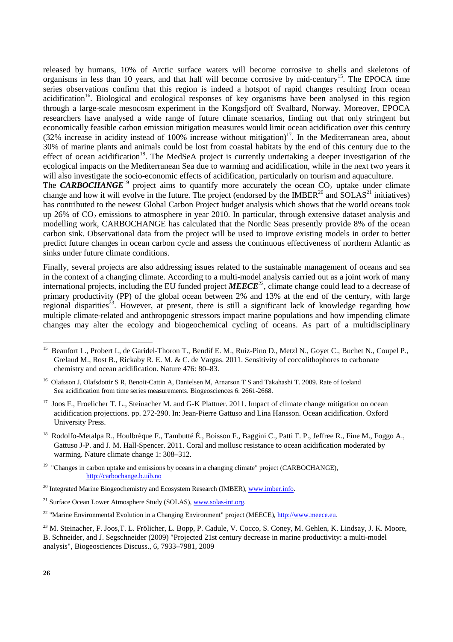released by humans, 10% of Arctic surface waters will become corrosive to shells and skeletons of organisms in less than 10 years, and that half will become corrosive by mid-century<sup>15</sup>. The EPOCA time series observations confirm that this region is indeed a hotspot of rapid changes resulting from ocean acidification<sup>16</sup>. Biological and ecological responses of key organisms have been analysed in this region through a large-scale mesocosm experiment in the Kongsfjord off Svalbard, Norway. Moreover, EPOCA researchers have analysed a wide range of future climate scenarios, finding out that only stringent but economically feasible carbon emission mitigation measures would limit ocean acidification over this century (32% increase in acidity instead of 100% increase without mitigation)<sup>17</sup>. In the Mediterranean area, about 30% of marine plants and animals could be lost from coastal habitats by the end of this century due to the effect of ocean acidification<sup>18</sup>. The MedSeA project is currently undertaking a deeper investigation of the ecological impacts on the Mediterranean Sea due to warming and acidification, while in the next two years it will also investigate the socio-economic effects of acidification, particularly on tourism and aquaculture.

The **CARBOCHANGE**<sup>19</sup> project aims to quantify more accurately the ocean  $CO<sub>2</sub>$  uptake under climate change and how it will evolve in the future. The project (endorsed by the IMBER<sup>20</sup> and SOLAS<sup>21</sup> initiatives) has contributed to the newest Global Carbon Project budget analysis which shows that the world oceans took up 26% of CO<sub>2</sub> emissions to atmosphere in year 2010. In particular, through extensive dataset analysis and modelling work, CARBOCHANGE has calculated that the Nordic Seas presently provide 8% of the ocean carbon sink. Observational data from the project will be used to improve existing models in order to better predict future changes in ocean carbon cycle and assess the continuous effectiveness of northern Atlantic as sinks under future climate conditions.

Finally, several projects are also addressing issues related to the sustainable management of oceans and sea in the context of a changing climate. According to a multi-model analysis carried out as a joint work of many international projects, including the EU funded project *MEECE*22, climate change could lead to a decrease of primary productivity (PP) of the global ocean between 2% and 13% at the end of the century, with large regional disparities<sup>23</sup>. However, at present, there is still a significant lack of knowledge regarding how multiple climate-related and anthropogenic stressors impact marine populations and how impending climate changes may alter the ecology and biogeochemical cycling of oceans. As part of a multidisciplinary

<sup>18</sup> Rodolfo-Metalpa R., Houlbrèque F., Tambutté É., Boisson F., Baggini C., Patti F. P., Jeffree R., Fine M., Foggo A., Gattuso J-P. and J. M. Hall-Spencer. 2011. Coral and mollusc resistance to ocean acidification moderated by warming. Nature climate change 1: 308–312.

<sup>19</sup> "Changes in carbon uptake and emissions by oceans in a changing climate" project (CARBOCHANGE), http://carbochange.b.uib.no

<sup>&</sup>lt;sup>15</sup> Beaufort L., Probert I., de Garidel-Thoron T., Bendif E. M., Ruiz-Pino D., Metzl N., Goyet C., Buchet N., Coupel P., Grelaud M., Rost B., Rickaby R. E. M. & C. de Vargas. 2011. Sensitivity of coccolithophores to carbonate chemistry and ocean acidification. Nature 476: 80–83.

<sup>&</sup>lt;sup>16</sup> Olafsson J, Olafsdottir S R, Benoit-Cattin A, Danielsen M, Arnarson T S and Takahashi T. 2009. Rate of Iceland Sea acidification from time series measurements. Biogeosciences 6: 2661-2668.

<sup>&</sup>lt;sup>17</sup> Joos F., Froelicher T. L., Steinacher M. and G-K Plattner. 2011. Impact of climate change mitigation on ocean acidification projections. pp. 272-290. In: Jean-Pierre Gattuso and Lina Hansson. Ocean acidification. Oxford University Press.

 $20$  Integrated Marine Biogeochemistry and Ecosystem Research (IMBER), www.imber.info.

<sup>&</sup>lt;sup>21</sup> Surface Ocean Lower Atmosphere Study (SOLAS), www.solas-int.org.

<sup>&</sup>lt;sup>22</sup> "Marine Environmental Evolution in a Changing Environment" project (MEECE), http://www.meece.eu.

<sup>&</sup>lt;sup>23</sup> M. Steinacher, F. Joos,T. L. Frölicher, L. Bopp, P. Cadule, V. Cocco, S. Coney, M. Gehlen, K. Lindsay, J. K. Moore, B. Schneider, and J. Segschneider (2009) "Projected 21st century decrease in marine productivity: a multi-model analysis", Biogeosciences Discuss., 6, 7933–7981, 2009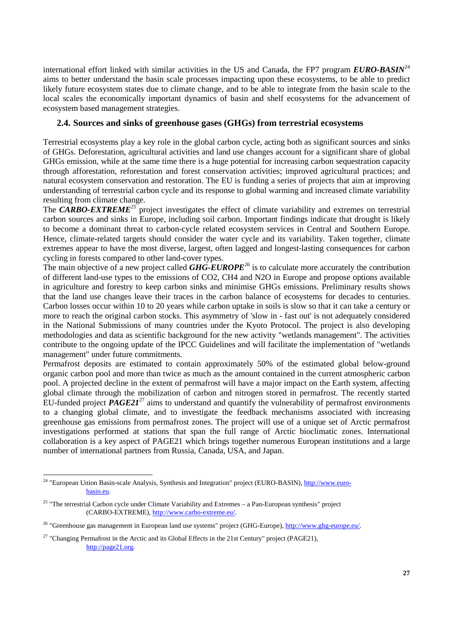international effort linked with similar activities in the US and Canada, the FP7 program  $EURO-BASIN<sup>24</sup>$ aims to better understand the basin scale processes impacting upon these ecosystems, to be able to predict likely future ecosystem states due to climate change, and to be able to integrate from the basin scale to the local scales the economically important dynamics of basin and shelf ecosystems for the advancement of ecosystem based management strategies.

### **2.4. Sources and sinks of greenhouse gases (GHGs) from terrestrial ecosystems**

Terrestrial ecosystems play a key role in the global carbon cycle, acting both as significant sources and sinks of GHGs. Deforestation, agricultural activities and land use changes account for a significant share of global GHGs emission, while at the same time there is a huge potential for increasing carbon sequestration capacity through afforestation, reforestation and forest conservation activities; improved agricultural practices; and natural ecosystem conservation and restoration. The EU is funding a series of projects that aim at improving understanding of terrestrial carbon cycle and its response to global warming and increased climate variability resulting from climate change.

The **CARBO-EXTREME**<sup>25</sup> project investigates the effect of climate variability and extremes on terrestrial carbon sources and sinks in Europe, including soil carbon. Important findings indicate that drought is likely to become a dominant threat to carbon-cycle related ecosystem services in Central and Southern Europe. Hence, climate-related targets should consider the water cycle and its variability. Taken together, climate extremes appear to have the most diverse, largest, often lagged and longest-lasting consequences for carbon cycling in forests compared to other land-cover types.

The main objective of a new project called *GHG-EUROPE<sup>26</sup>* is to calculate more accurately the contribution of different land-use types to the emissions of CO2, CH4 and N2O in Europe and propose options available in agriculture and forestry to keep carbon sinks and minimise GHGs emissions. Preliminary results shows that the land use changes leave their traces in the carbon balance of ecosystems for decades to centuries. Carbon losses occur within 10 to 20 years while carbon uptake in soils is slow so that it can take a century or more to reach the original carbon stocks. This asymmetry of 'slow in - fast out' is not adequately considered in the National Submissions of many countries under the Kyoto Protocol. The project is also developing methodologies and data as scientific background for the new activity "wetlands management". The activities contribute to the ongoing update of the IPCC Guidelines and will facilitate the implementation of "wetlands management" under future commitments.

Permafrost deposits are estimated to contain approximately 50% of the estimated global below-ground organic carbon pool and more than twice as much as the amount contained in the current atmospheric carbon pool. A projected decline in the extent of permafrost will have a major impact on the Earth system, affecting global climate through the mobilization of carbon and nitrogen stored in permafrost. The recently started EU-funded project *PAGE21*27 aims to understand and quantify the vulnerability of permafrost environments to a changing global climate, and to investigate the feedback mechanisms associated with increasing greenhouse gas emissions from permafrost zones. The project will use of a unique set of Arctic permafrost investigations performed at stations that span the full range of Arctic bioclimatic zones. International collaboration is a key aspect of PAGE21 which brings together numerous European institutions and a large number of international partners from Russia, Canada, USA, and Japan.

<sup>&</sup>lt;sup>24</sup> "European Union Basin-scale Analysis, Synthesis and Integration" project (EURO-BASIN), http://www.eurobasin.eu.

 $25$  "The terrestrial Carbon cycle under Climate Variability and Extremes – a Pan-European synthesis" project (CARBO-EXTREME), http://www.carbo-extreme.eu/.

<sup>&</sup>lt;sup>26</sup> "Greenhouse gas management in European land use systems" project (GHG-Europe), http://www.ghg-europe.eu/.

<sup>&</sup>lt;sup>27</sup> "Changing Permafrost in the Arctic and its Global Effects in the 21st Century" project (PAGE21), http://page21.org.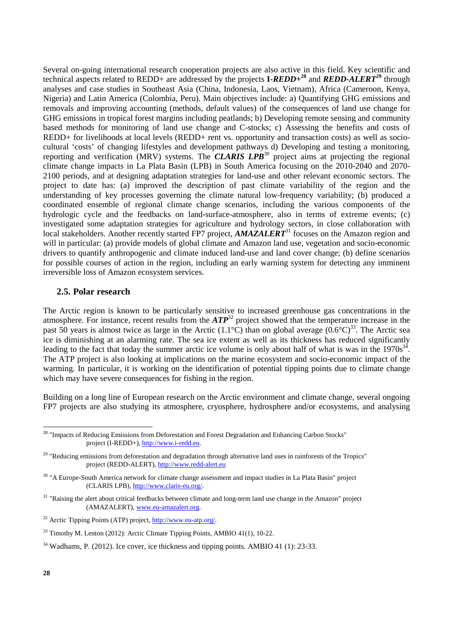Several on-going international research cooperation projects are also active in this field. Key scientific and technical aspects related to REDD+ are addressed by the projects **I-***REDD+***<sup>28</sup>** and *REDD-ALERT***<sup>29</sup>** through analyses and case studies in Southeast Asia (China, Indonesia, Laos, Vietnam), Africa (Cameroon, Kenya, Nigeria) and Latin America (Colombia, Peru). Main objectives include: a) Quantifying GHG emissions and removals and improving accounting (methods, default values) of the consequences of land use change for GHG emissions in tropical forest margins including peatlands; b) Developing remote sensing and community based methods for monitoring of land use change and C-stocks; c) Assessing the benefits and costs of REDD+ for livelihoods at local levels (REDD+ rent vs. opportunity and transaction costs) as well as sociocultural 'costs' of changing lifestyles and development pathways d) Developing and testing a monitoring, reporting and verification (MRV) systems. The **CLARIS LPB**<sup>30</sup> project aims at projecting the regional climate change impacts in La Plata Basin (LPB) in South America focusing on the 2010-2040 and 2070- 2100 periods, and at designing adaptation strategies for land-use and other relevant economic sectors. The project to date has: (a) improved the description of past climate variability of the region and the understanding of key processes governing the climate natural low-frequency variability; (b) produced a coordinated ensemble of regional climate change scenarios, including the various components of the hydrologic cycle and the feedbacks on land-surface-atmosphere, also in terms of extreme events; (c) investigated some adaptation strategies for agriculture and hydrology sectors, in close collaboration with local stakeholders. Another recently started FP7 project, *AMAZALERT*<sup>31</sup> focuses on the Amazon region and will in particular: (a) provide models of global climate and Amazon land use, vegetation and socio-economic drivers to quantify anthropogenic and climate induced land-use and land cover change; (b) define scenarios for possible courses of action in the region, including an early warning system for detecting any imminent irreversible loss of Amazon ecosystem services.

#### **2.5. Polar research**

The Arctic region is known to be particularly sensitive to increased greenhouse gas concentrations in the atmosphere. For instance, recent results from the *ATP*32 project showed that the temperature increase in the past 50 years is almost twice as large in the Arctic (1.1<sup>o</sup>C) than on global average (0.6<sup>o</sup>C)<sup>33</sup>. The Arctic sea ice is diminishing at an alarming rate. The sea ice extent as well as its thickness has reduced significantly leading to the fact that today the summer arctic ice volume is only about half of what is was in the  $1970s<sup>34</sup>$ . The ATP project is also looking at implications on the marine ecosystem and socio-economic impact of the warming. In particular, it is working on the identification of potential tipping points due to climate change which may have severe consequences for fishing in the region.

Building on a long line of European research on the Arctic environment and climate change, several ongoing FP7 projects are also studying its atmosphere, cryosphere, hydrosphere and/or ecosystems, and analysing

<sup>&</sup>lt;sup>28</sup> "Impacts of Reducing Emissions from Deforestation and Forest Degradation and Enhancing Carbon Stocks" project (I-REDD+), http://www.i-redd.eu.

 $29$  "Reducing emissions from deforestation and degradation through alternative land uses in rainforests of the Tropics" project (REDD-ALERT), http://www.redd-alert.eu

<sup>&</sup>lt;sup>30</sup> "A Europe-South America network for climate change assessment and impact studies in La Plata Basin" project (CLARIS LPB), http://www.claris-eu.org/.

 $31$  "Raising the alert about critical feedbacks between climate and long-term land use change in the Amazon" project (AMAZALERT), www.eu-amazalert.org.

<sup>32</sup> Arctic Tipping Points (ATP) project, http://www.eu-atp.org/.

<sup>&</sup>lt;sup>33</sup> Timothy M. Lenton (2012): Arctic Climate Tipping Points, AMBIO 41(1), 10-22.

<sup>&</sup>lt;sup>34</sup> Wadhams, P. (2012). Ice cover, ice thickness and tipping points. AMBIO 41 (1): 23-33.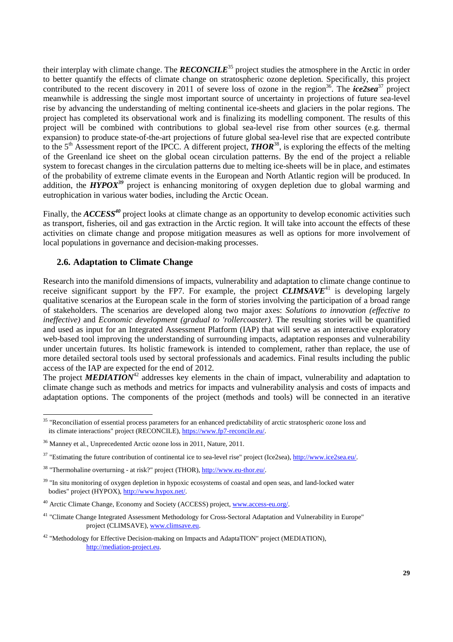their interplay with climate change. The *RECONCILE*35 project studies the atmosphere in the Arctic in order to better quantify the effects of climate change on stratospheric ozone depletion. Specifically, this project contributed to the recent discovery in 2011 of severe loss of ozone in the region<sup>36</sup>. The *ice2sea*<sup>37</sup> project meanwhile is addressing the single most important source of uncertainty in projections of future sea-level rise by advancing the understanding of melting continental ice-sheets and glaciers in the polar regions. The project has completed its observational work and is finalizing its modelling component. The results of this project will be combined with contributions to global sea-level rise from other sources (e.g. thermal expansion) to produce state-of-the-art projections of future global sea-level rise that are expected contribute to the 5<sup>th</sup> Assessment report of the IPCC. A different project, *THOR*<sup>38</sup>, is exploring the effects of the melting of the Greenland ice sheet on the global ocean circulation patterns. By the end of the project a reliable system to forecast changes in the circulation patterns due to melting ice-sheets will be in place, and estimates of the probability of extreme climate events in the European and North Atlantic region will be produced. In addition, the **HYPOX**<sup>39</sup> project is enhancing monitoring of oxygen depletion due to global warming and eutrophication in various water bodies, including the Arctic Ocean.

Finally, the *ACCESS<sup>40</sup>* project looks at climate change as an opportunity to develop economic activities such as transport, fisheries, oil and gas extraction in the Arctic region. It will take into account the effects of these activities on climate change and propose mitigation measures as well as options for more involvement of local populations in governance and decision-making processes.

## **2.6. Adaptation to Climate Change**

Research into the manifold dimensions of impacts, vulnerability and adaptation to climate change continue to receive significant support by the FP7. For example, the project  $\ddot{CLIMSAVE}^{41}$  is developing largely qualitative scenarios at the European scale in the form of stories involving the participation of a broad range of stakeholders. The scenarios are developed along two major axes: *Solutions to innovation (effective to ineffective*) and *Economic development (gradual to 'rollercoaster)*. The resulting stories will be quantified and used as input for an Integrated Assessment Platform (IAP) that will serve as an interactive exploratory web-based tool improving the understanding of surrounding impacts, adaptation responses and vulnerability under uncertain futures. Its holistic framework is intended to complement, rather than replace, the use of more detailed sectoral tools used by sectoral professionals and academics. Final results including the public access of the IAP are expected for the end of 2012.

The project **MEDIATION<sup>42</sup>** addresses key elements in the chain of impact, vulnerability and adaptation to climate change such as methods and metrics for impacts and vulnerability analysis and costs of impacts and adaptation options. The components of the project (methods and tools) will be connected in an iterative

<sup>&</sup>lt;sup>35</sup> "Reconciliation of essential process parameters for an enhanced predictability of arctic stratospheric ozone loss and its climate interactions" project (RECONCILE), https://www.fp7-reconcile.eu/.

<sup>36</sup> Manney et al., Unprecedented Arctic ozone loss in 2011, Nature, 2011.

<sup>&</sup>lt;sup>37</sup> "Estimating the future contribution of continental ice to sea-level rise" project (Ice2sea), http://www.ice2sea.eu/.

<sup>38 &</sup>quot;Thermohaline overturning - at risk?" project (THOR), http://www.eu-thor.eu/.

<sup>&</sup>lt;sup>39</sup> "In situ monitoring of oxygen depletion in hypoxic ecosystems of coastal and open seas, and land-locked water bodies" project (HYPOX), http://www.hypox.net/.

<sup>&</sup>lt;sup>40</sup> Arctic Climate Change, Economy and Society (ACCESS) project, www.access-eu.org/.

<sup>&</sup>lt;sup>41</sup> "Climate Change Integrated Assessment Methodology for Cross-Sectoral Adaptation and Vulnerability in Europe" project (CLIMSAVE), www.climsave.eu.

<sup>&</sup>lt;sup>42</sup> "Methodology for Effective Decision-making on Impacts and AdaptaTION" project (MEDIATION), http://mediation-project.eu.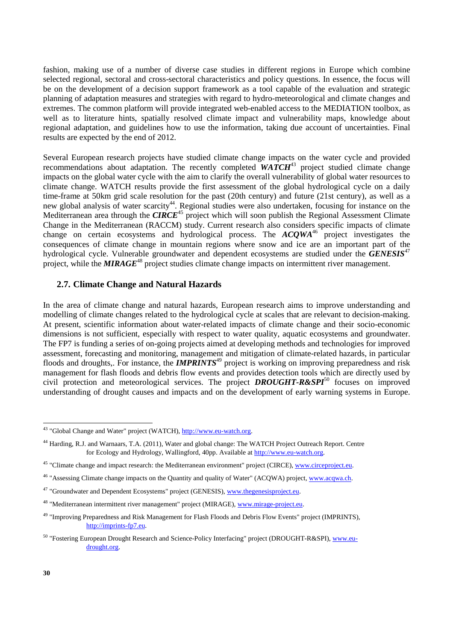fashion, making use of a number of diverse case studies in different regions in Europe which combine selected regional, sectoral and cross-sectoral characteristics and policy questions. In essence, the focus will be on the development of a decision support framework as a tool capable of the evaluation and strategic planning of adaptation measures and strategies with regard to hydro-meteorological and climate changes and extremes. The common platform will provide integrated web-enabled access to the MEDIATION toolbox, as well as to literature hints, spatially resolved climate impact and vulnerability maps, knowledge about regional adaptation, and guidelines how to use the information, taking due account of uncertainties. Final results are expected by the end of 2012.

Several European research projects have studied climate change impacts on the water cycle and provided recommendations about adaptation. The recently completed **WATCH<sup>43</sup>** project studied climate change impacts on the global water cycle with the aim to clarify the overall vulnerability of global water resources to climate change. WATCH results provide the first assessment of the global hydrological cycle on a daily time-frame at 50km grid scale resolution for the past (20th century) and future (21st century), as well as a new global analysis of water scarcity<sup>44</sup>. Regional studies were also undertaken, focusing for instance on the Mediterranean area through the **CIRCE**<sup>45</sup> project which will soon publish the Regional Assessment Climate Change in the Mediterranean (RACCM) study. Current research also considers specific impacts of climate change in the *incurrentially* (*COCCI)*, starty, cancely experience and  $\frac{1}{2}$  contains the change on certain ecosystems and hydrological process. The *ACQWA<sup>46</sup>* project investigates the consequences of climate change in mountain regions where snow and ice are an important part of the hydrological cycle. Vulnerable groundwater and dependent ecosystems are studied under the *GENESIS*<sup>47</sup> project, while the **MIRAGE<sup>48</sup>** project studies climate change impacts on intermittent river management.

#### **2.7. Climate Change and Natural Hazards**

In the area of climate change and natural hazards, European research aims to improve understanding and modelling of climate changes related to the hydrological cycle at scales that are relevant to decision-making. At present, scientific information about water-related impacts of climate change and their socio-economic dimensions is not sufficient, especially with respect to water quality, aquatic ecosystems and groundwater. The FP7 is funding a series of on-going projects aimed at developing methods and technologies for improved assessment, forecasting and monitoring, management and mitigation of climate-related hazards, in particular floods and droughts,. For instance, the **IMPRINTS<sup>49</sup>** project is working on improving preparedness and risk management for flash floods and debris flow events and provides detection tools which are directly used by civil protection and meteorological services. The project *DROUGHT-R&SPI*50 focuses on improved understanding of drought causes and impacts and on the development of early warning systems in Europe.

<sup>&</sup>lt;sup>43</sup> "Global Change and Water" project (WATCH), http://www.eu-watch.org.

<sup>44</sup> Harding, R.J. and Warnaars, T.A. (2011), Water and global change: The WATCH Project Outreach Report. Centre for Ecology and Hydrology, Wallingford, 40pp. Available at http://www.eu-watch.org.

<sup>&</sup>lt;sup>45</sup> "Climate change and impact research: the Mediterranean environment" project (CIRCE), www.circeproject.eu.

<sup>&</sup>lt;sup>46</sup> "Assessing Climate change impacts on the Quantity and quality of Water" (ACQWA) project, www.acqwa.ch.

<sup>&</sup>lt;sup>47</sup> "Groundwater and Dependent Ecosystems" project (GENESIS), www.thegenesisproject.eu.

<sup>&</sup>lt;sup>48</sup> "Mediterranean intermittent river management" project (MIRAGE), www.mirage-project.eu.

<sup>49 &</sup>quot;Improving Preparedness and Risk Management for Flash Floods and Debris Flow Events" project (IMPRINTS), http://imprints-fp7.eu.

<sup>50 &</sup>quot;Fostering European Drought Research and Science-Policy Interfacing" project (DROUGHT-R&SPI), www.eudrought.org.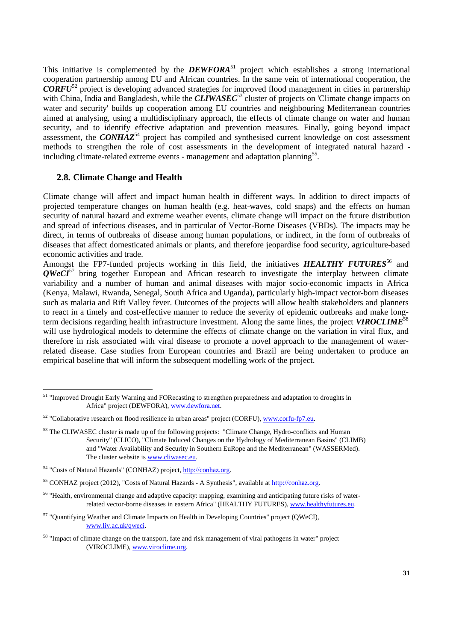This initiative is complemented by the **DEWFORA**<sup>51</sup> project which establishes a strong international cooperation partnership among EU and African countries. In the same vein of international cooperation, the *CORFU*<sup>52</sup> project is developing advanced strategies for improved flood management in cities in partnership with China, India and Bangladesh, while the *CLIWASEC*<sup>53</sup> cluster of projects on 'Climate change impacts on water and security' builds up cooperation among EU countries and neighbouring Mediterranean countries aimed at analysing, using a multidisciplinary approach, the effects of climate change on water and human security, and to identify effective adaptation and prevention measures. Finally, going beyond impact assessment, the *CONHAZ*<sup>54</sup> project has compiled and synthesised current knowledge on cost assessment methods to strengthen the role of cost assessments in the development of integrated natural hazard including climate-related extreme events - management and adaptation planning<sup>55</sup>.

#### **2.8. Climate Change and Health**

Climate change will affect and impact human health in different ways. In addition to direct impacts of projected temperature changes on human health (e.g. heat-waves, cold snaps) and the effects on human security of natural hazard and extreme weather events, climate change will impact on the future distribution and spread of infectious diseases, and in particular of Vector-Borne Diseases (VBDs). The impacts may be direct, in terms of outbreaks of disease among human populations, or indirect, in the form of outbreaks of diseases that affect domesticated animals or plants, and therefore jeopardise food security, agriculture-based economic activities and trade.

Amongst the FP7-funded projects working in this field, the initiatives **HEALTHY FUTURES**<sup>56</sup> and *QWeCI*<sup>57</sup> bring together European and African research to investigate the interplay between climate variability and a number of human and animal diseases with major socio-economic impacts in Africa (Kenya, Malawi, Rwanda, Senegal, South Africa and Uganda), particularly high-impact vector-born diseases such as malaria and Rift Valley fever. Outcomes of the projects will allow health stakeholders and planners to react in a timely and cost-effective manner to reduce the severity of epidemic outbreaks and make longterm decisions regarding health infrastructure investment. Along the same lines, the project *VIROCLIME*<sup>58</sup> will use hydrological models to determine the effects of climate change on the variation in viral flux, and therefore in risk associated with viral disease to promote a novel approach to the management of waterrelated disease. Case studies from European countries and Brazil are being undertaken to produce an empirical baseline that will inform the subsequent modelling work of the project.

<sup>&</sup>lt;sup>51</sup> "Improved Drought Early Warning and FORecasting to strengthen preparedness and adaptation to droughts in Africa" project (DEWFORA), www.dewfora.net.

<sup>&</sup>lt;sup>52</sup> "Collaborative research on flood resilience in urban areas" project (CORFU), www.corfu-fp7.eu.

<sup>&</sup>lt;sup>53</sup> The CLIWASEC cluster is made up of the following projects: "Climate Change, Hydro-conflicts and Human Security" (CLICO), "Climate Induced Changes on the Hydrology of Mediterranean Basins" (CLIMB) and "Water Availability and Security in Southern EuRope and the Mediterranean" (WASSERMed). The cluster website is www.cliwasec.eu.

<sup>54 &</sup>quot;Costs of Natural Hazards" (CONHAZ) project, http://conhaz.org.

<sup>55</sup> CONHAZ project (2012), "Costs of Natural Hazards - A Synthesis", available at http://conhaz.org.

<sup>56 &</sup>quot;Health, environmental change and adaptive capacity: mapping, examining and anticipating future risks of waterrelated vector-borne diseases in eastern Africa" (HEALTHY FUTURES), www.healthyfutures.eu.

<sup>&</sup>lt;sup>57</sup> "Quantifying Weather and Climate Impacts on Health in Developing Countries" project (QWeCI), www.liv.ac.uk/qweci.

<sup>&</sup>lt;sup>58</sup> "Impact of climate change on the transport, fate and risk management of viral pathogens in water" project (VIROCLIME), www.viroclime.org.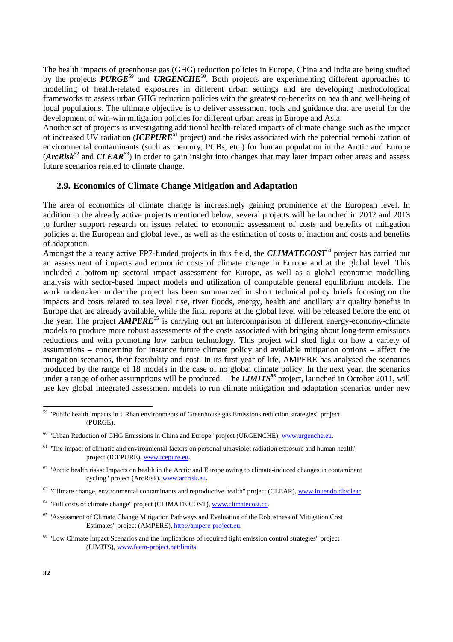The health impacts of greenhouse gas (GHG) reduction policies in Europe, China and India are being studied by the projects **PURGE**<sup>59</sup> and **URGENCHE**<sup>60</sup>. Both projects are experimenting different approaches to modelling of health-related exposures in different urban settings and are developing methodological frameworks to assess urban GHG reduction policies with the greatest co-benefits on health and well-being of local populations. The ultimate objective is to deliver assessment tools and guidance that are useful for the development of win-win mitigation policies for different urban areas in Europe and Asia.

Another set of projects is investigating additional health-related impacts of climate change such as the impact of increased UV radiation (*ICEPURE<sup>61</sup>* project) and the risks associated with the potential remobilization of environmental contaminants (such as mercury, PCBs, etc.) for human population in the Arctic and Europe  $(*Archisk*<sup>62</sup>$  and *CLEAR*<sup>63</sup>) in order to gain insight into changes that may later impact other areas and assess future scenarios related to climate change.

#### **2.9. Economics of Climate Change Mitigation and Adaptation**

The area of economics of climate change is increasingly gaining prominence at the European level. In addition to the already active projects mentioned below, several projects will be launched in 2012 and 2013 to further support research on issues related to economic assessment of costs and benefits of mitigation policies at the European and global level, as well as the estimation of costs of inaction and costs and benefits of adaptation.

Amongst the already active FP7-funded projects in this field, the **CLIMATECOST<sup>64</sup>** project has carried out an assessment of impacts and economic costs of climate change in Europe and at the global level. This included a bottom-up sectoral impact assessment for Europe, as well as a global economic modelling analysis with sector-based impact models and utilization of computable general equilibrium models. The work undertaken under the project has been summarized in short technical policy briefs focusing on the impacts and costs related to sea level rise, river floods, energy, health and ancillary air quality benefits in Europe that are already available, while the final reports at the global level will be released before the end of the year. The project *AMPERE***<sup>65</sup>** is carrying out an intercomparison of different energy-economy-climate models to produce more robust assessments of the costs associated with bringing about long-term emissions reductions and with promoting low carbon technology. This project will shed light on how a variety of assumptions – concerning for instance future climate policy and available mitigation options – affect the mitigation scenarios, their feasibility and cost. In its first year of life, AMPERE has analysed the scenarios produced by the range of 18 models in the case of no global climate policy. In the next year, the scenarios under a range of other assumptions will be produced. The *LIMITS***<sup>66</sup>** project, launched in October 2011, will use key global integrated assessment models to run climate mitigation and adaptation scenarios under new

<sup>&</sup>lt;sup>59</sup> "Public health impacts in URban environments of Greenhouse gas Emissions reduction strategies" project (PURGE).

<sup>&</sup>lt;sup>60</sup> "Urban Reduction of GHG Emissions in China and Europe" project (URGENCHE), www.urgenche.eu.

 $61$  "The impact of climatic and environmental factors on personal ultraviolet radiation exposure and human health" project (ICEPURE), www.icepure.eu.

 $62$  "Arctic health risks: Impacts on health in the Arctic and Europe owing to climate-induced changes in contaminant cycling" project (ArcRisk), www.arcrisk.eu.

 $63$  "Climate change, environmental contaminants and reproductive health" project (CLEAR), www.inuendo.dk/clear.

<sup>&</sup>lt;sup>64</sup> "Full costs of climate change" project (CLIMATE COST), www.climatecost.cc.

<sup>65 &</sup>quot;Assessment of Climate Change Mitigation Pathways and Evaluation of the Robustness of Mitigation Cost Estimates" project (AMPERE), http://ampere-project.eu.

<sup>66 &</sup>quot;Low Climate Impact Scenarios and the Implications of required tight emission control strategies" project (LIMITS), www.feem-project.net/limits.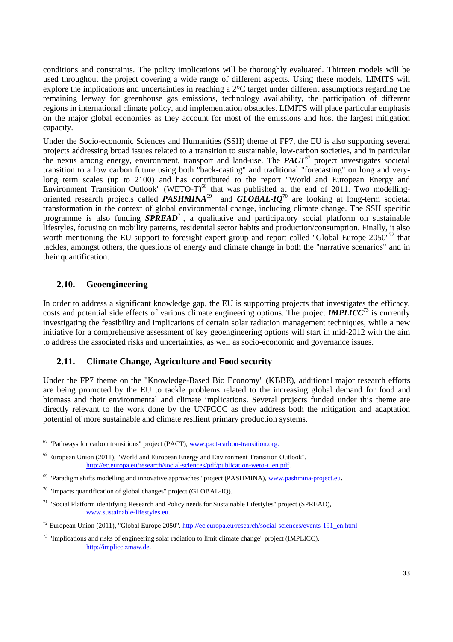conditions and constraints. The policy implications will be thoroughly evaluated. Thirteen models will be used throughout the project covering a wide range of different aspects. Using these models, LIMITS will explore the implications and uncertainties in reaching a 2°C target under different assumptions regarding the remaining leeway for greenhouse gas emissions, technology availability, the participation of different regions in international climate policy, and implementation obstacles. LIMITS will place particular emphasis on the major global economies as they account for most of the emissions and host the largest mitigation capacity.

Under the Socio-economic Sciences and Humanities (SSH) theme of FP7, the EU is also supporting several projects addressing broad issues related to a transition to sustainable, low-carbon societies, and in particular the nexus among energy, environment, transport and land-use. The *PACT*67 project investigates societal transition to a low carbon future using both "back-casting" and traditional "forecasting" on long and verylong term scales (up to 2100) and has contributed to the report "World and European Energy and Environment Transition Outlook" (WETO-T)<sup>68</sup> that was published at the end of 2011. Two modellingoriented research projects called  $PASHMINA^{69}$  and  $GLOBAL-IQ^{70}$  are looking at long-term societal transformation in the context of global environmental change, including climate change. The SSH specific programme is also funding **SPREAD**<sup>71</sup>, a qualitative and participatory social platform on sustainable lifestyles, focusing on mobility patterns, residential sector habits and production/consumption. Finally, it also worth mentioning the EU support to foresight expert group and report called "Global Europe 2050"<sup>72</sup> that tackles, amongst others, the questions of energy and climate change in both the "narrative scenarios" and in their quantification.

### **2.10. Geoengineering**

 $\overline{a}$ 

In order to address a significant knowledge gap, the EU is supporting projects that investigates the efficacy, costs and potential side effects of various climate engineering options. The project *IMPLICC*<sup>73</sup> is currently investigating the feasibility and implications of certain solar radiation management techniques, while a new initiative for a comprehensive assessment of key geoengineering options will start in mid-2012 with the aim to address the associated risks and uncertainties, as well as socio-economic and governance issues.

#### **2.11. Climate Change, Agriculture and Food security**

Under the FP7 theme on the "Knowledge-Based Bio Economy" (KBBE), additional major research efforts are being promoted by the EU to tackle problems related to the increasing global demand for food and biomass and their environmental and climate implications. Several projects funded under this theme are directly relevant to the work done by the UNFCCC as they address both the mitigation and adaptation potential of more sustainable and climate resilient primary production systems.

<sup>&</sup>lt;sup>67</sup> "Pathways for carbon transitions" project (PACT), www.pact-carbon-transition.org.

<sup>68</sup> European Union (2011), "World and European Energy and Environment Transition Outlook". http://ec.europa.eu/research/social-sciences/pdf/publication-weto-t\_en.pdf.

<sup>69 &</sup>quot;Paradigm shifts modelling and innovative approaches" project (PASHMINA), www.pashmina-project.eu**.** 

<sup>70 &</sup>quot;Impacts quantification of global changes" project (GLOBAL-IQ).

<sup>71 &</sup>quot;Social Platform identifying Research and Policy needs for Sustainable Lifestyles" project (SPREAD), www.sustainable-lifestyles.eu.

 $^{72}$  European Union (2011), "Global Europe 2050". http://ec.europa.eu/research/social-sciences/events-191\_en.html

<sup>73 &</sup>quot;Implications and risks of engineering solar radiation to limit climate change" project (IMPLICC), http://implicc.zmaw.de.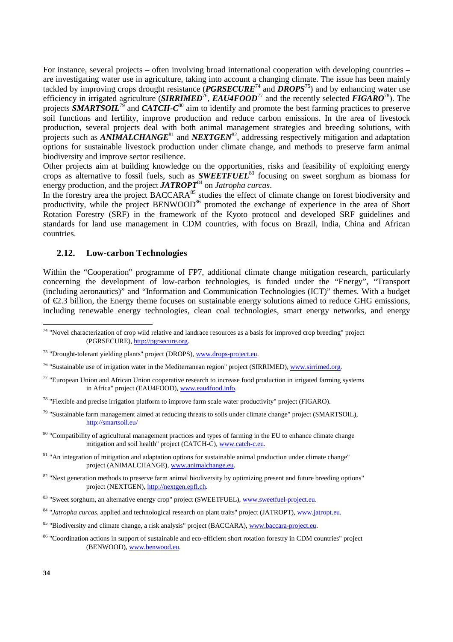For instance, several projects – often involving broad international cooperation with developing countries – are investigating water use in agriculture, taking into account a changing climate. The issue has been mainly tackled by improving crops drought resistance (*PGRSECURE*74 and *DROPS*75) and by enhancing water use efficiency in irrigated agriculture (*SIRRIMED*76, *EAU4FOOD*77 and the recently selected *FIGARO*78). The projects *SMARTSOIL*79 and *CATCH-C*80 aim to identify and promote the best farming practices to preserve soil functions and fertility, improve production and reduce carbon emissions. In the area of livestock production, several projects deal with both animal management strategies and breeding solutions, with projects such as *ANIMALCHANGE*<sup>81</sup> and *NEXTGEN*<sup>82</sup>, addressing respectively mitigation and adaptation options for sustainable livestock production under climate change, and methods to preserve farm animal biodiversity and improve sector resilience.

Other projects aim at building knowledge on the opportunities, risks and feasibility of exploiting energy crops as alternative to fossil fuels, such as *SWEETFUEL*<sup>83</sup> focusing on sweet sorghum as biomass for energy production, and the project *JATROPT*84 on *Jatropha curcas*.

In the forestry area the project BACCARA<sup>85</sup> studies the effect of climate change on forest biodiversity and productivity, while the project BENWOOD<sup>86</sup> promoted the exchange of experience in the area of Short Rotation Forestry (SRF) in the framework of the Kyoto protocol and developed SRF guidelines and standards for land use management in CDM countries, with focus on Brazil, India, China and African countries.

#### **2.12. Low-carbon Technologies**

Within the "Cooperation" programme of FP7, additional climate change mitigation research, particularly concerning the development of low-carbon technologies, is funded under the "Energy", "Transport (including aeronautics)" and "Information and Communication Technologies (ICT)" themes. With a budget of €2.3 billion, the Energy theme focuses on sustainable energy solutions aimed to reduce GHG emissions, including renewable energy technologies, clean coal technologies, smart energy networks, and energy

- $77$  "European Union and African Union cooperative research to increase food production in irrigated farming systems in Africa" project (EAU4FOOD), www.eau4food.info.
- $78$  "Flexible and precise irrigation platform to improve farm scale water productivity" project (FIGARO).
- <sup>79</sup> "Sustainable farm management aimed at reducing threats to soils under climate change" project (SMARTSOIL), http://smartsoil.eu/
- <sup>80</sup> "Compatibility of agricultural management practices and types of farming in the EU to enhance climate change mitigation and soil health" project (CATCH-C), www.catch-c.eu.
- <sup>81</sup> "An integration of mitigation and adaptation options for sustainable animal production under climate change" project (ANIMALCHANGE), www.animalchange.eu.
- <sup>82</sup> "Next generation methods to preserve farm animal biodiversity by optimizing present and future breeding options" project (NEXTGEN), http://nextgen.epfl.ch.

- <sup>84</sup> "*Jatropha curcas*, applied and technological research on plant traits" project (JATROPT), www.jatropt.eu.
- <sup>85</sup> "Biodiversity and climate change, a risk analysis" project (BACCARA), www.baccara-project.eu.
- <sup>86</sup> "Coordination actions in support of sustainable and eco-efficient short rotation forestry in CDM countries" project (BENWOOD), www.benwood.eu.

 $74$  "Novel characterization of crop wild relative and landrace resources as a basis for improved crop breeding" project (PGRSECURE), http://pgrsecure.org.

<sup>75 &</sup>quot;Drought-tolerant yielding plants" project (DROPS), www.drops-project.eu.

<sup>&</sup>lt;sup>76</sup> "Sustainable use of irrigation water in the Mediterranean region" project (SIRRIMED), www.sirrimed.org.

<sup>&</sup>lt;sup>83</sup> "Sweet sorghum, an alternative energy crop" project (SWEETFUEL), www.sweetfuel-project.eu.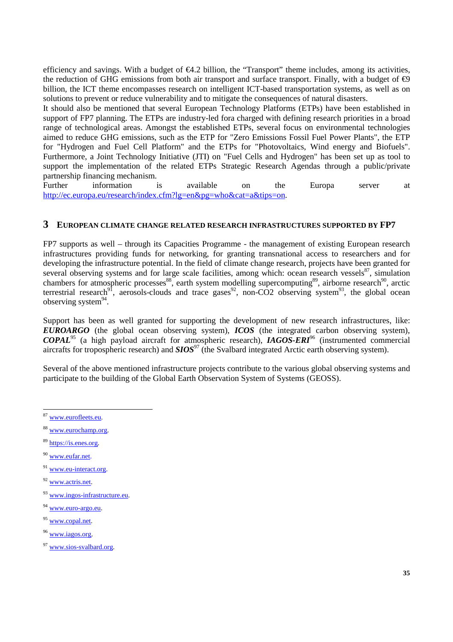efficiency and savings. With a budget of  $\epsilon 4.2$  billion, the "Transport" theme includes, among its activities, the reduction of GHG emissions from both air transport and surface transport. Finally, with a budget of  $\bigoplus$ billion, the ICT theme encompasses research on intelligent ICT-based transportation systems, as well as on solutions to prevent or reduce vulnerability and to mitigate the consequences of natural disasters.

It should also be mentioned that several European Technology Platforms (ETPs) have been established in support of FP7 planning. The ETPs are industry-led fora charged with defining research priorities in a broad range of technological areas. Amongst the established ETPs, several focus on environmental technologies aimed to reduce GHG emissions, such as the ETP for "Zero Emissions Fossil Fuel Power Plants", the ETP for "Hydrogen and Fuel Cell Platform" and the ETPs for "Photovoltaics, Wind energy and Biofuels". Furthermore, a Joint Technology Initiative (JTI) on "Fuel Cells and Hydrogen" has been set up as tool to support the implementation of the related ETPs Strategic Research Agendas through a public/private partnership financing mechanism.

Further information is available on the Europa server at http://ec.europa.eu/research/index.cfm?lg=en&pg=who&cat=a&tips=on.

## **3 EUROPEAN CLIMATE CHANGE RELATED RESEARCH INFRASTRUCTURES SUPPORTED BY FP7**

FP7 supports as well – through its Capacities Programme - the management of existing European research infrastructures providing funds for networking, for granting transnational access to researchers and for developing the infrastructure potential. In the field of climate change research, projects have been granted for several observing systems and for large scale facilities, among which: ocean research vessels $^{87}$ , simulation chambers for atmospheric processes<sup>88</sup>, earth system modelling supercomputing<sup>89</sup>, airborne research<sup>90</sup>, arctic terrestrial research<sup>91</sup>, aerosols-clouds and trace gases<sup>92</sup>, non-CO2 observing system<sup>93</sup>, the global ocean terrestrial research<sup>91</sup>, aerosols-clouds and trace gases<sup>92</sup>, non-CO2 observing system<sup>93</sup>, the global ocean observing system<sup>94</sup>.

Support has been as well granted for supporting the development of new research infrastructures, like: *EUROARGO* (the global ocean observing system), *ICOS* (the integrated carbon observing system), *COPAL*95 (a high payload aircraft for atmospheric research), *IAGOS-ERI*96 (instrumented commercial aircrafts for tropospheric research) and *SIOS<sup>97</sup>* (the Svalbard integrated Arctic earth observing system).

Several of the above mentioned infrastructure projects contribute to the various global observing systems and participate to the building of the Global Earth Observation System of Systems (GEOSS).

- <sup>89</sup> https://is.enes.org.
- <sup>90</sup> www.eufar.net.
- <sup>91</sup> www.eu-interact.org.
- <sup>92</sup> www.actris.net.
- <sup>93</sup> www.ingos-infrastructure.eu.
- <sup>94</sup> www.euro-argo.eu.
- <sup>95</sup> www.copal.net.
- <sup>96</sup> www.iagos.org.
- <sup>97</sup> www.sios-svalbard.org.

<sup>&</sup>lt;sup>87</sup> www.eurofleets.eu.

<sup>88</sup> www.eurochamp.org.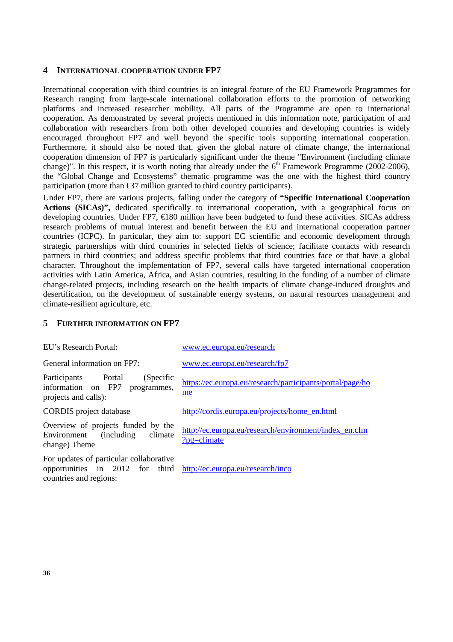#### **4 INTERNATIONAL COOPERATION UNDER FP7**

International cooperation with third countries is an integral feature of the EU Framework Programmes for Research ranging from large-scale international collaboration efforts to the promotion of networking platforms and increased researcher mobility. All parts of the Programme are open to international cooperation. As demonstrated by several projects mentioned in this information note, participation of and collaboration with researchers from both other developed countries and developing countries is widely encouraged throughout FP7 and well beyond the specific tools supporting international cooperation. Furthermore, it should also be noted that, given the global nature of climate change, the international cooperation dimension of FP7 is particularly significant under the theme "Environment (including climate change)". In this respect, it is worth noting that already under the  $6<sup>th</sup>$  Framework Programme (2002-2006), the "Global Change and Ecosystems" thematic programme was the one with the highest third country participation (more than  $\mathfrak{S}7$  million granted to third country participants).

Under FP7, there are various projects, falling under the category of **"Specific International Cooperation Actions (SICAs)",** dedicated specifically to international cooperation, with a geographical focus on developing countries. Under FP7, €180 million have been budgeted to fund these activities. SICAs address research problems of mutual interest and benefit between the EU and international cooperation partner countries (ICPC). In particular, they aim to: support EC scientific and economic development through strategic partnerships with third countries in selected fields of science; facilitate contacts with research partners in third countries; and address specific problems that third countries face or that have a global character. Throughout the implementation of FP7, several calls have targeted international cooperation activities with Latin America, Africa, and Asian countries, resulting in the funding of a number of climate change-related projects, including research on the health impacts of climate change-induced droughts and desertification, on the development of sustainable energy systems, on natural resources management and climate-resilient agriculture, etc.

### **5 FURTHER INFORMATION ON FP7**

| EU's Research Portal:                                                                                                                  | www.ec.europa.eu/research                                               |  |
|----------------------------------------------------------------------------------------------------------------------------------------|-------------------------------------------------------------------------|--|
| General information on FP7:                                                                                                            | www.ec.europa.eu/research/fp7                                           |  |
| (Specific<br>Participants<br>Portal<br>information on FP7<br>programmes,<br>projects and calls):                                       | https://ec.europa.eu/research/participants/portal/page/ho<br>me         |  |
| <b>CORDIS</b> project database                                                                                                         | http://cordis.europa.eu/projects/home_en.html                           |  |
| Overview of projects funded by the<br>Environment<br>(including)<br>climate<br>change) Theme                                           | http://ec.europa.eu/research/environment/index_en.cfm<br>$?$ pg=climate |  |
| For updates of particular collaborative<br>opportunities in 2012 for third http://ec.europa.eu/research/inco<br>countries and regions: |                                                                         |  |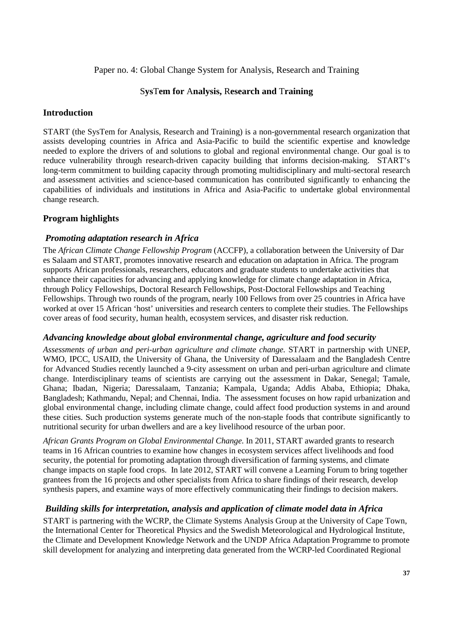## Paper no. 4: Global Change System for Analysis, Research and Training

## S**ys**T**em for** A**nalysis,** R**esearch and** T**raining**

### **Introduction**

START (the SysTem for Analysis, Research and Training) is a non-governmental research organization that assists developing countries in Africa and Asia-Pacific to build the scientific expertise and knowledge needed to explore the drivers of and solutions to global and regional environmental change. Our goal is to reduce vulnerability through research-driven capacity building that informs decision-making. START's long-term commitment to building capacity through promoting multidisciplinary and multi-sectoral research and assessment activities and science-based communication has contributed significantly to enhancing the capabilities of individuals and institutions in Africa and Asia-Pacific to undertake global environmental change research.

## **Program highlights**

## *Promoting adaptation research in Africa*

The *African Climate Change Fellowship Program* (ACCFP), a collaboration between the University of Dar es Salaam and START, promotes innovative research and education on adaptation in Africa. The program supports African professionals, researchers, educators and graduate students to undertake activities that enhance their capacities for advancing and applying knowledge for climate change adaptation in Africa, through Policy Fellowships, Doctoral Research Fellowships, Post-Doctoral Fellowships and Teaching Fellowships. Through two rounds of the program, nearly 100 Fellows from over 25 countries in Africa have worked at over 15 African 'host' universities and research centers to complete their studies. The Fellowships cover areas of food security, human health, ecosystem services, and disaster risk reduction.

## *Advancing knowledge about global environmental change, agriculture and food security*

*Assessments of urban and peri-urban agriculture and climate change.* START in partnership with UNEP, WMO, IPCC, USAID, the University of Ghana, the University of Daressalaam and the Bangladesh Centre for Advanced Studies recently launched a 9-city assessment on urban and peri-urban agriculture and climate change. Interdisciplinary teams of scientists are carrying out the assessment in Dakar, Senegal; Tamale, Ghana; Ibadan, Nigeria; Daressalaam, Tanzania; Kampala, Uganda; Addis Ababa, Ethiopia; Dhaka, Bangladesh; Kathmandu, Nepal; and Chennai, India. The assessment focuses on how rapid urbanization and global environmental change, including climate change, could affect food production systems in and around these cities. Such production systems generate much of the non-staple foods that contribute significantly to nutritional security for urban dwellers and are a key livelihood resource of the urban poor.

*African Grants Program on Global Environmental Change.* In 2011, START awarded grants to research teams in 16 African countries to examine how changes in ecosystem services affect livelihoods and food security, the potential for promoting adaptation through diversification of farming systems, and climate change impacts on staple food crops. In late 2012, START will convene a Learning Forum to bring together grantees from the 16 projects and other specialists from Africa to share findings of their research, develop synthesis papers, and examine ways of more effectively communicating their findings to decision makers.

## *Building skills for interpretation, analysis and application of climate model data in Africa*

START is partnering with the WCRP, the Climate Systems Analysis Group at the University of Cape Town, the International Center for Theoretical Physics and the Swedish Meteorological and Hydrological Institute, the Climate and Development Knowledge Network and the UNDP Africa Adaptation Programme to promote skill development for analyzing and interpreting data generated from the WCRP-led Coordinated Regional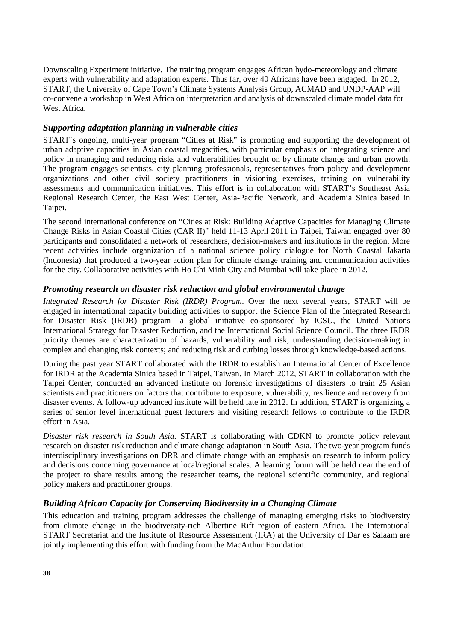Downscaling Experiment initiative. The training program engages African hydo-meteorology and climate experts with vulnerability and adaptation experts. Thus far, over 40 Africans have been engaged. In 2012, START, the University of Cape Town's Climate Systems Analysis Group, ACMAD and UNDP-AAP will co-convene a workshop in West Africa on interpretation and analysis of downscaled climate model data for West Africa.

## *Supporting adaptation planning in vulnerable cities*

START's ongoing, multi-year program "Cities at Risk" is promoting and supporting the development of urban adaptive capacities in Asian coastal megacities, with particular emphasis on integrating science and policy in managing and reducing risks and vulnerabilities brought on by climate change and urban growth. The program engages scientists, city planning professionals, representatives from policy and development organizations and other civil society practitioners in visioning exercises, training on vulnerability assessments and communication initiatives. This effort is in collaboration with START's Southeast Asia Regional Research Center, the East West Center, Asia-Pacific Network, and Academia Sinica based in Taipei.

The second international conference on "Cities at Risk: Building Adaptive Capacities for Managing Climate Change Risks in Asian Coastal Cities (CAR II)" held 11-13 April 2011 in Taipei, Taiwan engaged over 80 participants and consolidated a network of researchers, decision-makers and institutions in the region. More recent activities include organization of a national science policy dialogue for North Coastal Jakarta (Indonesia) that produced a two-year action plan for climate change training and communication activities for the city. Collaborative activities with Ho Chi Minh City and Mumbai will take place in 2012.

## *Promoting research on disaster risk reduction and global environmental change*

*Integrated Research for Disaster Risk (IRDR) Program*. Over the next several years, START will be engaged in international capacity building activities to support the Science Plan of the Integrated Research for Disaster Risk (IRDR) program– a global initiative co-sponsored by ICSU, the United Nations International Strategy for Disaster Reduction, and the International Social Science Council. The three IRDR priority themes are characterization of hazards, vulnerability and risk; understanding decision-making in complex and changing risk contexts; and reducing risk and curbing losses through knowledge-based actions.

During the past year START collaborated with the IRDR to establish an International Center of Excellence for IRDR at the Academia Sinica based in Taipei, Taiwan. In March 2012, START in collaboration with the Taipei Center, conducted an advanced institute on forensic investigations of disasters to train 25 Asian scientists and practitioners on factors that contribute to exposure, vulnerability, resilience and recovery from disaster events. A follow-up advanced institute will be held late in 2012. In addition, START is organizing a series of senior level international guest lecturers and visiting research fellows to contribute to the IRDR effort in Asia.

*Disaster risk research in South Asia*. START is collaborating with CDKN to promote policy relevant research on disaster risk reduction and climate change adaptation in South Asia. The two-year program funds interdisciplinary investigations on DRR and climate change with an emphasis on research to inform policy and decisions concerning governance at local/regional scales. A learning forum will be held near the end of the project to share results among the researcher teams, the regional scientific community, and regional policy makers and practitioner groups.

## *Building African Capacity for Conserving Biodiversity in a Changing Climate*

This education and training program addresses the challenge of managing emerging risks to biodiversity from climate change in the biodiversity-rich Albertine Rift region of eastern Africa. The International START Secretariat and the Institute of Resource Assessment (IRA) at the University of Dar es Salaam are jointly implementing this effort with funding from the MacArthur Foundation.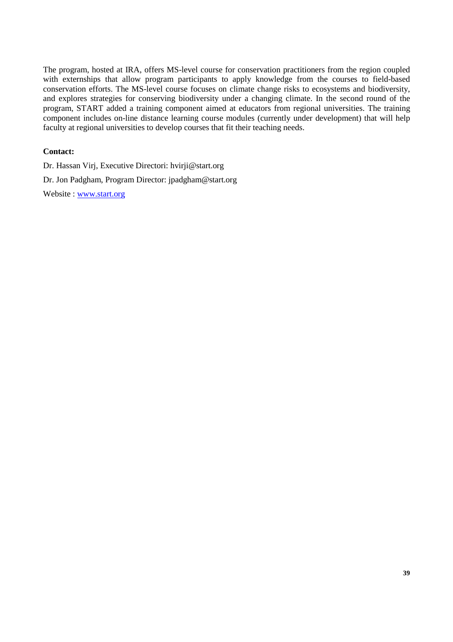The program, hosted at IRA, offers MS-level course for conservation practitioners from the region coupled with externships that allow program participants to apply knowledge from the courses to field-based conservation efforts. The MS-level course focuses on climate change risks to ecosystems and biodiversity, and explores strategies for conserving biodiversity under a changing climate. In the second round of the program, START added a training component aimed at educators from regional universities. The training component includes on-line distance learning course modules (currently under development) that will help faculty at regional universities to develop courses that fit their teaching needs.

### **Contact:**

Dr. Hassan Virj, Executive Directori: hvirji@start.org Dr. Jon Padgham, Program Director: jpadgham@start.org Website : www.start.org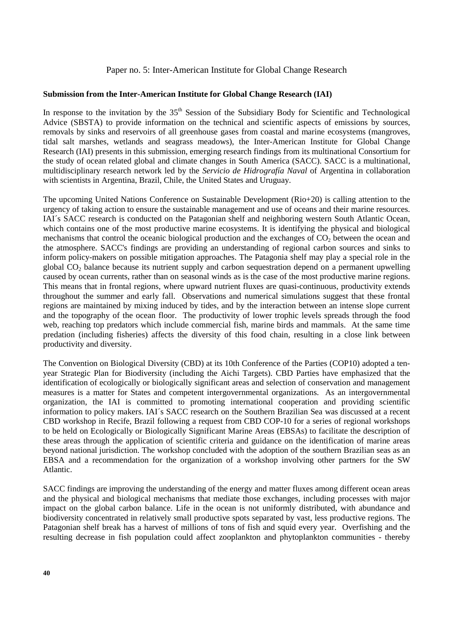### Paper no. 5: Inter-American Institute for Global Change Research

#### **Submission from the Inter-American Institute for Global Change Research (IAI)**

In response to the invitation by the  $35<sup>th</sup>$  Session of the Subsidiary Body for Scientific and Technological Advice (SBSTA) to provide information on the technical and scientific aspects of emissions by sources, removals by sinks and reservoirs of all greenhouse gases from coastal and marine ecosystems (mangroves, tidal salt marshes, wetlands and seagrass meadows), the Inter-American Institute for Global Change Research (IAI) presents in this submission, emerging research findings from its multinational Consortium for the study of ocean related global and climate changes in South America (SACC). SACC is a multinational, multidisciplinary research network led by the *Servicio de Hidrografía Naval* of Argentina in collaboration with scientists in Argentina, Brazil, Chile, the United States and Uruguay.

The upcoming United Nations Conference on Sustainable Development (Rio+20) is calling attention to the urgency of taking action to ensure the sustainable management and use of oceans and their marine resources. IAI´s SACC research is conducted on the Patagonian shelf and neighboring western South Atlantic Ocean, which contains one of the most productive marine ecosystems. It is identifying the physical and biological mechanisms that control the oceanic biological production and the exchanges of CO<sub>2</sub> between the ocean and the atmosphere. SACC's findings are providing an understanding of regional carbon sources and sinks to inform policy-makers on possible mitigation approaches. The Patagonia shelf may play a special role in the global CO2 balance because its nutrient supply and carbon sequestration depend on a permanent upwelling caused by ocean currents, rather than on seasonal winds as is the case of the most productive marine regions. This means that in frontal regions, where upward nutrient fluxes are quasi-continuous, productivity extends throughout the summer and early fall. Observations and numerical simulations suggest that these frontal regions are maintained by mixing induced by tides, and by the interaction between an intense slope current and the topography of the ocean floor. The productivity of lower trophic levels spreads through the food web, reaching top predators which include commercial fish, marine birds and mammals. At the same time predation (including fisheries) affects the diversity of this food chain, resulting in a close link between productivity and diversity.

The Convention on Biological Diversity (CBD) at its 10th Conference of the Parties (COP10) adopted a tenyear Strategic Plan for Biodiversity (including the Aichi Targets). CBD Parties have emphasized that the identification of ecologically or biologically significant areas and selection of conservation and management measures is a matter for States and competent intergovernmental organizations. As an intergovernmental organization, the IAI is committed to promoting international cooperation and providing scientific information to policy makers. IAI´s SACC research on the Southern Brazilian Sea was discussed at a recent CBD workshop in Recife, Brazil following a request from CBD COP-10 for a series of regional workshops to be held on Ecologically or Biologically Significant Marine Areas (EBSAs) to facilitate the description of these areas through the application of scientific criteria and guidance on the identification of marine areas beyond national jurisdiction. The workshop concluded with the adoption of the southern Brazilian seas as an EBSA and a recommendation for the organization of a workshop involving other partners for the SW Atlantic.

SACC findings are improving the understanding of the energy and matter fluxes among different ocean areas and the physical and biological mechanisms that mediate those exchanges, including processes with major impact on the global carbon balance. Life in the ocean is not uniformly distributed, with abundance and biodiversity concentrated in relatively small productive spots separated by vast, less productive regions. The Patagonian shelf break has a harvest of millions of tons of fish and squid every year. Overfishing and the resulting decrease in fish population could affect zooplankton and phytoplankton communities - thereby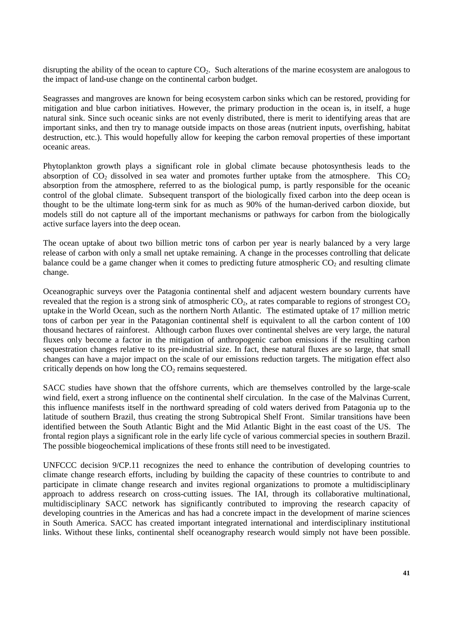disrupting the ability of the ocean to capture  $CO<sub>2</sub>$ . Such alterations of the marine ecosystem are analogous to the impact of land-use change on the continental carbon budget.

Seagrasses and mangroves are known for being ecosystem carbon sinks which can be restored, providing for mitigation and blue carbon initiatives. However, the primary production in the ocean is, in itself, a huge natural sink. Since such oceanic sinks are not evenly distributed, there is merit to identifying areas that are important sinks, and then try to manage outside impacts on those areas (nutrient inputs, overfishing, habitat destruction, etc.). This would hopefully allow for keeping the carbon removal properties of these important oceanic areas.

Phytoplankton growth plays a significant role in global climate because photosynthesis leads to the absorption of  $CO_2$  dissolved in sea water and promotes further uptake from the atmosphere. This  $CO_2$ absorption from the atmosphere, referred to as the biological pump, is partly responsible for the oceanic control of the global climate. Subsequent transport of the biologically fixed carbon into the deep ocean is thought to be the ultimate long-term sink for as much as 90% of the human-derived carbon dioxide, but models still do not capture all of the important mechanisms or pathways for carbon from the biologically active surface layers into the deep ocean.

The ocean uptake of about two billion metric tons of carbon per year is nearly balanced by a very large release of carbon with only a small net uptake remaining. A change in the processes controlling that delicate balance could be a game changer when it comes to predicting future atmospheric  $CO<sub>2</sub>$  and resulting climate change.

Oceanographic surveys over the Patagonia continental shelf and adjacent western boundary currents have revealed that the region is a strong sink of atmospheric  $CO<sub>2</sub>$ , at rates comparable to regions of strongest  $CO<sub>2</sub>$ uptake in the World Ocean, such as the northern North Atlantic. The estimated uptake of 17 million metric tons of carbon per year in the Patagonian continental shelf is equivalent to all the carbon content of 100 thousand hectares of rainforest. Although carbon fluxes over continental shelves are very large, the natural fluxes only become a factor in the mitigation of anthropogenic carbon emissions if the resulting carbon sequestration changes relative to its pre-industrial size. In fact, these natural fluxes are so large, that small changes can have a major impact on the scale of our emissions reduction targets. The mitigation effect also critically depends on how long the  $CO<sub>2</sub>$  remains sequestered.

SACC studies have shown that the offshore currents, which are themselves controlled by the large-scale wind field, exert a strong influence on the continental shelf circulation. In the case of the Malvinas Current, this influence manifests itself in the northward spreading of cold waters derived from Patagonia up to the latitude of southern Brazil, thus creating the strong Subtropical Shelf Front. Similar transitions have been identified between the South Atlantic Bight and the Mid Atlantic Bight in the east coast of the US. The frontal region plays a significant role in the early life cycle of various commercial species in southern Brazil. The possible biogeochemical implications of these fronts still need to be investigated.

UNFCCC decision 9/CP.11 recognizes the need to enhance the contribution of developing countries to climate change research efforts, including by building the capacity of these countries to contribute to and participate in climate change research and invites regional organizations to promote a multidisciplinary approach to address research on cross-cutting issues. The IAI, through its collaborative multinational, multidisciplinary SACC network has significantly contributed to improving the research capacity of developing countries in the Americas and has had a concrete impact in the development of marine sciences in South America. SACC has created important integrated international and interdisciplinary institutional links. Without these links, continental shelf oceanography research would simply not have been possible.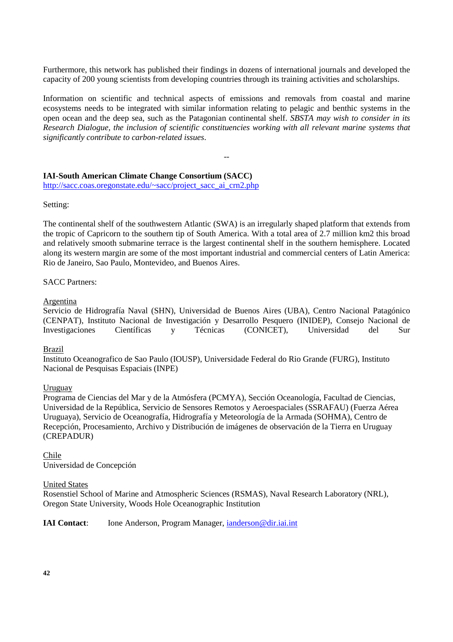Furthermore, this network has published their findings in dozens of international journals and developed the capacity of 200 young scientists from developing countries through its training activities and scholarships.

Information on scientific and technical aspects of emissions and removals from coastal and marine ecosystems needs to be integrated with similar information relating to pelagic and benthic systems in the open ocean and the deep sea, such as the Patagonian continental shelf. *SBSTA may wish to consider in its Research Dialogue, the inclusion of scientific constituencies working with all relevant marine systems that significantly contribute to carbon-related issues*.

--

# **IAI-South American Climate Change Consortium (SACC)**

http://sacc.coas.oregonstate.edu/~sacc/project\_sacc\_ai\_crn2.php

Setting:

The continental shelf of the southwestern Atlantic (SWA) is an irregularly shaped platform that extends from the tropic of Capricorn to the southern tip of South America. With a total area of 2.7 million km2 this broad and relatively smooth submarine terrace is the largest continental shelf in the southern hemisphere. Located along its western margin are some of the most important industrial and commercial centers of Latin America: Rio de Janeiro, Sao Paulo, Montevideo, and Buenos Aires.

### SACC Partners:

#### Argentina

Servicio de Hidrografía Naval (SHN), Universidad de Buenos Aires (UBA), Centro Nacional Patagónico (CENPAT), Instituto Nacional de Investigación y Desarrollo Pesquero (INIDEP), Consejo Nacional de Investigaciones Científicas y Técnicas (CONICET), Universidad del Sur

#### Brazil

Instituto Oceanografico de Sao Paulo (IOUSP), Universidade Federal do Rio Grande (FURG), Instituto Nacional de Pesquisas Espaciais (INPE)

## Uruguay

Programa de Ciencias del Mar y de la Atmósfera (PCMYA), Sección Oceanología, Facultad de Ciencias, Universidad de la República, Servicio de Sensores Remotos y Aeroespaciales (SSRAFAU) (Fuerza Aérea Uruguaya), Servicio de Oceanografía, Hidrografía y Meteorología de la Armada (SOHMA), Centro de Recepción, Procesamiento, Archivo y Distribución de imágenes de observación de la Tierra en Uruguay (CREPADUR)

#### Chile Universidad de Concepción

#### United States

Rosenstiel School of Marine and Atmospheric Sciences (RSMAS), Naval Research Laboratory (NRL), Oregon State University, Woods Hole Oceanographic Institution

**IAI Contact:** Ione Anderson, Program Manager, ianderson@dir.iai.int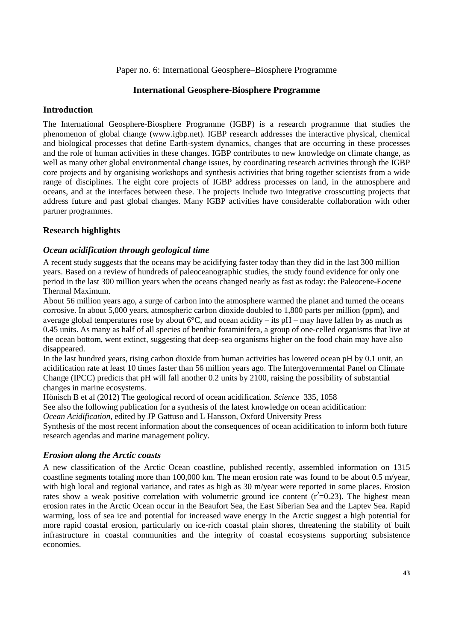### Paper no. 6: International Geosphere–Biosphere Programme

### **International Geosphere-Biosphere Programme**

### **Introduction**

The International Geosphere-Biosphere Programme (IGBP) is a research programme that studies the phenomenon of global change (www.igbp.net). IGBP research addresses the interactive physical, chemical and biological processes that define Earth-system dynamics, changes that are occurring in these processes and the role of human activities in these changes. IGBP contributes to new knowledge on climate change, as well as many other global environmental change issues, by coordinating research activities through the IGBP core projects and by organising workshops and synthesis activities that bring together scientists from a wide range of disciplines. The eight core projects of IGBP address processes on land, in the atmosphere and oceans, and at the interfaces between these. The projects include two integrative crosscutting projects that address future and past global changes. Many IGBP activities have considerable collaboration with other partner programmes.

### **Research highlights**

### *Ocean acidification through geological time*

A recent study suggests that the oceans may be acidifying faster today than they did in the last 300 million years. Based on a review of hundreds of paleoceanographic studies, the study found evidence for only one period in the last 300 million years when the oceans changed nearly as fast as today: the Paleocene-Eocene Thermal Maximum.

About 56 million years ago, a surge of carbon into the atmosphere warmed the planet and turned the oceans corrosive. In about 5,000 years, atmospheric carbon dioxide doubled to 1,800 parts per million (ppm), and average global temperatures rose by about 6**°**C, and ocean acidity – its pH – may have fallen by as much as 0.45 units. As many as half of all species of benthic foraminifera, a group of one-celled organisms that live at the ocean bottom, went extinct, suggesting that deep-sea organisms higher on the food chain may have also disappeared.

In the last hundred years, rising carbon dioxide from human activities has lowered ocean pH by 0.1 unit, an acidification rate at least 10 times faster than 56 million years ago. The Intergovernmental Panel on Climate Change (IPCC) predicts that pH will fall another 0.2 units by 2100, raising the possibility of substantial changes in marine ecosystems.

Hönisch B et al (2012) The geological record of ocean acidification. *Science* 335, 1058

See also the following publication for a synthesis of the latest knowledge on ocean acidification:

*Ocean Acidification*, edited by JP Gattuso and L Hansson, Oxford University Press

Synthesis of the most recent information about the consequences of ocean acidification to inform both future research agendas and marine management policy.

#### *Erosion along the Arctic coasts*

A new classification of the Arctic Ocean coastline, published recently, assembled information on 1315 coastline segments totaling more than 100,000 km. The mean erosion rate was found to be about 0.5 m/year, with high local and regional variance, and rates as high as 30 m/year were reported in some places. Erosion rates show a weak positive correlation with volumetric ground ice content  $(r^2=0.23)$ . The highest mean erosion rates in the Arctic Ocean occur in the Beaufort Sea, the East Siberian Sea and the Laptev Sea. Rapid warming, loss of sea ice and potential for increased wave energy in the Arctic suggest a high potential for more rapid coastal erosion, particularly on ice-rich coastal plain shores, threatening the stability of built infrastructure in coastal communities and the integrity of coastal ecosystems supporting subsistence economies.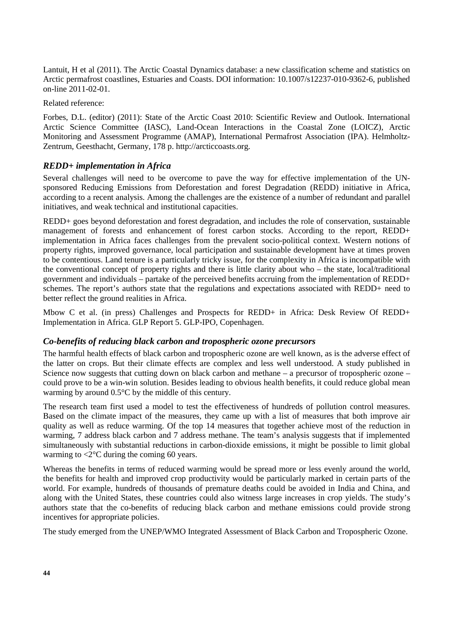Lantuit, H et al (2011). The Arctic Coastal Dynamics database: a new classification scheme and statistics on Arctic permafrost coastlines, Estuaries and Coasts. DOI information: 10.1007/s12237-010-9362-6, published on-line 2011-02-01.

Related reference:

Forbes, D.L. (editor) (2011): State of the Arctic Coast 2010: Scientific Review and Outlook. International Arctic Science Committee (IASC), Land-Ocean Interactions in the Coastal Zone (LOICZ), Arctic Monitoring and Assessment Programme (AMAP), International Permafrost Association (IPA). Helmholtz-Zentrum, Geesthacht, Germany, 178 p. http://arcticcoasts.org.

## *REDD+ implementation in Africa*

Several challenges will need to be overcome to pave the way for effective implementation of the UNsponsored Reducing Emissions from Deforestation and forest Degradation (REDD) initiative in Africa, according to a recent analysis. Among the challenges are the existence of a number of redundant and parallel initiatives, and weak technical and institutional capacities.

REDD+ goes beyond deforestation and forest degradation, and includes the role of conservation, sustainable management of forests and enhancement of forest carbon stocks. According to the report, REDD+ implementation in Africa faces challenges from the prevalent socio-political context. Western notions of property rights, improved governance, local participation and sustainable development have at times proven to be contentious. Land tenure is a particularly tricky issue, for the complexity in Africa is incompatible with the conventional concept of property rights and there is little clarity about who – the state, local/traditional government and individuals – partake of the perceived benefits accruing from the implementation of REDD+ schemes. The report's authors state that the regulations and expectations associated with REDD+ need to better reflect the ground realities in Africa.

Mbow C et al. (in press) Challenges and Prospects for REDD+ in Africa: Desk Review Of REDD+ Implementation in Africa. GLP Report 5. GLP-IPO, Copenhagen.

#### *Co-benefits of reducing black carbon and tropospheric ozone precursors*

The harmful health effects of black carbon and tropospheric ozone are well known, as is the adverse effect of the latter on crops. But their climate effects are complex and less well understood. A study published in Science now suggests that cutting down on black carbon and methane – a precursor of tropospheric ozone – could prove to be a win-win solution. Besides leading to obvious health benefits, it could reduce global mean warming by around 0.5°C by the middle of this century.

The research team first used a model to test the effectiveness of hundreds of pollution control measures. Based on the climate impact of the measures, they came up with a list of measures that both improve air quality as well as reduce warming. Of the top 14 measures that together achieve most of the reduction in warming, 7 address black carbon and 7 address methane. The team's analysis suggests that if implemented simultaneously with substantial reductions in carbon-dioxide emissions, it might be possible to limit global warming to  $\langle 2^{\circ}$ C during the coming 60 years.

Whereas the benefits in terms of reduced warming would be spread more or less evenly around the world, the benefits for health and improved crop productivity would be particularly marked in certain parts of the world. For example, hundreds of thousands of premature deaths could be avoided in India and China, and along with the United States, these countries could also witness large increases in crop yields. The study's authors state that the co-benefits of reducing black carbon and methane emissions could provide strong incentives for appropriate policies.

The study emerged from the UNEP/WMO Integrated Assessment of Black Carbon and Tropospheric Ozone.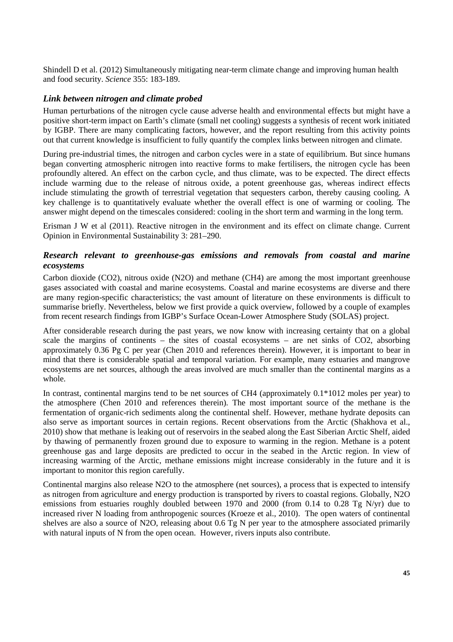Shindell D et al. (2012) Simultaneously mitigating near-term climate change and improving human health and food security. *Science* 355: 183-189.

### *Link between nitrogen and climate probed*

Human perturbations of the nitrogen cycle cause adverse health and environmental effects but might have a positive short-term impact on Earth's climate (small net cooling) suggests a synthesis of recent work initiated by IGBP. There are many complicating factors, however, and the report resulting from this activity points out that current knowledge is insufficient to fully quantify the complex links between nitrogen and climate.

During pre-industrial times, the nitrogen and carbon cycles were in a state of equilibrium. But since humans began converting atmospheric nitrogen into reactive forms to make fertilisers, the nitrogen cycle has been profoundly altered. An effect on the carbon cycle, and thus climate, was to be expected. The direct effects include warming due to the release of nitrous oxide, a potent greenhouse gas, whereas indirect effects include stimulating the growth of terrestrial vegetation that sequesters carbon, thereby causing cooling. A key challenge is to quantitatively evaluate whether the overall effect is one of warming or cooling. The answer might depend on the timescales considered: cooling in the short term and warming in the long term.

Erisman J W et al (2011). Reactive nitrogen in the environment and its effect on climate change. Current Opinion in Environmental Sustainability 3: 281–290.

## *Research relevant to greenhouse-gas emissions and removals from coastal and marine ecosystems*

Carbon dioxide (CO2), nitrous oxide (N2O) and methane (CH4) are among the most important greenhouse gases associated with coastal and marine ecosystems. Coastal and marine ecosystems are diverse and there are many region-specific characteristics; the vast amount of literature on these environments is difficult to summarise briefly. Nevertheless, below we first provide a quick overview, followed by a couple of examples from recent research findings from IGBP's Surface Ocean-Lower Atmosphere Study (SOLAS) project.

After considerable research during the past years, we now know with increasing certainty that on a global scale the margins of continents – the sites of coastal ecosystems – are net sinks of CO2, absorbing approximately 0.36 Pg C per year (Chen 2010 and references therein). However, it is important to bear in mind that there is considerable spatial and temporal variation. For example, many estuaries and mangrove ecosystems are net sources, although the areas involved are much smaller than the continental margins as a whole.

In contrast, continental margins tend to be net sources of CH4 (approximately 0.1\*1012 moles per year) to the atmosphere (Chen 2010 and references therein). The most important source of the methane is the fermentation of organic-rich sediments along the continental shelf. However, methane hydrate deposits can also serve as important sources in certain regions. Recent observations from the Arctic (Shakhova et al., 2010) show that methane is leaking out of reservoirs in the seabed along the East Siberian Arctic Shelf, aided by thawing of permanently frozen ground due to exposure to warming in the region. Methane is a potent greenhouse gas and large deposits are predicted to occur in the seabed in the Arctic region. In view of increasing warming of the Arctic, methane emissions might increase considerably in the future and it is important to monitor this region carefully.

Continental margins also release N2O to the atmosphere (net sources), a process that is expected to intensify as nitrogen from agriculture and energy production is transported by rivers to coastal regions. Globally, N2O emissions from estuaries roughly doubled between 1970 and 2000 (from 0.14 to 0.28 Tg N/yr) due to increased river N loading from anthropogenic sources (Kroeze et al., 2010). The open waters of continental shelves are also a source of N2O, releasing about 0.6 Tg N per year to the atmosphere associated primarily with natural inputs of N from the open ocean. However, rivers inputs also contribute.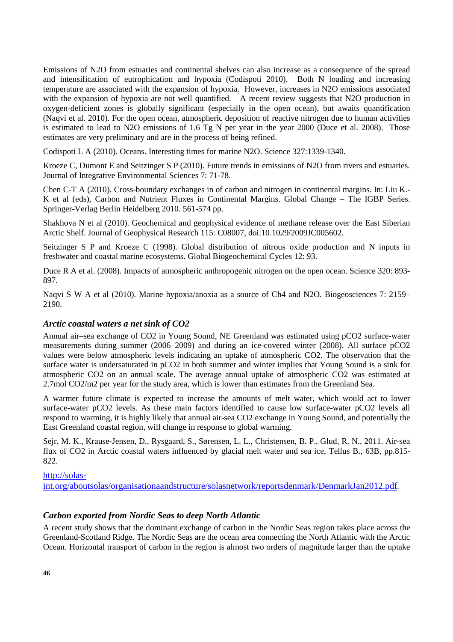Emissions of N2O from estuaries and continental shelves can also increase as a consequence of the spread and intensification of eutrophication and hypoxia (Codispoti 2010). Both N loading and increasing temperature are associated with the expansion of hypoxia. However, increases in N2O emissions associated with the expansion of hypoxia are not well quantified. A recent review suggests that N2O production in oxygen-deficient zones is globally significant (especially in the open ocean), but awaits quantification (Naqvi et al. 2010). For the open ocean, atmospheric deposition of reactive nitrogen due to human activities is estimated to lead to N2O emissions of 1.6 Tg N per year in the year 2000 (Duce et al. 2008). Those estimates are very preliminary and are in the process of being refined.

Codispoti L A (2010). Oceans. Interesting times for marine N2O. Science 327:1339-1340.

Kroeze C, Dumont E and Seitzinger S P (2010). Future trends in emissions of N2O from rivers and estuaries. Journal of Integrative Environmental Sciences 7: 71-78.

Chen C-T A (2010). Cross-boundary exchanges in of carbon and nitrogen in continental margins. In: Liu K.- K et al (eds), Carbon and Nutrient Fluxes in Continental Margins. Global Change – The IGBP Series. Springer-Verlag Berlin Heidelberg 2010. 561-574 pp.

Shakhova N et al (2010). Geochemical and geophysical evidence of methane release over the East Siberian Arctic Shelf. Journal of Geophysical Research 115: C08007, doi:10.1029/2009JC005602.

Seitzinger S P and Kroeze C (1998). Global distribution of nitrous oxide production and N inputs in freshwater and coastal marine ecosystems. Global Biogeochemical Cycles 12: 93.

Duce R A et al. (2008). Impacts of atmospheric anthropogenic nitrogen on the open ocean. Science 320: 893- 897.

Naqvi S W A et al (2010). Marine hypoxia/anoxia as a source of Ch4 and N2O. Biogeosciences 7: 2159– 2190.

## *Arctic coastal waters a net sink of CO2*

Annual air–sea exchange of CO2 in Young Sound, NE Greenland was estimated using pCO2 surface-water measurements during summer (2006–2009) and during an ice-covered winter (2008). All surface pCO2 values were below atmospheric levels indicating an uptake of atmospheric CO2. The observation that the surface water is undersaturated in pCO2 in both summer and winter implies that Young Sound is a sink for atmospheric CO2 on an annual scale. The average annual uptake of atmospheric CO2 was estimated at 2.7mol CO2/m2 per year for the study area, which is lower than estimates from the Greenland Sea.

A warmer future climate is expected to increase the amounts of melt water, which would act to lower surface-water pCO2 levels. As these main factors identified to cause low surface-water pCO2 levels all respond to warming, it is highly likely that annual air-sea CO2 exchange in Young Sound, and potentially the East Greenland coastal region, will change in response to global warming.

Sejr, M. K., Krause-Jensen, D., Rysgaard, S., Sørensen, L. L., Christensen, B. P., Glud, R. N., 2011. Air-sea flux of CO2 in Arctic coastal waters influenced by glacial melt water and sea ice, Tellus B., 63B, pp.815- 822.

#### http://solas-

int.org/aboutsolas/organisationaandstructure/solasnetwork/reportsdenmark/DenmarkJan2012.pdf.

## *Carbon exported from Nordic Seas to deep North Atlantic*

A recent study shows that the dominant exchange of carbon in the Nordic Seas region takes place across the Greenland-Scotland Ridge. The Nordic Seas are the ocean area connecting the North Atlantic with the Arctic Ocean. Horizontal transport of carbon in the region is almost two orders of magnitude larger than the uptake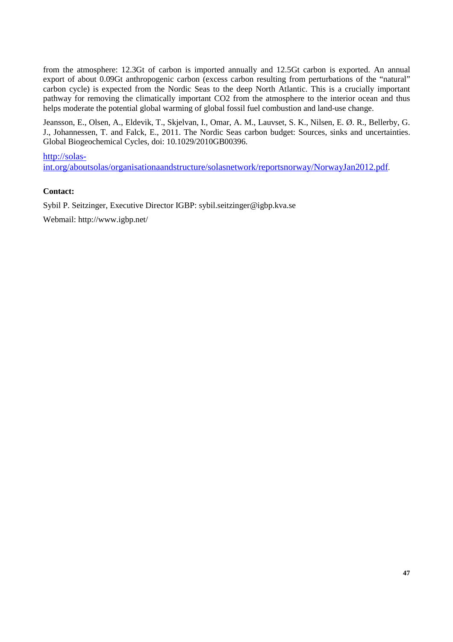from the atmosphere: 12.3Gt of carbon is imported annually and 12.5Gt carbon is exported. An annual export of about 0.09Gt anthropogenic carbon (excess carbon resulting from perturbations of the "natural" carbon cycle) is expected from the Nordic Seas to the deep North Atlantic. This is a crucially important pathway for removing the climatically important CO2 from the atmosphere to the interior ocean and thus helps moderate the potential global warming of global fossil fuel combustion and land-use change.

Jeansson, E., Olsen, A., Eldevik, T., Skjelvan, I., Omar, A. M., Lauvset, S. K., Nilsen, E. Ø. R., Bellerby, G. J., Johannessen, T. and Falck, E., 2011. The Nordic Seas carbon budget: Sources, sinks and uncertainties. Global Biogeochemical Cycles, doi: 10.1029/2010GB00396.

http://solas-

int.org/aboutsolas/organisationaandstructure/solasnetwork/reportsnorway/NorwayJan2012.pdf.

### **Contact:**

Sybil P. Seitzinger, Executive Director IGBP: sybil.seitzinger@igbp.kva.se

Webmail: http://www.igbp.net/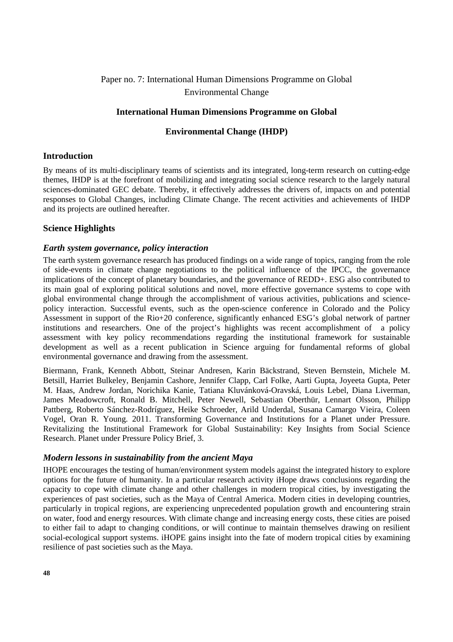# Paper no. 7: International Human Dimensions Programme on Global Environmental Change

## **International Human Dimensions Programme on Global**

## **Environmental Change (IHDP)**

#### **Introduction**

By means of its multi-disciplinary teams of scientists and its integrated, long-term research on cutting-edge themes, IHDP is at the forefront of mobilizing and integrating social science research to the largely natural sciences-dominated GEC debate. Thereby, it effectively addresses the drivers of, impacts on and potential responses to Global Changes, including Climate Change. The recent activities and achievements of IHDP and its projects are outlined hereafter.

## **Science Highlights**

#### *Earth system governance, policy interaction*

The earth system governance research has produced findings on a wide range of topics, ranging from the role of side-events in climate change negotiations to the political influence of the IPCC, the governance implications of the concept of planetary boundaries, and the governance of REDD+. ESG also contributed to its main goal of exploring political solutions and novel, more effective governance systems to cope with global environmental change through the accomplishment of various activities, publications and sciencepolicy interaction. Successful events, such as the open-science conference in Colorado and the Policy Assessment in support of the Rio+20 conference, significantly enhanced ESG's global network of partner institutions and researchers. One of the project's highlights was recent accomplishment of a policy assessment with key policy recommendations regarding the institutional framework for sustainable development as well as a recent publication in Science arguing for fundamental reforms of global environmental governance and drawing from the assessment.

Biermann, Frank, Kenneth Abbott, Steinar Andresen, Karin Bäckstrand, Steven Bernstein, Michele M. Betsill, Harriet Bulkeley, Benjamin Cashore, Jennifer Clapp, Carl Folke, Aarti Gupta, Joyeeta Gupta, Peter M. Haas, Andrew Jordan, Norichika Kanie, Tatiana Kluvánková-Oravská, Louis Lebel, Diana Liverman, James Meadowcroft, Ronald B. Mitchell, Peter Newell, Sebastian Oberthür, Lennart Olsson, Philipp Pattberg, Roberto Sánchez-Rodríguez, Heike Schroeder, Arild Underdal, Susana Camargo Vieira, Coleen Vogel, Oran R. Young. 2011. Transforming Governance and Institutions for a Planet under Pressure. Revitalizing the Institutional Framework for Global Sustainability: Key Insights from Social Science Research. Planet under Pressure Policy Brief, 3.

#### *Modern lessons in sustainability from the ancient Maya*

IHOPE encourages the testing of human/environment system models against the integrated history to explore options for the future of humanity. In a particular research activity iHope draws conclusions regarding the capacity to cope with climate change and other challenges in modern tropical cities, by investigating the experiences of past societies, such as the Maya of Central America. Modern cities in developing countries, particularly in tropical regions, are experiencing unprecedented population growth and encountering strain on water, food and energy resources. With climate change and increasing energy costs, these cities are poised to either fail to adapt to changing conditions, or will continue to maintain themselves drawing on resilient social-ecological support systems. iHOPE gains insight into the fate of modern tropical cities by examining resilience of past societies such as the Maya.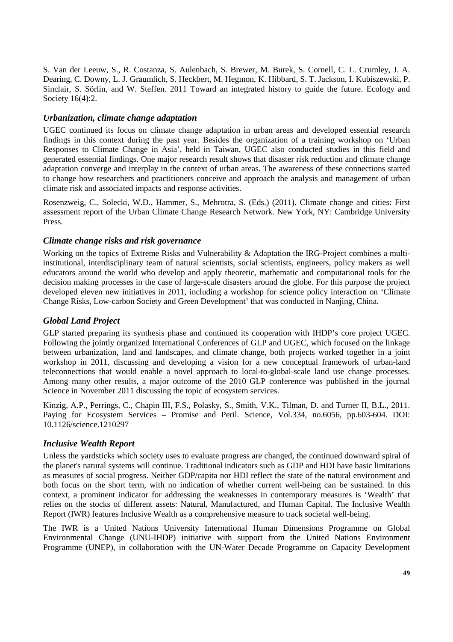S. Van der Leeuw, S., R. Costanza, S. Aulenbach, S. Brewer, M. Burek, S. Cornell, C. L. Crumley, J. A. Dearing, C. Downy, L. J. Graumlich, S. Heckbert, M. Hegmon, K. Hibbard, S. T. Jackson, I. Kubiszewski, P. Sinclair, S. Sörlin, and W. Steffen. 2011 Toward an integrated history to guide the future. Ecology and Society 16(4):2.

## *Urbanization, climate change adaptation*

UGEC continued its focus on climate change adaptation in urban areas and developed essential research findings in this context during the past year. Besides the organization of a training workshop on 'Urban Responses to Climate Change in Asia', held in Taiwan, UGEC also conducted studies in this field and generated essential findings. One major research result shows that disaster risk reduction and climate change adaptation converge and interplay in the context of urban areas. The awareness of these connections started to change how researchers and practitioners conceive and approach the analysis and management of urban climate risk and associated impacts and response activities.

Rosenzweig, C., Solecki, W.D., Hammer, S., Mehrotra, S. (Eds.) (2011). Climate change and cities: First assessment report of the Urban Climate Change Research Network. New York, NY: Cambridge University Press.

## *Climate change risks and risk governance*

Working on the topics of Extreme Risks and Vulnerability & Adaptation the IRG-Project combines a multiinstitutional, interdisciplinary team of natural scientists, social scientists, engineers, policy makers as well educators around the world who develop and apply theoretic, mathematic and computational tools for the decision making processes in the case of large-scale disasters around the globe. For this purpose the project developed eleven new initiatives in 2011, including a workshop for science policy interaction on 'Climate Change Risks, Low-carbon Society and Green Development' that was conducted in Nanjing, China.

## *Global Land Project*

GLP started preparing its synthesis phase and continued its cooperation with IHDP's core project UGEC. Following the jointly organized International Conferences of GLP and UGEC, which focused on the linkage between urbanization, land and landscapes, and climate change, both projects worked together in a joint workshop in 2011, discussing and developing a vision for a new conceptual framework of urban-land teleconnections that would enable a novel approach to local-to-global-scale land use change processes. Among many other results, a major outcome of the 2010 GLP conference was published in the journal Science in November 2011 discussing the topic of ecosystem services.

Kinzig, A.P., Perrings, C., Chapin III, F.S., Polasky, S., Smith, V.K., Tilman, D. and Turner II, B.L., 2011. Paying for Ecosystem Services – Promise and Peril. Science, Vol.334, no.6056, pp.603-604. DOI: 10.1126/science.1210297

## *Inclusive Wealth Report*

Unless the yardsticks which society uses to evaluate progress are changed, the continued downward spiral of the planet's natural systems will continue. Traditional indicators such as GDP and HDI have basic limitations as measures of social progress. Neither GDP/capita nor HDI reflect the state of the natural environment and both focus on the short term, with no indication of whether current well-being can be sustained. In this context, a prominent indicator for addressing the weaknesses in contemporary measures is 'Wealth' that relies on the stocks of different assets: Natural, Manufactured, and Human Capital. The Inclusive Wealth Report (IWR) features Inclusive Wealth as a comprehensive measure to track societal well-being.

The IWR is a United Nations University International Human Dimensions Programme on Global Environmental Change (UNU-IHDP) initiative with support from the United Nations Environment Programme (UNEP), in collaboration with the UN-Water Decade Programme on Capacity Development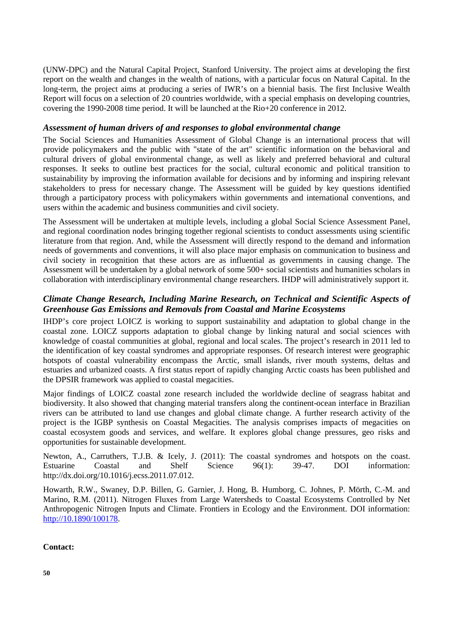(UNW-DPC) and the Natural Capital Project, Stanford University. The project aims at developing the first report on the wealth and changes in the wealth of nations, with a particular focus on Natural Capital. In the long-term, the project aims at producing a series of IWR's on a biennial basis. The first Inclusive Wealth Report will focus on a selection of 20 countries worldwide, with a special emphasis on developing countries, covering the 1990-2008 time period. It will be launched at the Rio+20 conference in 2012.

## *Assessment of human drivers of and responses to global environmental change*

The Social Sciences and Humanities Assessment of Global Change is an international process that will provide policymakers and the public with "state of the art" scientific information on the behavioral and cultural drivers of global environmental change, as well as likely and preferred behavioral and cultural responses. It seeks to outline best practices for the social, cultural economic and political transition to sustainability by improving the information available for decisions and by informing and inspiring relevant stakeholders to press for necessary change. The Assessment will be guided by key questions identified through a participatory process with policymakers within governments and international conventions, and users within the academic and business communities and civil society.

The Assessment will be undertaken at multiple levels, including a global Social Science Assessment Panel, and regional coordination nodes bringing together regional scientists to conduct assessments using scientific literature from that region. And, while the Assessment will directly respond to the demand and information needs of governments and conventions, it will also place major emphasis on communication to business and civil society in recognition that these actors are as influential as governments in causing change. The Assessment will be undertaken by a global network of some 500+ social scientists and humanities scholars in collaboration with interdisciplinary environmental change researchers. IHDP will administratively support it.

## *Climate Change Research, Including Marine Research, on Technical and Scientific Aspects of Greenhouse Gas Emissions and Removals from Coastal and Marine Ecosystems*

IHDP's core project LOICZ is working to support sustainability and adaptation to global change in the coastal zone. LOICZ supports adaptation to global change by linking natural and social sciences with knowledge of coastal communities at global, regional and local scales. The project's research in 2011 led to the identification of key coastal syndromes and appropriate responses. Of research interest were geographic hotspots of coastal vulnerability encompass the Arctic, small islands, river mouth systems, deltas and estuaries and urbanized coasts. A first status report of rapidly changing Arctic coasts has been published and the DPSIR framework was applied to coastal megacities.

Major findings of LOICZ coastal zone research included the worldwide decline of seagrass habitat and biodiversity. It also showed that changing material transfers along the continent-ocean interface in Brazilian rivers can be attributed to land use changes and global climate change. A further research activity of the project is the IGBP synthesis on Coastal Megacities. The analysis comprises impacts of megacities on coastal ecosystem goods and services, and welfare. It explores global change pressures, geo risks and opportunities for sustainable development.

Newton, A., Carruthers, T.J.B. & Icely, J. (2011): The coastal syndromes and hotspots on the coast. Estuarine Coastal and Shelf Science 96(1): 39-47. DOI information: http://dx.doi.org/10.1016/j.ecss.2011.07.012.

Howarth, R.W., Swaney, D.P. Billen, G. Garnier, J. Hong, B. Humborg, C. Johnes, P. Mörth, C.-M. and Marino, R.M. (2011). Nitrogen Fluxes from Large Watersheds to Coastal Ecosystems Controlled by Net Anthropogenic Nitrogen Inputs and Climate. Frontiers in Ecology and the Environment. DOI information: http://10.1890/100178.

#### **Contact:**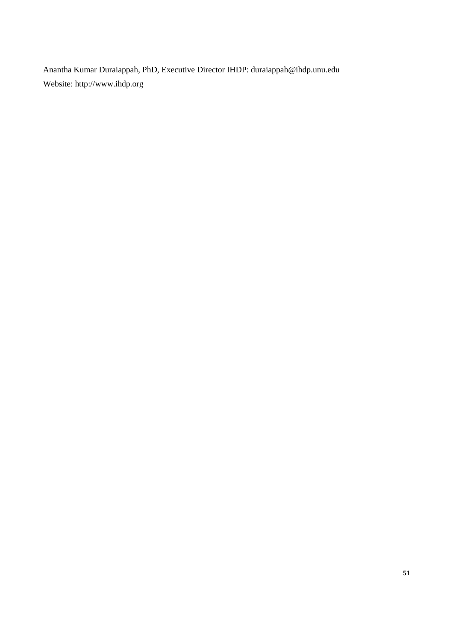Anantha Kumar Duraiappah, PhD, Executive Director IHDP: duraiappah@ihdp.unu.edu Website: http://www.ihdp.org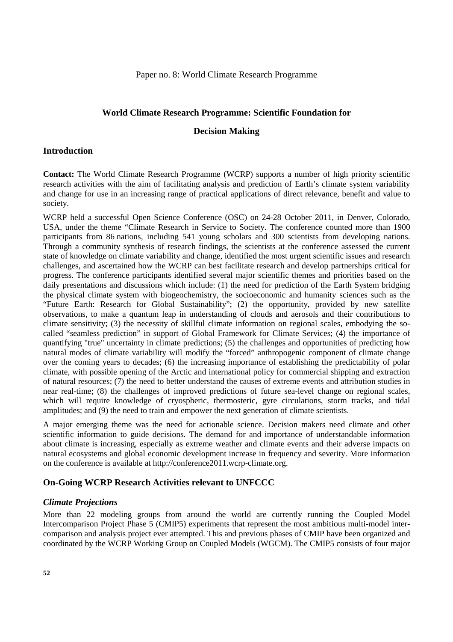#### Paper no. 8: World Climate Research Programme

### **World Climate Research Programme: Scientific Foundation for**

### **Decision Making**

### **Introduction**

**Contact:** The World Climate Research Programme (WCRP) supports a number of high priority scientific research activities with the aim of facilitating analysis and prediction of Earth's climate system variability and change for use in an increasing range of practical applications of direct relevance, benefit and value to society.

WCRP held a successful Open Science Conference (OSC) on 24-28 October 2011, in Denver, Colorado, USA, under the theme "Climate Research in Service to Society. The conference counted more than 1900 participants from 86 nations, including 541 young scholars and 300 scientists from developing nations. Through a community synthesis of research findings, the scientists at the conference assessed the current state of knowledge on climate variability and change, identified the most urgent scientific issues and research challenges, and ascertained how the WCRP can best facilitate research and develop partnerships critical for progress. The conference participants identified several major scientific themes and priorities based on the daily presentations and discussions which include: (1) the need for prediction of the Earth System bridging the physical climate system with biogeochemistry, the socioeconomic and humanity sciences such as the "Future Earth: Research for Global Sustainability"; (2) the opportunity, provided by new satellite observations, to make a quantum leap in understanding of clouds and aerosols and their contributions to climate sensitivity; (3) the necessity of skillful climate information on regional scales, embodying the socalled "seamless prediction" in support of Global Framework for Climate Services; (4) the importance of quantifying "true" uncertainty in climate predictions; (5) the challenges and opportunities of predicting how natural modes of climate variability will modify the "forced" anthropogenic component of climate change over the coming years to decades; (6) the increasing importance of establishing the predictability of polar climate, with possible opening of the Arctic and international policy for commercial shipping and extraction of natural resources; (7) the need to better understand the causes of extreme events and attribution studies in near real-time; (8) the challenges of improved predictions of future sea-level change on regional scales, which will require knowledge of cryospheric, thermosteric, gyre circulations, storm tracks, and tidal amplitudes; and (9) the need to train and empower the next generation of climate scientists.

A major emerging theme was the need for actionable science. Decision makers need climate and other scientific information to guide decisions. The demand for and importance of understandable information about climate is increasing, especially as extreme weather and climate events and their adverse impacts on natural ecosystems and global economic development increase in frequency and severity. More information on the conference is available at http://conference2011.wcrp-climate.org.

## **On-Going WCRP Research Activities relevant to UNFCCC**

#### *Climate Projections*

More than 22 modeling groups from around the world are currently running the Coupled Model Intercomparison Project Phase 5 (CMIP5) experiments that represent the most ambitious multi-model intercomparison and analysis project ever attempted. This and previous phases of CMIP have been organized and coordinated by the WCRP Working Group on Coupled Models (WGCM). The CMIP5 consists of four major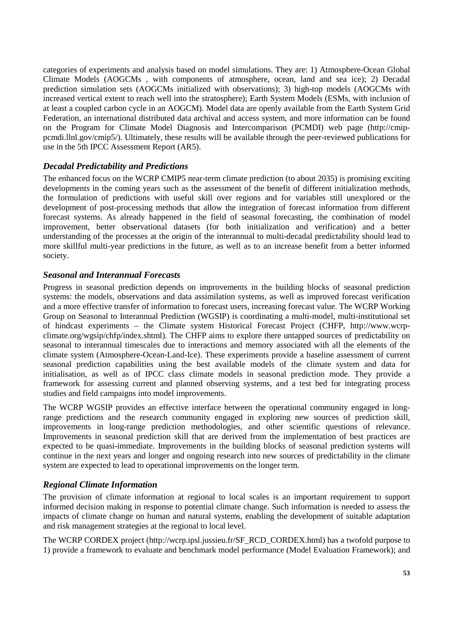categories of experiments and analysis based on model simulations. They are: 1) Atmosphere-Ocean Global Climate Models (AOGCMs , with components of atmosphere, ocean, land and sea ice); 2) Decadal prediction simulation sets (AOGCMs initialized with observations); 3) high-top models (AOGCMs with increased vertical extent to reach well into the stratosphere); Earth System Models (ESMs, with inclusion of at least a coupled carbon cycle in an AOGCM). Model data are openly available from the Earth System Grid Federation, an international distributed data archival and access system, and more information can be found on the Program for Climate Model Diagnosis and Intercomparison (PCMDI) web page (http://cmippcmdi.llnl.gov/cmip5/). Ultimately, these results will be available through the peer-reviewed publications for use in the 5th IPCC Assessment Report (AR5).

## *Decadal Predictability and Predictions*

The enhanced focus on the WCRP CMIP5 near-term climate prediction (to about 2035) is promising exciting developments in the coming years such as the assessment of the benefit of different initialization methods, the formulation of predictions with useful skill over regions and for variables still unexplored or the development of post-processing methods that allow the integration of forecast information from different forecast systems. As already happened in the field of seasonal forecasting, the combination of model improvement, better observational datasets (for both initialization and verification) and a better understanding of the processes at the origin of the interannual to multi-decadal predictability should lead to more skillful multi-year predictions in the future, as well as to an increase benefit from a better informed society.

## *Seasonal and Interannual Forecasts*

Progress in seasonal prediction depends on improvements in the building blocks of seasonal prediction systems: the models, observations and data assimilation systems, as well as improved forecast verification and a more effective transfer of information to forecast users, increasing forecast value. The WCRP Working Group on Seasonal to Interannual Prediction (WGSIP) is coordinating a multi-model, multi-institutional set of hindcast experiments – the Climate system Historical Forecast Project (CHFP, http://www.wcrpclimate.org/wgsip/chfp/index.shtml). The CHFP aims to explore there untapped sources of predictability on seasonal to interannual timescales due to interactions and memory associated with all the elements of the climate system (Atmosphere-Ocean-Land-Ice). These experiments provide a baseline assessment of current seasonal prediction capabilities using the best available models of the climate system and data for initialisation, as well as of IPCC class climate models in seasonal prediction mode. They provide a framework for assessing current and planned observing systems, and a test bed for integrating process studies and field campaigns into model improvements.

The WCRP WGSIP provides an effective interface between the operational community engaged in longrange predictions and the research community engaged in exploring new sources of prediction skill, improvements in long-range prediction methodologies, and other scientific questions of relevance. Improvements in seasonal prediction skill that are derived from the implementation of best practices are expected to be quasi-immediate. Improvements in the building blocks of seasonal prediction systems will continue in the next years and longer and ongoing research into new sources of predictability in the climate system are expected to lead to operational improvements on the longer term.

## *Regional Climate Information*

The provision of climate information at regional to local scales is an important requirement to support informed decision making in response to potential climate change. Such information is needed to assess the impacts of climate change on human and natural systems, enabling the development of suitable adaptation and risk management strategies at the regional to local level.

The WCRP CORDEX project (http://wcrp.ipsl.jussieu.fr/SF\_RCD\_CORDEX.html) has a twofold purpose to 1) provide a framework to evaluate and benchmark model performance (Model Evaluation Framework); and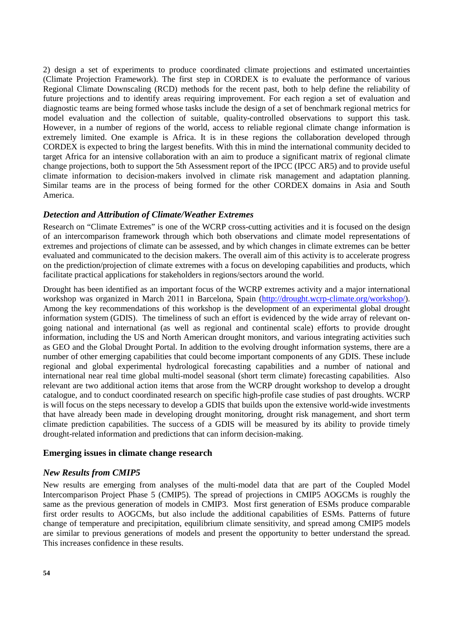2) design a set of experiments to produce coordinated climate projections and estimated uncertainties (Climate Projection Framework). The first step in CORDEX is to evaluate the performance of various Regional Climate Downscaling (RCD) methods for the recent past, both to help define the reliability of future projections and to identify areas requiring improvement. For each region a set of evaluation and diagnostic teams are being formed whose tasks include the design of a set of benchmark regional metrics for model evaluation and the collection of suitable, quality-controlled observations to support this task. However, in a number of regions of the world, access to reliable regional climate change information is extremely limited. One example is Africa. It is in these regions the collaboration developed through CORDEX is expected to bring the largest benefits. With this in mind the international community decided to target Africa for an intensive collaboration with an aim to produce a significant matrix of regional climate change projections, both to support the 5th Assessment report of the IPCC (IPCC AR5) and to provide useful climate information to decision-makers involved in climate risk management and adaptation planning. Similar teams are in the process of being formed for the other CORDEX domains in Asia and South America.

### *Detection and Attribution of Climate/Weather Extremes*

Research on "Climate Extremes" is one of the WCRP cross-cutting activities and it is focused on the design of an intercomparison framework through which both observations and climate model representations of extremes and projections of climate can be assessed, and by which changes in climate extremes can be better evaluated and communicated to the decision makers. The overall aim of this activity is to accelerate progress on the prediction/projection of climate extremes with a focus on developing capabilities and products, which facilitate practical applications for stakeholders in regions/sectors around the world.

Drought has been identified as an important focus of the WCRP extremes activity and a major international workshop was organized in March 2011 in Barcelona, Spain (http://drought.wcrp-climate.org/workshop/). Among the key recommendations of this workshop is the development of an experimental global drought information system (GDIS). The timeliness of such an effort is evidenced by the wide array of relevant ongoing national and international (as well as regional and continental scale) efforts to provide drought information, including the US and North American drought monitors, and various integrating activities such as GEO and the Global Drought Portal. In addition to the evolving drought information systems, there are a number of other emerging capabilities that could become important components of any GDIS. These include regional and global experimental hydrological forecasting capabilities and a number of national and international near real time global multi-model seasonal (short term climate) forecasting capabilities. Also relevant are two additional action items that arose from the WCRP drought workshop to develop a drought catalogue, and to conduct coordinated research on specific high-profile case studies of past droughts. WCRP is will focus on the steps necessary to develop a GDIS that builds upon the extensive world-wide investments that have already been made in developing drought monitoring, drought risk management, and short term climate prediction capabilities. The success of a GDIS will be measured by its ability to provide timely drought-related information and predictions that can inform decision-making.

#### **Emerging issues in climate change research**

#### *New Results from CMIP5*

New results are emerging from analyses of the multi-model data that are part of the Coupled Model Intercomparison Project Phase 5 (CMIP5). The spread of projections in CMIP5 AOGCMs is roughly the same as the previous generation of models in CMIP3. Most first generation of ESMs produce comparable first order results to AOGCMs, but also include the additional capabilities of ESMs. Patterns of future change of temperature and precipitation, equilibrium climate sensitivity, and spread among CMIP5 models are similar to previous generations of models and present the opportunity to better understand the spread. This increases confidence in these results.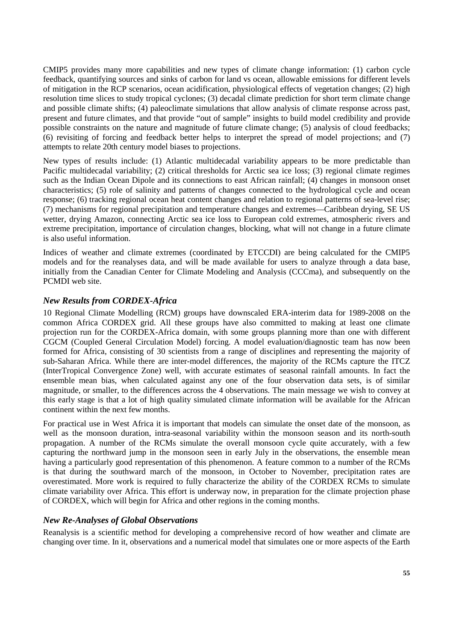CMIP5 provides many more capabilities and new types of climate change information: (1) carbon cycle feedback, quantifying sources and sinks of carbon for land vs ocean, allowable emissions for different levels of mitigation in the RCP scenarios, ocean acidification, physiological effects of vegetation changes; (2) high resolution time slices to study tropical cyclones; (3) decadal climate prediction for short term climate change and possible climate shifts; (4) paleoclimate simulations that allow analysis of climate response across past, present and future climates, and that provide "out of sample" insights to build model credibility and provide possible constraints on the nature and magnitude of future climate change; (5) analysis of cloud feedbacks; (6) revisiting of forcing and feedback better helps to interpret the spread of model projections; and (7) attempts to relate 20th century model biases to projections.

New types of results include: (1) Atlantic multidecadal variability appears to be more predictable than Pacific multidecadal variability; (2) critical thresholds for Arctic sea ice loss; (3) regional climate regimes such as the Indian Ocean Dipole and its connections to east African rainfall; (4) changes in monsoon onset characteristics; (5) role of salinity and patterns of changes connected to the hydrological cycle and ocean response; (6) tracking regional ocean heat content changes and relation to regional patterns of sea-level rise; (7) mechanisms for regional precipitation and temperature changes and extremes—Caribbean drying, SE US wetter, drying Amazon, connecting Arctic sea ice loss to European cold extremes, atmospheric rivers and extreme precipitation, importance of circulation changes, blocking, what will not change in a future climate is also useful information.

Indices of weather and climate extremes (coordinated by ETCCDI) are being calculated for the CMIP5 models and for the reanalyses data, and will be made available for users to analyze through a data base, initially from the Canadian Center for Climate Modeling and Analysis (CCCma), and subsequently on the PCMDI web site.

## *New Results from CORDEX-Africa*

10 Regional Climate Modelling (RCM) groups have downscaled ERA-interim data for 1989-2008 on the common Africa CORDEX grid. All these groups have also committed to making at least one climate projection run for the CORDEX-Africa domain, with some groups planning more than one with different CGCM (Coupled General Circulation Model) forcing. A model evaluation/diagnostic team has now been formed for Africa, consisting of 30 scientists from a range of disciplines and representing the majority of sub-Saharan Africa. While there are inter-model differences, the majority of the RCMs capture the ITCZ (InterTropical Convergence Zone) well, with accurate estimates of seasonal rainfall amounts. In fact the ensemble mean bias, when calculated against any one of the four observation data sets, is of similar magnitude, or smaller, to the differences across the 4 observations. The main message we wish to convey at this early stage is that a lot of high quality simulated climate information will be available for the African continent within the next few months.

For practical use in West Africa it is important that models can simulate the onset date of the monsoon, as well as the monsoon duration, intra-seasonal variability within the monsoon season and its north-south propagation. A number of the RCMs simulate the overall monsoon cycle quite accurately, with a few capturing the northward jump in the monsoon seen in early July in the observations, the ensemble mean having a particularly good representation of this phenomenon. A feature common to a number of the RCMs is that during the southward march of the monsoon, in October to November, precipitation rates are overestimated. More work is required to fully characterize the ability of the CORDEX RCMs to simulate climate variability over Africa. This effort is underway now, in preparation for the climate projection phase of CORDEX, which will begin for Africa and other regions in the coming months.

## *New Re-Analyses of Global Observations*

Reanalysis is a scientific method for developing a comprehensive record of how weather and climate are changing over time. In it, observations and a numerical model that simulates one or more aspects of the Earth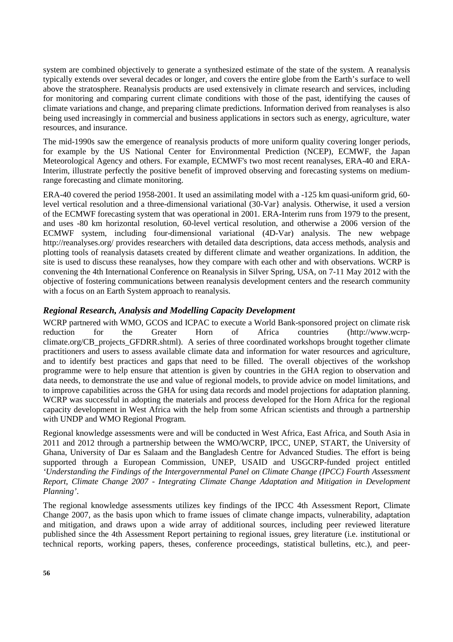system are combined objectively to generate a synthesized estimate of the state of the system. A reanalysis typically extends over several decades or longer, and covers the entire globe from the Earth's surface to well above the stratosphere. Reanalysis products are used extensively in climate research and services, including for monitoring and comparing current climate conditions with those of the past, identifying the causes of climate variations and change, and preparing climate predictions. Information derived from reanalyses is also being used increasingly in commercial and business applications in sectors such as energy, agriculture, water resources, and insurance.

The mid-1990s saw the emergence of reanalysis products of more uniform quality covering longer periods, for example by the US National Center for Environmental Prediction (NCEP), ECMWF, the Japan Meteorological Agency and others. For example, ECMWF's two most recent reanalyses, ERA-40 and ERA-Interim, illustrate perfectly the positive benefit of improved observing and forecasting systems on mediumrange forecasting and climate monitoring.

ERA-40 covered the period 1958-2001. It used an assimilating model with a -125 km quasi-uniform grid, 60 level vertical resolution and a three-dimensional variational (30-Var} analysis. Otherwise, it used a version of the ECMWF forecasting system that was operational in 2001. ERA-Interim runs from 1979 to the present, and uses -80 km horizontal resolution, 60-level vertical resolution, and otherwise a 2006 version of the ECMWF system, including four-dimensional variational (4D-Var) analysis. The new webpage http://reanalyses.org/ provides researchers with detailed data descriptions, data access methods, analysis and plotting tools of reanalysis datasets created by different climate and weather organizations. In addition, the site is used to discuss these reanalyses, how they compare with each other and with observations. WCRP is convening the 4th International Conference on Reanalysis in Silver Spring, USA, on 7-11 May 2012 with the objective of fostering communications between reanalysis development centers and the research community with a focus on an Earth System approach to reanalysis.

## *Regional Research, Analysis and Modelling Capacity Development*

WCRP partnered with WMO, GCOS and ICPAC to execute a World Bank-sponsored project on climate risk reduction for the Greater Horn of Africa countries (http://www.wcrpclimate.org/CB\_projects\_GFDRR.shtml). A series of three coordinated workshops brought together climate practitioners and users to assess available climate data and information for water resources and agriculture, and to identify best practices and gaps that need to be filled. The overall objectives of the workshop programme were to help ensure that attention is given by countries in the GHA region to observation and data needs, to demonstrate the use and value of regional models, to provide advice on model limitations, and to improve capabilities across the GHA for using data records and model projections for adaptation planning. WCRP was successful in adopting the materials and process developed for the Horn Africa for the regional capacity development in West Africa with the help from some African scientists and through a partnership with UNDP and WMO Regional Program.

Regional knowledge assessments were and will be conducted in West Africa, East Africa, and South Asia in 2011 and 2012 through a partnership between the WMO/WCRP, IPCC, UNEP, START, the University of Ghana, University of Dar es Salaam and the Bangladesh Centre for Advanced Studies. The effort is being supported through a European Commission, UNEP, USAID and USGCRP-funded project entitled *'Understanding the Findings of the Intergovernmental Panel on Climate Change (IPCC) Fourth Assessment Report, Climate Change 2007 - Integrating Climate Change Adaptation and Mitigation in Development Planning'*.

The regional knowledge assessments utilizes key findings of the IPCC 4th Assessment Report, Climate Change 2007, as the basis upon which to frame issues of climate change impacts, vulnerability, adaptation and mitigation, and draws upon a wide array of additional sources, including peer reviewed literature published since the 4th Assessment Report pertaining to regional issues, grey literature (i.e. institutional or technical reports, working papers, theses, conference proceedings, statistical bulletins, etc.), and peer